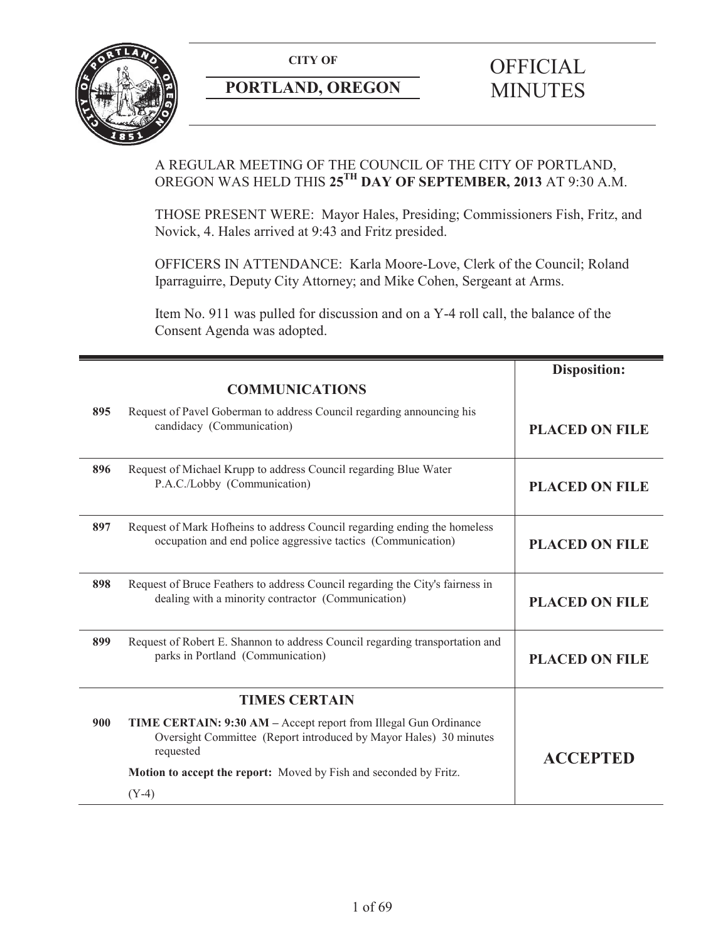

## **PORTLAND, OREGON MINUTES**

# **CITY OF** OFFICIAL

## A REGULAR MEETING OF THE COUNCIL OF THE CITY OF PORTLAND, OREGON WAS HELD THIS **25TH DAY OF SEPTEMBER, 2013** AT 9:30 A.M.

THOSE PRESENT WERE: Mayor Hales, Presiding; Commissioners Fish, Fritz, and Novick, 4. Hales arrived at 9:43 and Fritz presided.

OFFICERS IN ATTENDANCE: Karla Moore-Love, Clerk of the Council; Roland Iparraguirre, Deputy City Attorney; and Mike Cohen, Sergeant at Arms.

Item No. 911 was pulled for discussion and on a Y-4 roll call, the balance of the Consent Agenda was adopted.

|     |                                                                                                                                                           | <b>Disposition:</b>   |
|-----|-----------------------------------------------------------------------------------------------------------------------------------------------------------|-----------------------|
|     | <b>COMMUNICATIONS</b>                                                                                                                                     |                       |
| 895 | Request of Pavel Goberman to address Council regarding announcing his<br>candidacy (Communication)                                                        | <b>PLACED ON FILE</b> |
| 896 | Request of Michael Krupp to address Council regarding Blue Water<br>P.A.C./Lobby (Communication)                                                          | <b>PLACED ON FILE</b> |
| 897 | Request of Mark Hofheins to address Council regarding ending the homeless<br>occupation and end police aggressive tactics (Communication)                 | <b>PLACED ON FILE</b> |
| 898 | Request of Bruce Feathers to address Council regarding the City's fairness in<br>dealing with a minority contractor (Communication)                       | <b>PLACED ON FILE</b> |
| 899 | Request of Robert E. Shannon to address Council regarding transportation and<br>parks in Portland (Communication)                                         | <b>PLACED ON FILE</b> |
|     | <b>TIMES CERTAIN</b>                                                                                                                                      |                       |
| 900 | <b>TIME CERTAIN: 9:30 AM – Accept report from Illegal Gun Ordinance</b><br>Oversight Committee (Report introduced by Mayor Hales) 30 minutes<br>requested | <b>ACCEPTED</b>       |
|     | Motion to accept the report: Moved by Fish and seconded by Fritz.                                                                                         |                       |
|     | $(Y-4)$                                                                                                                                                   |                       |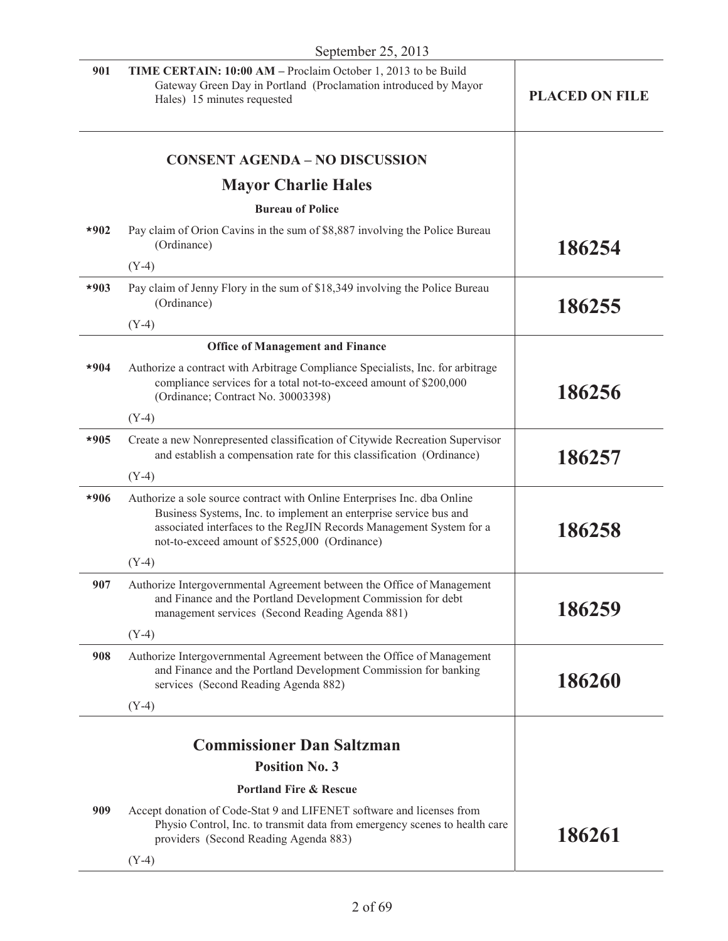| 901    | TIME CERTAIN: 10:00 AM - Proclaim October 1, 2013 to be Build<br>Gateway Green Day in Portland (Proclamation introduced by Mayor<br>Hales) 15 minutes requested                                                                                                       | <b>PLACED ON FILE</b> |
|--------|-----------------------------------------------------------------------------------------------------------------------------------------------------------------------------------------------------------------------------------------------------------------------|-----------------------|
|        | <b>CONSENT AGENDA - NO DISCUSSION</b>                                                                                                                                                                                                                                 |                       |
|        | <b>Mayor Charlie Hales</b>                                                                                                                                                                                                                                            |                       |
|        | <b>Bureau of Police</b>                                                                                                                                                                                                                                               |                       |
| $*902$ | Pay claim of Orion Cavins in the sum of \$8,887 involving the Police Bureau<br>(Ordinance)                                                                                                                                                                            | 186254                |
|        | $(Y-4)$                                                                                                                                                                                                                                                               |                       |
| $*903$ | Pay claim of Jenny Flory in the sum of \$18,349 involving the Police Bureau<br>(Ordinance)                                                                                                                                                                            | 186255                |
|        | $(Y-4)$                                                                                                                                                                                                                                                               |                       |
|        | <b>Office of Management and Finance</b>                                                                                                                                                                                                                               |                       |
| $*904$ | Authorize a contract with Arbitrage Compliance Specialists, Inc. for arbitrage<br>compliance services for a total not-to-exceed amount of \$200,000<br>(Ordinance; Contract No. 30003398)                                                                             | 186256                |
|        | $(Y-4)$                                                                                                                                                                                                                                                               |                       |
| $*905$ | Create a new Nonrepresented classification of Citywide Recreation Supervisor<br>and establish a compensation rate for this classification (Ordinance)                                                                                                                 | 186257                |
|        | $(Y-4)$                                                                                                                                                                                                                                                               |                       |
| *906   | Authorize a sole source contract with Online Enterprises Inc. dba Online<br>Business Systems, Inc. to implement an enterprise service bus and<br>associated interfaces to the RegJIN Records Management System for a<br>not-to-exceed amount of \$525,000 (Ordinance) | 186258                |
|        | $(Y-4)$                                                                                                                                                                                                                                                               |                       |
| 907    | Authorize Intergovernmental Agreement between the Office of Management<br>and Finance and the Portland Development Commission for debt<br>management services (Second Reading Agenda 881)                                                                             | 186259                |
|        | $(Y-4)$                                                                                                                                                                                                                                                               |                       |
| 908    | Authorize Intergovernmental Agreement between the Office of Management<br>and Finance and the Portland Development Commission for banking<br>services (Second Reading Agenda 882)                                                                                     | 186260                |
|        | $(Y-4)$                                                                                                                                                                                                                                                               |                       |
|        |                                                                                                                                                                                                                                                                       |                       |
|        | <b>Commissioner Dan Saltzman</b>                                                                                                                                                                                                                                      |                       |
|        | <b>Position No. 3</b>                                                                                                                                                                                                                                                 |                       |
|        | <b>Portland Fire &amp; Rescue</b>                                                                                                                                                                                                                                     |                       |
| 909    | Accept donation of Code-Stat 9 and LIFENET software and licenses from<br>Physio Control, Inc. to transmit data from emergency scenes to health care<br>providers (Second Reading Agenda 883)                                                                          | 186261                |
|        | $(Y-4)$                                                                                                                                                                                                                                                               |                       |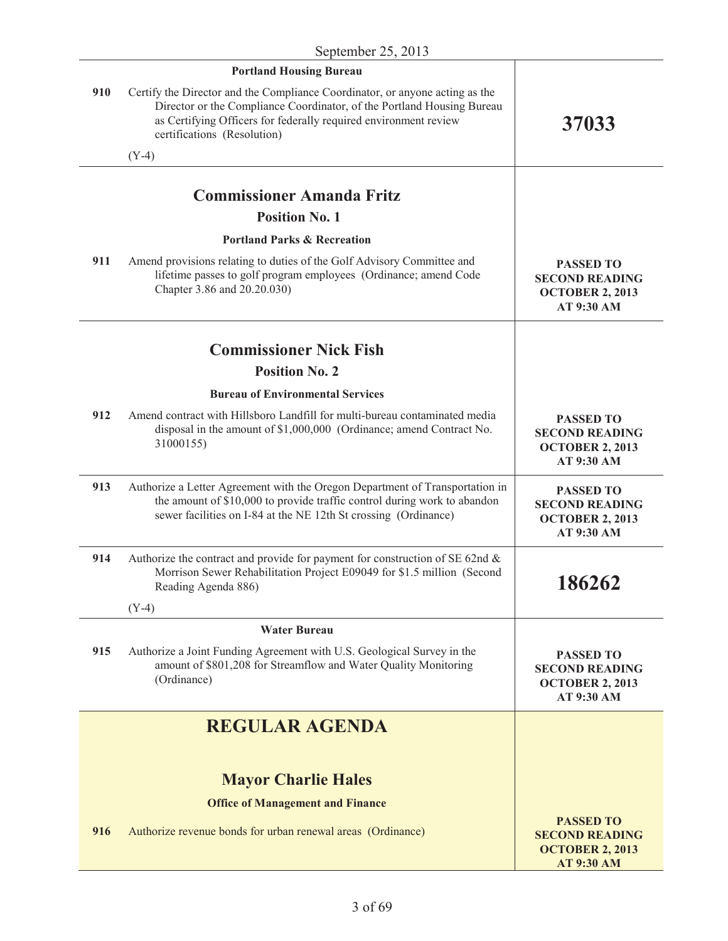|     | <b>Portland Housing Bureau</b>                                                                                                                                                                                                                            |                                                                                          |
|-----|-----------------------------------------------------------------------------------------------------------------------------------------------------------------------------------------------------------------------------------------------------------|------------------------------------------------------------------------------------------|
| 910 | Certify the Director and the Compliance Coordinator, or anyone acting as the<br>Director or the Compliance Coordinator, of the Portland Housing Bureau<br>as Certifying Officers for federally required environment review<br>certifications (Resolution) | 37033                                                                                    |
|     | $(Y-4)$                                                                                                                                                                                                                                                   |                                                                                          |
|     | <b>Commissioner Amanda Fritz</b>                                                                                                                                                                                                                          |                                                                                          |
|     | <b>Position No. 1</b>                                                                                                                                                                                                                                     |                                                                                          |
|     | <b>Portland Parks &amp; Recreation</b>                                                                                                                                                                                                                    |                                                                                          |
|     |                                                                                                                                                                                                                                                           |                                                                                          |
| 911 | Amend provisions relating to duties of the Golf Advisory Committee and<br>lifetime passes to golf program employees (Ordinance; amend Code<br>Chapter 3.86 and 20.20.030)                                                                                 | <b>PASSED TO</b><br><b>SECOND READING</b><br><b>OCTOBER 2, 2013</b><br>AT 9:30 AM        |
|     | <b>Commissioner Nick Fish</b>                                                                                                                                                                                                                             |                                                                                          |
|     | <b>Position No. 2</b>                                                                                                                                                                                                                                     |                                                                                          |
|     | <b>Bureau of Environmental Services</b>                                                                                                                                                                                                                   |                                                                                          |
| 912 | Amend contract with Hillsboro Landfill for multi-bureau contaminated media<br>disposal in the amount of \$1,000,000 (Ordinance; amend Contract No.<br>31000155)                                                                                           | <b>PASSED TO</b><br><b>SECOND READING</b><br><b>OCTOBER 2, 2013</b><br>AT 9:30 AM        |
| 913 | Authorize a Letter Agreement with the Oregon Department of Transportation in<br>the amount of \$10,000 to provide traffic control during work to abandon<br>sewer facilities on I-84 at the NE 12th St crossing (Ordinance)                               | <b>PASSED TO</b><br><b>SECOND READING</b><br><b>OCTOBER 2, 2013</b><br>AT 9:30 AM        |
| 914 | Authorize the contract and provide for payment for construction of SE 62nd &<br>Morrison Sewer Rehabilitation Project E09049 for \$1.5 million (Second<br>Reading Agenda 886)<br>$(Y-4)$                                                                  | 186262                                                                                   |
|     | <b>Water Bureau</b>                                                                                                                                                                                                                                       |                                                                                          |
| 915 | Authorize a Joint Funding Agreement with U.S. Geological Survey in the<br>amount of \$801,208 for Streamflow and Water Quality Monitoring<br>(Ordinance)                                                                                                  | <b>PASSED TO</b><br><b>SECOND READING</b><br><b>OCTOBER 2, 2013</b><br>AT 9:30 AM        |
|     | <b>REGULAR AGENDA</b>                                                                                                                                                                                                                                     |                                                                                          |
|     |                                                                                                                                                                                                                                                           |                                                                                          |
|     | <b>Mayor Charlie Hales</b>                                                                                                                                                                                                                                |                                                                                          |
|     | <b>Office of Management and Finance</b>                                                                                                                                                                                                                   |                                                                                          |
| 916 | Authorize revenue bonds for urban renewal areas (Ordinance)                                                                                                                                                                                               | <b>PASSED TO</b><br><b>SECOND READING</b><br><b>OCTOBER 2, 2013</b><br><b>AT 9:30 AM</b> |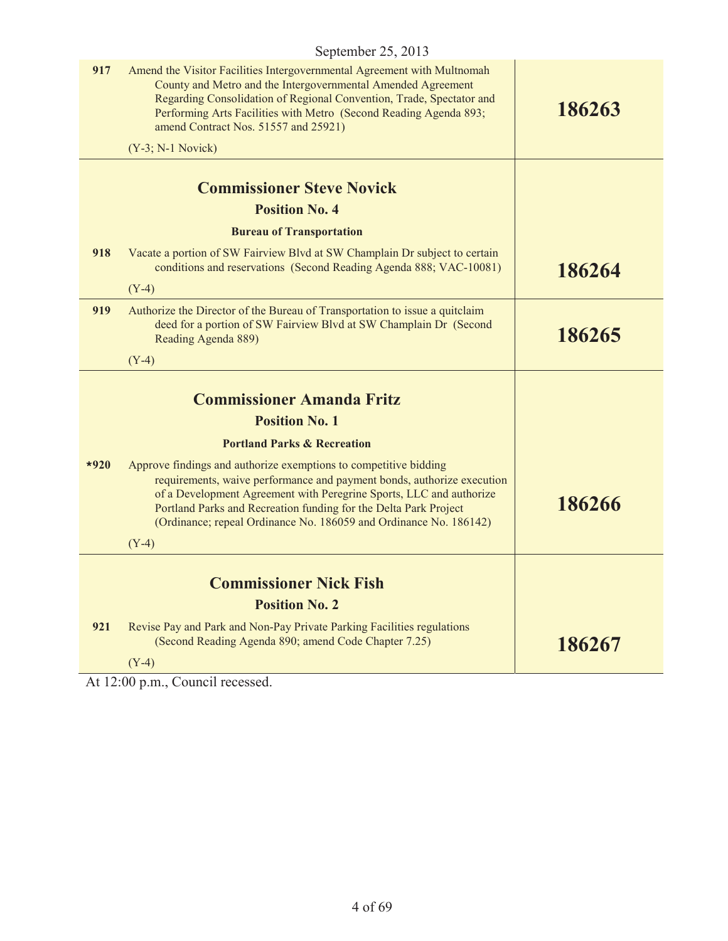| 917    | Amend the Visitor Facilities Intergovernmental Agreement with Multnomah<br>County and Metro and the Intergovernmental Amended Agreement<br>Regarding Consolidation of Regional Convention, Trade, Spectator and<br>Performing Arts Facilities with Metro (Second Reading Agenda 893;<br>amend Contract Nos. 51557 and 25921)                                          | 186263 |
|--------|-----------------------------------------------------------------------------------------------------------------------------------------------------------------------------------------------------------------------------------------------------------------------------------------------------------------------------------------------------------------------|--------|
|        | $(Y-3; N-1$ Novick)                                                                                                                                                                                                                                                                                                                                                   |        |
|        | <b>Commissioner Steve Novick</b><br><b>Position No. 4</b>                                                                                                                                                                                                                                                                                                             |        |
|        | <b>Bureau of Transportation</b>                                                                                                                                                                                                                                                                                                                                       |        |
| 918    | Vacate a portion of SW Fairview Blvd at SW Champlain Dr subject to certain<br>conditions and reservations (Second Reading Agenda 888; VAC-10081)                                                                                                                                                                                                                      | 186264 |
| 919    | $(Y-4)$<br>Authorize the Director of the Bureau of Transportation to issue a quitclaim<br>deed for a portion of SW Fairview Blvd at SW Champlain Dr (Second<br>Reading Agenda 889)                                                                                                                                                                                    | 186265 |
|        | $(Y-4)$                                                                                                                                                                                                                                                                                                                                                               |        |
|        | <b>Commissioner Amanda Fritz</b>                                                                                                                                                                                                                                                                                                                                      |        |
|        | <b>Position No. 1</b>                                                                                                                                                                                                                                                                                                                                                 |        |
|        | <b>Portland Parks &amp; Recreation</b>                                                                                                                                                                                                                                                                                                                                |        |
| $*920$ | Approve findings and authorize exemptions to competitive bidding<br>requirements, waive performance and payment bonds, authorize execution<br>of a Development Agreement with Peregrine Sports, LLC and authorize<br>Portland Parks and Recreation funding for the Delta Park Project<br>(Ordinance; repeal Ordinance No. 186059 and Ordinance No. 186142)<br>$(Y-4)$ | 186266 |
|        |                                                                                                                                                                                                                                                                                                                                                                       |        |
|        | <b>Commissioner Nick Fish</b>                                                                                                                                                                                                                                                                                                                                         |        |
|        | <b>Position No. 2</b>                                                                                                                                                                                                                                                                                                                                                 |        |
| 921    | Revise Pay and Park and Non-Pay Private Parking Facilities regulations<br>(Second Reading Agenda 890; amend Code Chapter 7.25)                                                                                                                                                                                                                                        | 186267 |
|        | $(Y-4)$                                                                                                                                                                                                                                                                                                                                                               |        |

At 12:00 p.m., Council recessed.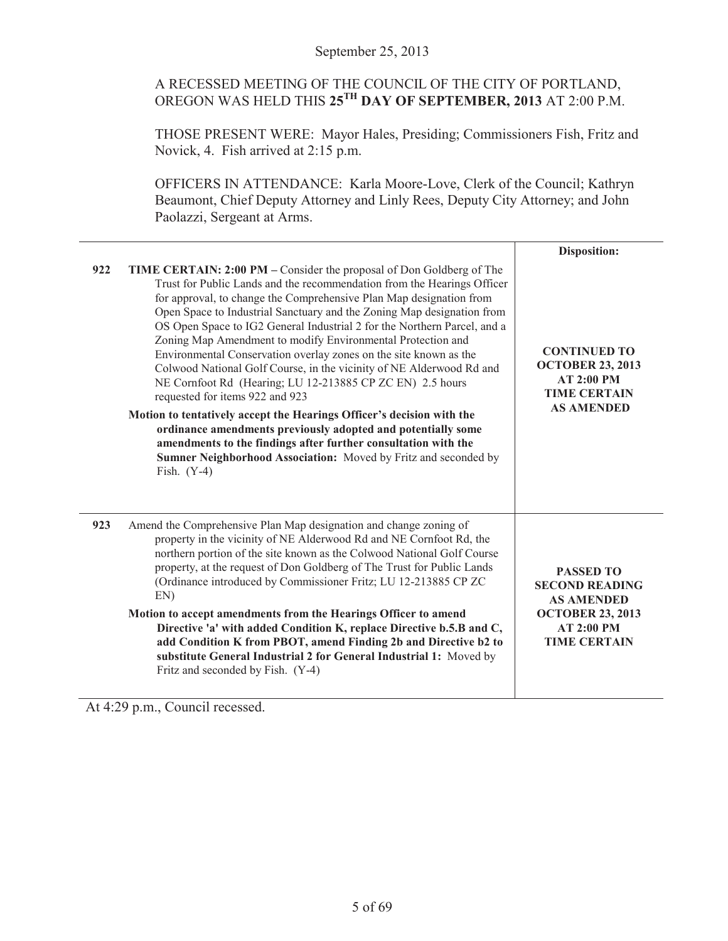## A RECESSED MEETING OF THE COUNCIL OF THE CITY OF PORTLAND, OREGON WAS HELD THIS **25TH DAY OF SEPTEMBER, 2013** AT 2:00 P.M.

THOSE PRESENT WERE: Mayor Hales, Presiding; Commissioners Fish, Fritz and Novick, 4. Fish arrived at 2:15 p.m.

OFFICERS IN ATTENDANCE: Karla Moore-Love, Clerk of the Council; Kathryn Beaumont, Chief Deputy Attorney and Linly Rees, Deputy City Attorney; and John Paolazzi, Sergeant at Arms.

|     |                                                                                                                                                                                                                                                                                                                                                                                                                                                                                                                                                                                                                                                                                                                                                                                                                                                                                                                                                                                         | Disposition:                                                                                                                   |
|-----|-----------------------------------------------------------------------------------------------------------------------------------------------------------------------------------------------------------------------------------------------------------------------------------------------------------------------------------------------------------------------------------------------------------------------------------------------------------------------------------------------------------------------------------------------------------------------------------------------------------------------------------------------------------------------------------------------------------------------------------------------------------------------------------------------------------------------------------------------------------------------------------------------------------------------------------------------------------------------------------------|--------------------------------------------------------------------------------------------------------------------------------|
| 922 | TIME CERTAIN: 2:00 PM – Consider the proposal of Don Goldberg of The<br>Trust for Public Lands and the recommendation from the Hearings Officer<br>for approval, to change the Comprehensive Plan Map designation from<br>Open Space to Industrial Sanctuary and the Zoning Map designation from<br>OS Open Space to IG2 General Industrial 2 for the Northern Parcel, and a<br>Zoning Map Amendment to modify Environmental Protection and<br>Environmental Conservation overlay zones on the site known as the<br>Colwood National Golf Course, in the vicinity of NE Alderwood Rd and<br>NE Cornfoot Rd (Hearing; LU 12-213885 CP ZC EN) 2.5 hours<br>requested for items 922 and 923<br>Motion to tentatively accept the Hearings Officer's decision with the<br>ordinance amendments previously adopted and potentially some<br>amendments to the findings after further consultation with the<br>Sumner Neighborhood Association: Moved by Fritz and seconded by<br>Fish. $(Y-4)$ | <b>CONTINUED TO</b><br><b>OCTOBER 23, 2013</b><br><b>AT 2:00 PM</b><br><b>TIME CERTAIN</b><br><b>AS AMENDED</b>                |
| 923 | Amend the Comprehensive Plan Map designation and change zoning of<br>property in the vicinity of NE Alderwood Rd and NE Cornfoot Rd, the<br>northern portion of the site known as the Colwood National Golf Course<br>property, at the request of Don Goldberg of The Trust for Public Lands<br>(Ordinance introduced by Commissioner Fritz; LU 12-213885 CP ZC<br>EN<br>Motion to accept amendments from the Hearings Officer to amend<br>Directive 'a' with added Condition K, replace Directive b.5.B and C,<br>add Condition K from PBOT, amend Finding 2b and Directive b2 to<br>substitute General Industrial 2 for General Industrial 1: Moved by<br>Fritz and seconded by Fish. (Y-4)                                                                                                                                                                                                                                                                                           | <b>PASSED TO</b><br><b>SECOND READING</b><br><b>AS AMENDED</b><br><b>OCTOBER 23, 2013</b><br>AT 2:00 PM<br><b>TIME CERTAIN</b> |

At 4:29 p.m., Council recessed.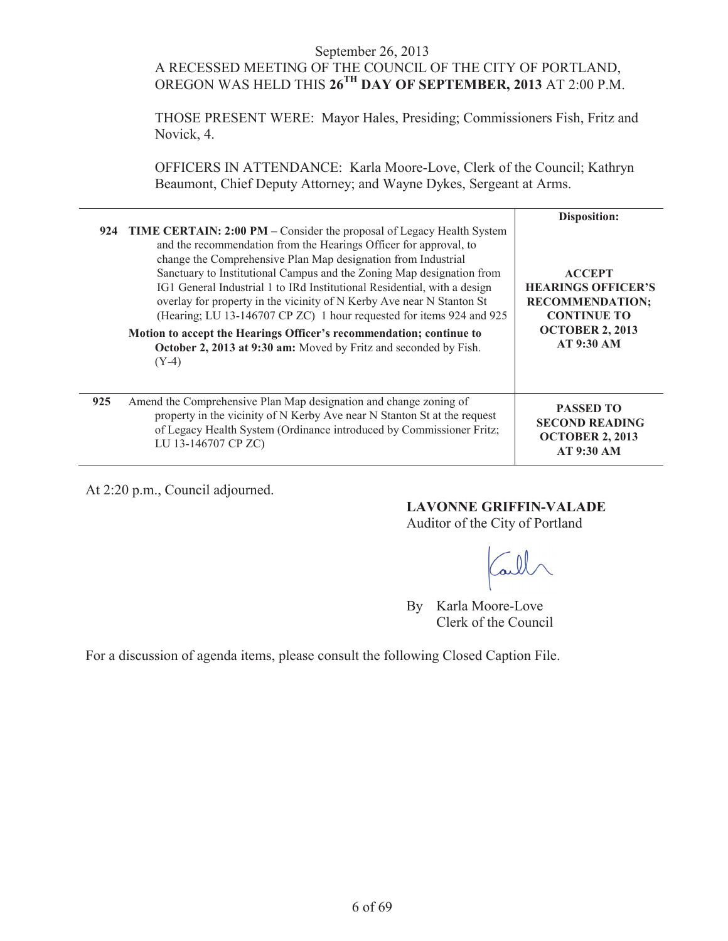#### September 26, 2013 A RECESSED MEETING OF THE COUNCIL OF THE CITY OF PORTLAND, OREGON WAS HELD THIS **26TH DAY OF SEPTEMBER, 2013** AT 2:00 P.M.

THOSE PRESENT WERE: Mayor Hales, Presiding; Commissioners Fish, Fritz and Novick, 4.

OFFICERS IN ATTENDANCE: Karla Moore-Love, Clerk of the Council; Kathryn Beaumont, Chief Deputy Attorney; and Wayne Dykes, Sergeant at Arms.

|     | 924 TIME CERTAIN: 2:00 PM – Consider the proposal of Legacy Health System<br>and the recommendation from the Hearings Officer for approval, to<br>change the Comprehensive Plan Map designation from Industrial<br>Sanctuary to Institutional Campus and the Zoning Map designation from<br>IG1 General Industrial 1 to IRd Institutional Residential, with a design<br>overlay for property in the vicinity of N Kerby Ave near N Stanton St<br>(Hearing; LU 13-146707 CP ZC) 1 hour requested for items 924 and 925<br>Motion to accept the Hearings Officer's recommendation; continue to<br>October 2, 2013 at 9:30 am: Moved by Fritz and seconded by Fish.<br>$(Y-4)$ | Disposition:<br><b>ACCEPT</b><br><b>HEARINGS OFFICER'S</b><br><b>RECOMMENDATION;</b><br><b>CONTINUE TO</b><br><b>OCTOBER 2, 2013</b><br><b>AT 9:30 AM</b> |
|-----|-----------------------------------------------------------------------------------------------------------------------------------------------------------------------------------------------------------------------------------------------------------------------------------------------------------------------------------------------------------------------------------------------------------------------------------------------------------------------------------------------------------------------------------------------------------------------------------------------------------------------------------------------------------------------------|-----------------------------------------------------------------------------------------------------------------------------------------------------------|
| 925 | Amend the Comprehensive Plan Map designation and change zoning of<br>property in the vicinity of N Kerby Ave near N Stanton St at the request<br>of Legacy Health System (Ordinance introduced by Commissioner Fritz;<br>LU 13-146707 CP ZC)                                                                                                                                                                                                                                                                                                                                                                                                                                | <b>PASSED TO</b><br><b>SECOND READING</b><br><b>OCTOBER 2, 2013</b><br><b>AT 9:30 AM</b>                                                                  |

At 2:20 p.m., Council adjourned.

**LAVONNE GRIFFIN-VALADE**

Auditor of the City of Portland

By Karla Moore-Love Clerk of the Council

For a discussion of agenda items, please consult the following Closed Caption File.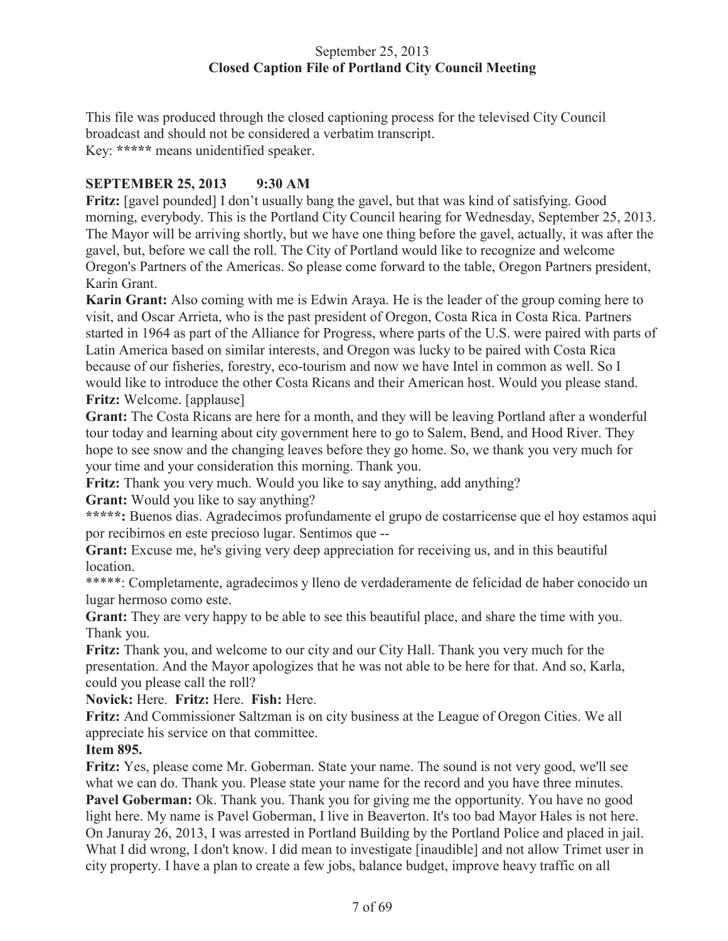## September 25, 2013 **Closed Caption File of Portland City Council Meeting**

This file was produced through the closed captioning process for the televised City Council broadcast and should not be considered a verbatim transcript. Key: **\*\*\*\*\*** means unidentified speaker.

## **SEPTEMBER 25, 2013 9:30 AM**

**Fritz:** [gavel pounded] I don't usually bang the gavel, but that was kind of satisfying. Good morning, everybody. This is the Portland City Council hearing for Wednesday, September 25, 2013. The Mayor will be arriving shortly, but we have one thing before the gavel, actually, it was after the gavel, but, before we call the roll. The City of Portland would like to recognize and welcome Oregon's Partners of the Americas. So please come forward to the table, Oregon Partners president, Karin Grant.

**Karin Grant:** Also coming with me is Edwin Araya. He is the leader of the group coming here to visit, and Oscar Arrieta, who is the past president of Oregon, Costa Rica in Costa Rica. Partners started in 1964 as part of the Alliance for Progress, where parts of the U.S. were paired with parts of Latin America based on similar interests, and Oregon was lucky to be paired with Costa Rica because of our fisheries, forestry, eco-tourism and now we have Intel in common as well. So I would like to introduce the other Costa Ricans and their American host. Would you please stand. **Fritz:** Welcome. [applause]

**Grant:** The Costa Ricans are here for a month, and they will be leaving Portland after a wonderful tour today and learning about city government here to go to Salem, Bend, and Hood River. They hope to see snow and the changing leaves before they go home. So, we thank you very much for your time and your consideration this morning. Thank you.

**Fritz:** Thank you very much. Would you like to say anything, add anything?

**Grant:** Would you like to say anything?

**\*\*\*\*\*:** Buenos dias. Agradecimos profundamente el grupo de costarricense que el hoy estamos aqui por recibirnos en este precioso lugar. Sentimos que --

**Grant:** Excuse me, he's giving very deep appreciation for receiving us, and in this beautiful location.

\*\*\*\*\*: Completamente, agradecimos y lleno de verdaderamente de felicidad de haber conocido un lugar hermoso como este.

**Grant:** They are very happy to be able to see this beautiful place, and share the time with you. Thank you.

**Fritz:** Thank you, and welcome to our city and our City Hall. Thank you very much for the presentation. And the Mayor apologizes that he was not able to be here for that. And so, Karla, could you please call the roll?

**Novick:** Here. **Fritz:** Here. **Fish:** Here.

**Fritz:** And Commissioner Saltzman is on city business at the League of Oregon Cities. We all appreciate his service on that committee.

## **Item 895.**

**Fritz:** Yes, please come Mr. Goberman. State your name. The sound is not very good, we'll see what we can do. Thank you. Please state your name for the record and you have three minutes. **Pavel Goberman:** Ok. Thank you. Thank you for giving me the opportunity. You have no good light here. My name is Pavel Goberman, I live in Beaverton. It's too bad Mayor Hales is not here. On Januray 26, 2013, I was arrested in Portland Building by the Portland Police and placed in jail. What I did wrong, I don't know. I did mean to investigate [inaudible] and not allow Trimet user in city property. I have a plan to create a few jobs, balance budget, improve heavy traffic on all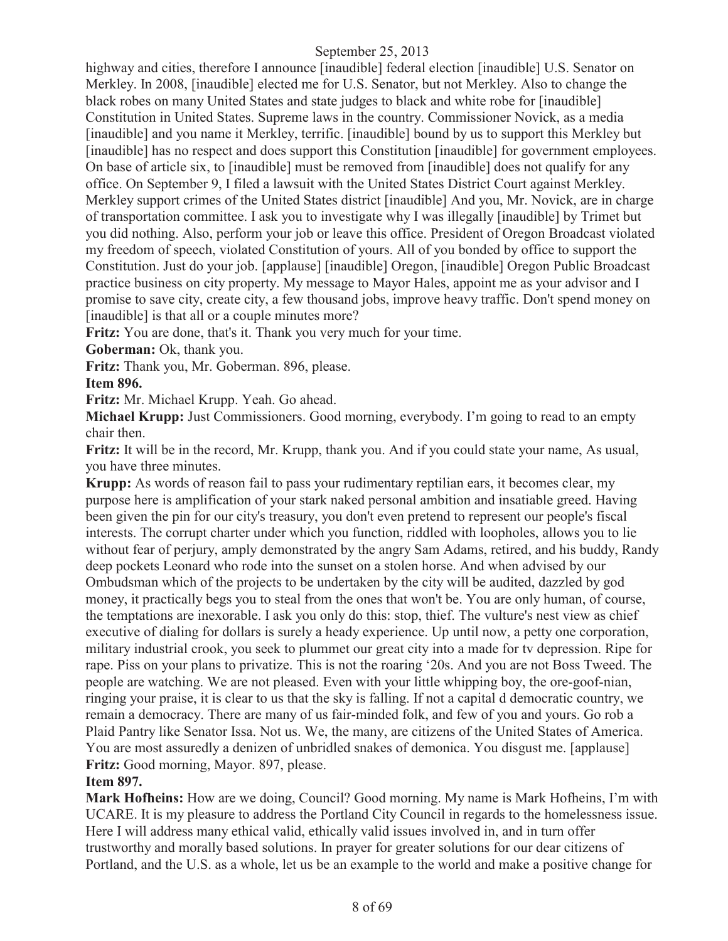highway and cities, therefore I announce [inaudible] federal election [inaudible] U.S. Senator on Merkley. In 2008, [inaudible] elected me for U.S. Senator, but not Merkley. Also to change the black robes on many United States and state judges to black and white robe for [inaudible] Constitution in United States. Supreme laws in the country. Commissioner Novick, as a media [inaudible] and you name it Merkley, terrific. [inaudible] bound by us to support this Merkley but [inaudible] has no respect and does support this Constitution [inaudible] for government employees. On base of article six, to [inaudible] must be removed from [inaudible] does not qualify for any office. On September 9, I filed a lawsuit with the United States District Court against Merkley. Merkley support crimes of the United States district [inaudible] And you, Mr. Novick, are in charge of transportation committee. I ask you to investigate why I was illegally [inaudible] by Trimet but you did nothing. Also, perform your job or leave this office. President of Oregon Broadcast violated my freedom of speech, violated Constitution of yours. All of you bonded by office to support the Constitution. Just do your job. [applause] [inaudible] Oregon, [inaudible] Oregon Public Broadcast practice business on city property. My message to Mayor Hales, appoint me as your advisor and I promise to save city, create city, a few thousand jobs, improve heavy traffic. Don't spend money on [inaudible] is that all or a couple minutes more?

**Fritz:** You are done, that's it. Thank you very much for your time.

**Goberman:** Ok, thank you.

**Fritz:** Thank you, Mr. Goberman. 896, please.

**Item 896.**

**Fritz:** Mr. Michael Krupp. Yeah. Go ahead.

**Michael Krupp:** Just Commissioners. Good morning, everybody. I'm going to read to an empty chair then.

**Fritz:** It will be in the record, Mr. Krupp, thank you. And if you could state your name, As usual, you have three minutes.

**Krupp:** As words of reason fail to pass your rudimentary reptilian ears, it becomes clear, my purpose here is amplification of your stark naked personal ambition and insatiable greed. Having been given the pin for our city's treasury, you don't even pretend to represent our people's fiscal interests. The corrupt charter under which you function, riddled with loopholes, allows you to lie without fear of perjury, amply demonstrated by the angry Sam Adams, retired, and his buddy, Randy deep pockets Leonard who rode into the sunset on a stolen horse. And when advised by our Ombudsman which of the projects to be undertaken by the city will be audited, dazzled by god money, it practically begs you to steal from the ones that won't be. You are only human, of course, the temptations are inexorable. I ask you only do this: stop, thief. The vulture's nest view as chief executive of dialing for dollars is surely a heady experience. Up until now, a petty one corporation, military industrial crook, you seek to plummet our great city into a made for tv depression. Ripe for rape. Piss on your plans to privatize. This is not the roaring '20s. And you are not Boss Tweed. The people are watching. We are not pleased. Even with your little whipping boy, the ore-goof-nian, ringing your praise, it is clear to us that the sky is falling. If not a capital d democratic country, we remain a democracy. There are many of us fair-minded folk, and few of you and yours. Go rob a Plaid Pantry like Senator Issa. Not us. We, the many, are citizens of the United States of America. You are most assuredly a denizen of unbridled snakes of demonica. You disgust me. [applause] **Fritz:** Good morning, Mayor. 897, please.

## **Item 897.**

**Mark Hofheins:** How are we doing, Council? Good morning. My name is Mark Hofheins, I'm with UCARE. It is my pleasure to address the Portland City Council in regards to the homelessness issue. Here I will address many ethical valid, ethically valid issues involved in, and in turn offer trustworthy and morally based solutions. In prayer for greater solutions for our dear citizens of Portland, and the U.S. as a whole, let us be an example to the world and make a positive change for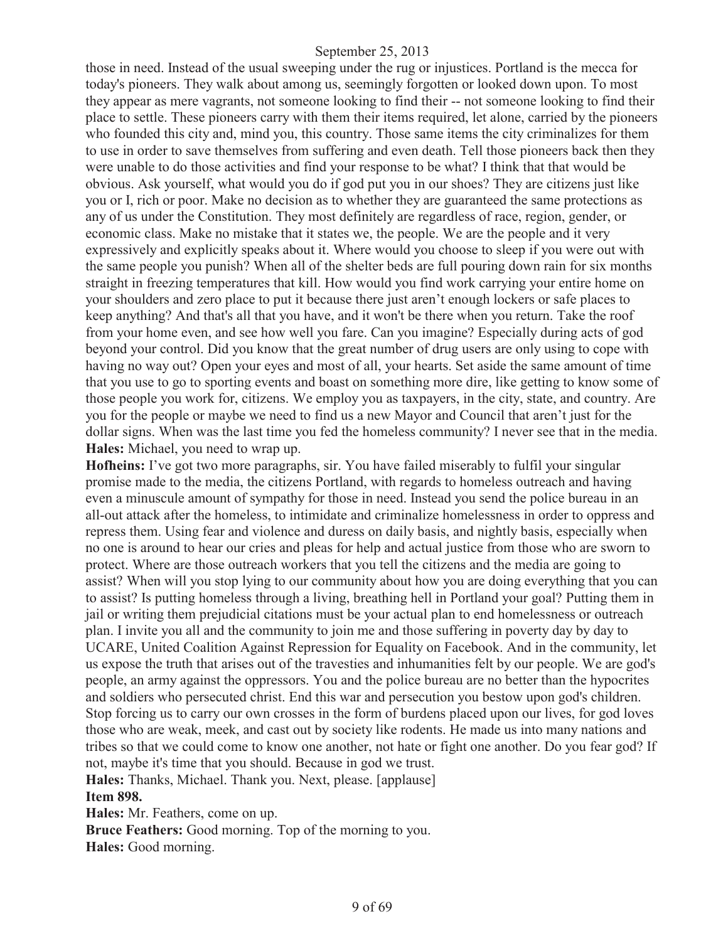those in need. Instead of the usual sweeping under the rug or injustices. Portland is the mecca for today's pioneers. They walk about among us, seemingly forgotten or looked down upon. To most they appear as mere vagrants, not someone looking to find their -- not someone looking to find their place to settle. These pioneers carry with them their items required, let alone, carried by the pioneers who founded this city and, mind you, this country. Those same items the city criminalizes for them to use in order to save themselves from suffering and even death. Tell those pioneers back then they were unable to do those activities and find your response to be what? I think that that would be obvious. Ask yourself, what would you do if god put you in our shoes? They are citizens just like you or I, rich or poor. Make no decision as to whether they are guaranteed the same protections as any of us under the Constitution. They most definitely are regardless of race, region, gender, or economic class. Make no mistake that it states we, the people. We are the people and it very expressively and explicitly speaks about it. Where would you choose to sleep if you were out with the same people you punish? When all of the shelter beds are full pouring down rain for six months straight in freezing temperatures that kill. How would you find work carrying your entire home on your shoulders and zero place to put it because there just aren't enough lockers or safe places to keep anything? And that's all that you have, and it won't be there when you return. Take the roof from your home even, and see how well you fare. Can you imagine? Especially during acts of god beyond your control. Did you know that the great number of drug users are only using to cope with having no way out? Open your eyes and most of all, your hearts. Set aside the same amount of time that you use to go to sporting events and boast on something more dire, like getting to know some of those people you work for, citizens. We employ you as taxpayers, in the city, state, and country. Are you for the people or maybe we need to find us a new Mayor and Council that aren't just for the dollar signs. When was the last time you fed the homeless community? I never see that in the media. **Hales:** Michael, you need to wrap up.

**Hofheins:** I've got two more paragraphs, sir. You have failed miserably to fulfil your singular promise made to the media, the citizens Portland, with regards to homeless outreach and having even a minuscule amount of sympathy for those in need. Instead you send the police bureau in an all-out attack after the homeless, to intimidate and criminalize homelessness in order to oppress and repress them. Using fear and violence and duress on daily basis, and nightly basis, especially when no one is around to hear our cries and pleas for help and actual justice from those who are sworn to protect. Where are those outreach workers that you tell the citizens and the media are going to assist? When will you stop lying to our community about how you are doing everything that you can to assist? Is putting homeless through a living, breathing hell in Portland your goal? Putting them in jail or writing them prejudicial citations must be your actual plan to end homelessness or outreach plan. I invite you all and the community to join me and those suffering in poverty day by day to UCARE, United Coalition Against Repression for Equality on Facebook. And in the community, let us expose the truth that arises out of the travesties and inhumanities felt by our people. We are god's people, an army against the oppressors. You and the police bureau are no better than the hypocrites and soldiers who persecuted christ. End this war and persecution you bestow upon god's children. Stop forcing us to carry our own crosses in the form of burdens placed upon our lives, for god loves those who are weak, meek, and cast out by society like rodents. He made us into many nations and tribes so that we could come to know one another, not hate or fight one another. Do you fear god? If not, maybe it's time that you should. Because in god we trust.

**Hales:** Thanks, Michael. Thank you. Next, please. [applause]

## **Item 898.**

**Hales:** Mr. Feathers, come on up. **Bruce Feathers:** Good morning. Top of the morning to you.

**Hales:** Good morning.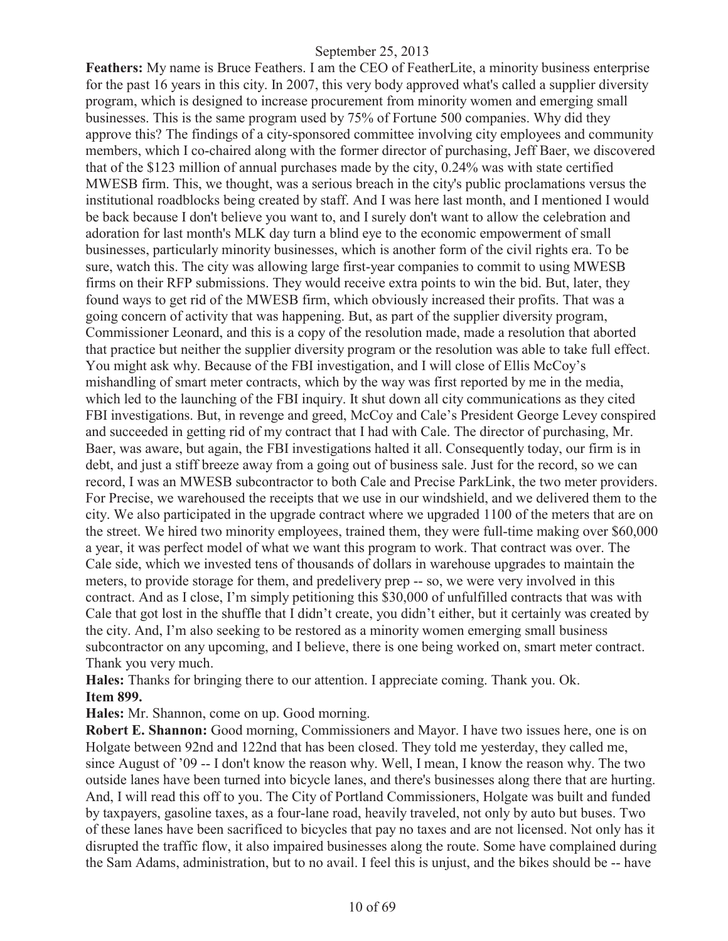**Feathers:** My name is Bruce Feathers. I am the CEO of FeatherLite, a minority business enterprise for the past 16 years in this city. In 2007, this very body approved what's called a supplier diversity program, which is designed to increase procurement from minority women and emerging small businesses. This is the same program used by 75% of Fortune 500 companies. Why did they approve this? The findings of a city-sponsored committee involving city employees and community members, which I co-chaired along with the former director of purchasing, Jeff Baer, we discovered that of the \$123 million of annual purchases made by the city, 0.24% was with state certified MWESB firm. This, we thought, was a serious breach in the city's public proclamations versus the institutional roadblocks being created by staff. And I was here last month, and I mentioned I would be back because I don't believe you want to, and I surely don't want to allow the celebration and adoration for last month's MLK day turn a blind eye to the economic empowerment of small businesses, particularly minority businesses, which is another form of the civil rights era. To be sure, watch this. The city was allowing large first-year companies to commit to using MWESB firms on their RFP submissions. They would receive extra points to win the bid. But, later, they found ways to get rid of the MWESB firm, which obviously increased their profits. That was a going concern of activity that was happening. But, as part of the supplier diversity program, Commissioner Leonard, and this is a copy of the resolution made, made a resolution that aborted that practice but neither the supplier diversity program or the resolution was able to take full effect. You might ask why. Because of the FBI investigation, and I will close of Ellis McCoy's mishandling of smart meter contracts, which by the way was first reported by me in the media, which led to the launching of the FBI inquiry. It shut down all city communications as they cited FBI investigations. But, in revenge and greed, McCoy and Cale's President George Levey conspired and succeeded in getting rid of my contract that I had with Cale. The director of purchasing, Mr. Baer, was aware, but again, the FBI investigations halted it all. Consequently today, our firm is in debt, and just a stiff breeze away from a going out of business sale. Just for the record, so we can record, I was an MWESB subcontractor to both Cale and Precise ParkLink, the two meter providers. For Precise, we warehoused the receipts that we use in our windshield, and we delivered them to the city. We also participated in the upgrade contract where we upgraded 1100 of the meters that are on the street. We hired two minority employees, trained them, they were full-time making over \$60,000 a year, it was perfect model of what we want this program to work. That contract was over. The Cale side, which we invested tens of thousands of dollars in warehouse upgrades to maintain the meters, to provide storage for them, and predelivery prep -- so, we were very involved in this contract. And as I close, I'm simply petitioning this \$30,000 of unfulfilled contracts that was with Cale that got lost in the shuffle that I didn't create, you didn't either, but it certainly was created by the city. And, I'm also seeking to be restored as a minority women emerging small business subcontractor on any upcoming, and I believe, there is one being worked on, smart meter contract. Thank you very much.

**Hales:** Thanks for bringing there to our attention. I appreciate coming. Thank you. Ok. **Item 899.**

**Hales:** Mr. Shannon, come on up. Good morning.

**Robert E. Shannon:** Good morning, Commissioners and Mayor. I have two issues here, one is on Holgate between 92nd and 122nd that has been closed. They told me yesterday, they called me, since August of '09 -- I don't know the reason why. Well, I mean, I know the reason why. The two outside lanes have been turned into bicycle lanes, and there's businesses along there that are hurting. And, I will read this off to you. The City of Portland Commissioners, Holgate was built and funded by taxpayers, gasoline taxes, as a four-lane road, heavily traveled, not only by auto but buses. Two of these lanes have been sacrificed to bicycles that pay no taxes and are not licensed. Not only has it disrupted the traffic flow, it also impaired businesses along the route. Some have complained during the Sam Adams, administration, but to no avail. I feel this is unjust, and the bikes should be -- have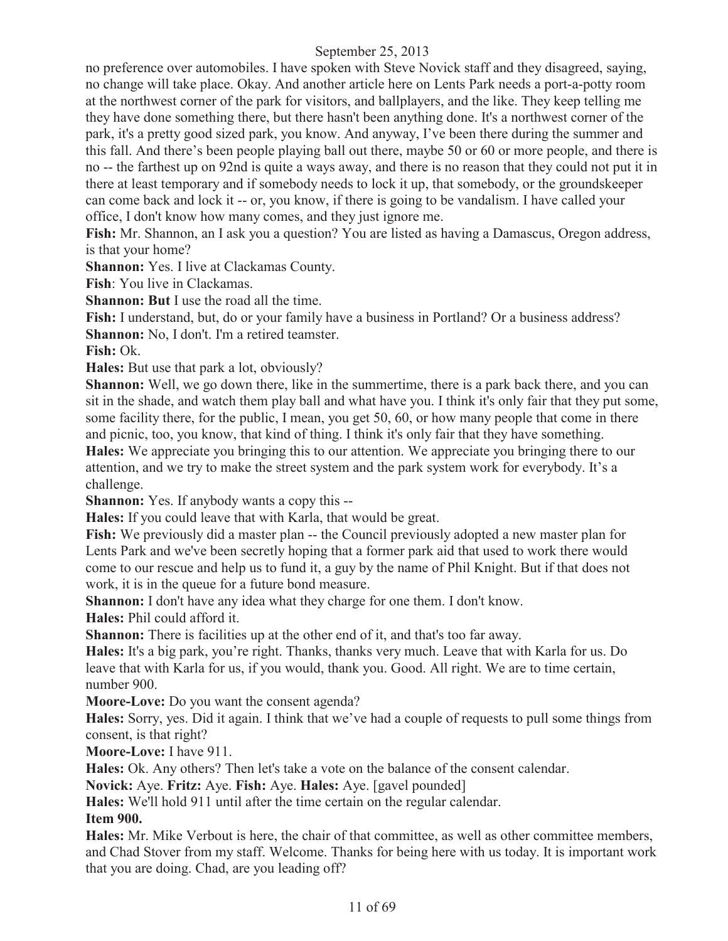no preference over automobiles. I have spoken with Steve Novick staff and they disagreed, saying, no change will take place. Okay. And another article here on Lents Park needs a port-a-potty room at the northwest corner of the park for visitors, and ballplayers, and the like. They keep telling me they have done something there, but there hasn't been anything done. It's a northwest corner of the park, it's a pretty good sized park, you know. And anyway, I've been there during the summer and this fall. And there's been people playing ball out there, maybe 50 or 60 or more people, and there is no -- the farthest up on 92nd is quite a ways away, and there is no reason that they could not put it in there at least temporary and if somebody needs to lock it up, that somebody, or the groundskeeper can come back and lock it -- or, you know, if there is going to be vandalism. I have called your office, I don't know how many comes, and they just ignore me.

**Fish:** Mr. Shannon, an I ask you a question? You are listed as having a Damascus, Oregon address, is that your home?

**Shannon:** Yes. I live at Clackamas County.

**Fish**: You live in Clackamas.

**Shannon: But** I use the road all the time.

**Fish:** I understand, but, do or your family have a business in Portland? Or a business address? **Shannon:** No, I don't. I'm a retired teamster.

**Fish:** Ok.

**Hales:** But use that park a lot, obviously?

**Shannon:** Well, we go down there, like in the summertime, there is a park back there, and you can sit in the shade, and watch them play ball and what have you. I think it's only fair that they put some, some facility there, for the public, I mean, you get 50, 60, or how many people that come in there and picnic, too, you know, that kind of thing. I think it's only fair that they have something.

**Hales:** We appreciate you bringing this to our attention. We appreciate you bringing there to our attention, and we try to make the street system and the park system work for everybody. It's a challenge.

**Shannon:** Yes. If anybody wants a copy this --

**Hales:** If you could leave that with Karla, that would be great.

**Fish:** We previously did a master plan -- the Council previously adopted a new master plan for Lents Park and we've been secretly hoping that a former park aid that used to work there would come to our rescue and help us to fund it, a guy by the name of Phil Knight. But if that does not work, it is in the queue for a future bond measure.

**Shannon:** I don't have any idea what they charge for one them. I don't know.

**Hales:** Phil could afford it.

**Shannon:** There is facilities up at the other end of it, and that's too far away.

**Hales:** It's a big park, you're right. Thanks, thanks very much. Leave that with Karla for us. Do leave that with Karla for us, if you would, thank you. Good. All right. We are to time certain, number 900.

**Moore-Love:** Do you want the consent agenda?

**Hales:** Sorry, yes. Did it again. I think that we've had a couple of requests to pull some things from consent, is that right?

**Moore-Love:** I have 911.

**Hales:** Ok. Any others? Then let's take a vote on the balance of the consent calendar.

**Novick:** Aye. **Fritz:** Aye. **Fish:** Aye. **Hales:** Aye. [gavel pounded]

**Hales:** We'll hold 911 until after the time certain on the regular calendar.

## **Item 900.**

**Hales:** Mr. Mike Verbout is here, the chair of that committee, as well as other committee members, and Chad Stover from my staff. Welcome. Thanks for being here with us today. It is important work that you are doing. Chad, are you leading off?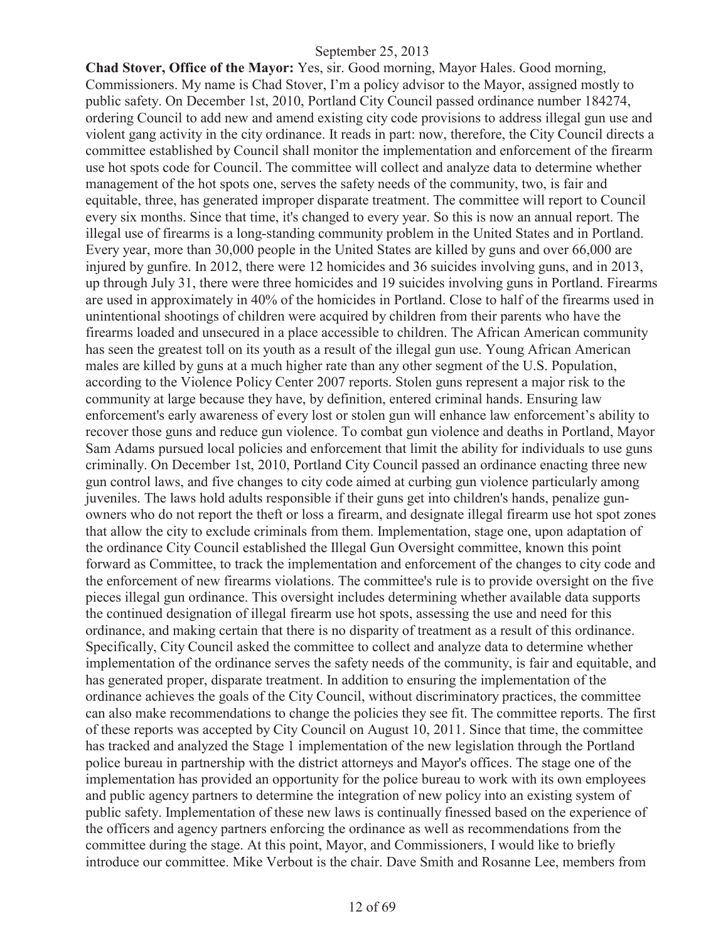**Chad Stover, Office of the Mayor:** Yes, sir. Good morning, Mayor Hales. Good morning, Commissioners. My name is Chad Stover, I'm a policy advisor to the Mayor, assigned mostly to public safety. On December 1st, 2010, Portland City Council passed ordinance number 184274, ordering Council to add new and amend existing city code provisions to address illegal gun use and violent gang activity in the city ordinance. It reads in part: now, therefore, the City Council directs a committee established by Council shall monitor the implementation and enforcement of the firearm use hot spots code for Council. The committee will collect and analyze data to determine whether management of the hot spots one, serves the safety needs of the community, two, is fair and equitable, three, has generated improper disparate treatment. The committee will report to Council every six months. Since that time, it's changed to every year. So this is now an annual report. The illegal use of firearms is a long-standing community problem in the United States and in Portland. Every year, more than 30,000 people in the United States are killed by guns and over 66,000 are injured by gunfire. In 2012, there were 12 homicides and 36 suicides involving guns, and in 2013, up through July 31, there were three homicides and 19 suicides involving guns in Portland. Firearms are used in approximately in 40% of the homicides in Portland. Close to half of the firearms used in unintentional shootings of children were acquired by children from their parents who have the firearms loaded and unsecured in a place accessible to children. The African American community has seen the greatest toll on its youth as a result of the illegal gun use. Young African American males are killed by guns at a much higher rate than any other segment of the U.S. Population, according to the Violence Policy Center 2007 reports. Stolen guns represent a major risk to the community at large because they have, by definition, entered criminal hands. Ensuring law enforcement's early awareness of every lost or stolen gun will enhance law enforcement's ability to recover those guns and reduce gun violence. To combat gun violence and deaths in Portland, Mayor Sam Adams pursued local policies and enforcement that limit the ability for individuals to use guns criminally. On December 1st, 2010, Portland City Council passed an ordinance enacting three new gun control laws, and five changes to city code aimed at curbing gun violence particularly among juveniles. The laws hold adults responsible if their guns get into children's hands, penalize gunowners who do not report the theft or loss a firearm, and designate illegal firearm use hot spot zones that allow the city to exclude criminals from them. Implementation, stage one, upon adaptation of the ordinance City Council established the Illegal Gun Oversight committee, known this point forward as Committee, to track the implementation and enforcement of the changes to city code and the enforcement of new firearms violations. The committee's rule is to provide oversight on the five pieces illegal gun ordinance. This oversight includes determining whether available data supports the continued designation of illegal firearm use hot spots, assessing the use and need for this ordinance, and making certain that there is no disparity of treatment as a result of this ordinance. Specifically, City Council asked the committee to collect and analyze data to determine whether implementation of the ordinance serves the safety needs of the community, is fair and equitable, and has generated proper, disparate treatment. In addition to ensuring the implementation of the ordinance achieves the goals of the City Council, without discriminatory practices, the committee can also make recommendations to change the policies they see fit. The committee reports. The first of these reports was accepted by City Council on August 10, 2011. Since that time, the committee has tracked and analyzed the Stage 1 implementation of the new legislation through the Portland police bureau in partnership with the district attorneys and Mayor's offices. The stage one of the implementation has provided an opportunity for the police bureau to work with its own employees and public agency partners to determine the integration of new policy into an existing system of public safety. Implementation of these new laws is continually finessed based on the experience of the officers and agency partners enforcing the ordinance as well as recommendations from the committee during the stage. At this point, Mayor, and Commissioners, I would like to briefly introduce our committee. Mike Verbout is the chair. Dave Smith and Rosanne Lee, members from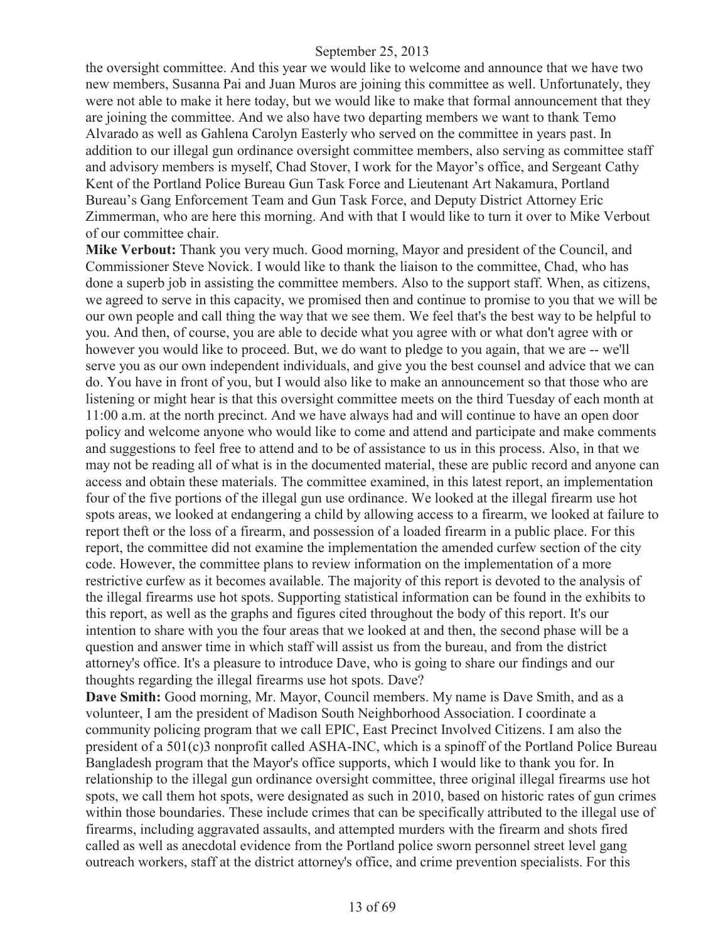the oversight committee. And this year we would like to welcome and announce that we have two new members, Susanna Pai and Juan Muros are joining this committee as well. Unfortunately, they were not able to make it here today, but we would like to make that formal announcement that they are joining the committee. And we also have two departing members we want to thank Temo Alvarado as well as Gahlena Carolyn Easterly who served on the committee in years past. In addition to our illegal gun ordinance oversight committee members, also serving as committee staff and advisory members is myself, Chad Stover, I work for the Mayor's office, and Sergeant Cathy Kent of the Portland Police Bureau Gun Task Force and Lieutenant Art Nakamura, Portland Bureau's Gang Enforcement Team and Gun Task Force, and Deputy District Attorney Eric Zimmerman, who are here this morning. And with that I would like to turn it over to Mike Verbout of our committee chair.

**Mike Verbout:** Thank you very much. Good morning, Mayor and president of the Council, and Commissioner Steve Novick. I would like to thank the liaison to the committee, Chad, who has done a superb job in assisting the committee members. Also to the support staff. When, as citizens, we agreed to serve in this capacity, we promised then and continue to promise to you that we will be our own people and call thing the way that we see them. We feel that's the best way to be helpful to you. And then, of course, you are able to decide what you agree with or what don't agree with or however you would like to proceed. But, we do want to pledge to you again, that we are -- we'll serve you as our own independent individuals, and give you the best counsel and advice that we can do. You have in front of you, but I would also like to make an announcement so that those who are listening or might hear is that this oversight committee meets on the third Tuesday of each month at 11:00 a.m. at the north precinct. And we have always had and will continue to have an open door policy and welcome anyone who would like to come and attend and participate and make comments and suggestions to feel free to attend and to be of assistance to us in this process. Also, in that we may not be reading all of what is in the documented material, these are public record and anyone can access and obtain these materials. The committee examined, in this latest report, an implementation four of the five portions of the illegal gun use ordinance. We looked at the illegal firearm use hot spots areas, we looked at endangering a child by allowing access to a firearm, we looked at failure to report theft or the loss of a firearm, and possession of a loaded firearm in a public place. For this report, the committee did not examine the implementation the amended curfew section of the city code. However, the committee plans to review information on the implementation of a more restrictive curfew as it becomes available. The majority of this report is devoted to the analysis of the illegal firearms use hot spots. Supporting statistical information can be found in the exhibits to this report, as well as the graphs and figures cited throughout the body of this report. It's our intention to share with you the four areas that we looked at and then, the second phase will be a question and answer time in which staff will assist us from the bureau, and from the district attorney's office. It's a pleasure to introduce Dave, who is going to share our findings and our thoughts regarding the illegal firearms use hot spots. Dave?

**Dave Smith:** Good morning, Mr. Mayor, Council members. My name is Dave Smith, and as a volunteer, I am the president of Madison South Neighborhood Association. I coordinate a community policing program that we call EPIC, East Precinct Involved Citizens. I am also the president of a 501(c)3 nonprofit called ASHA-INC, which is a spinoff of the Portland Police Bureau Bangladesh program that the Mayor's office supports, which I would like to thank you for. In relationship to the illegal gun ordinance oversight committee, three original illegal firearms use hot spots, we call them hot spots, were designated as such in 2010, based on historic rates of gun crimes within those boundaries. These include crimes that can be specifically attributed to the illegal use of firearms, including aggravated assaults, and attempted murders with the firearm and shots fired called as well as anecdotal evidence from the Portland police sworn personnel street level gang outreach workers, staff at the district attorney's office, and crime prevention specialists. For this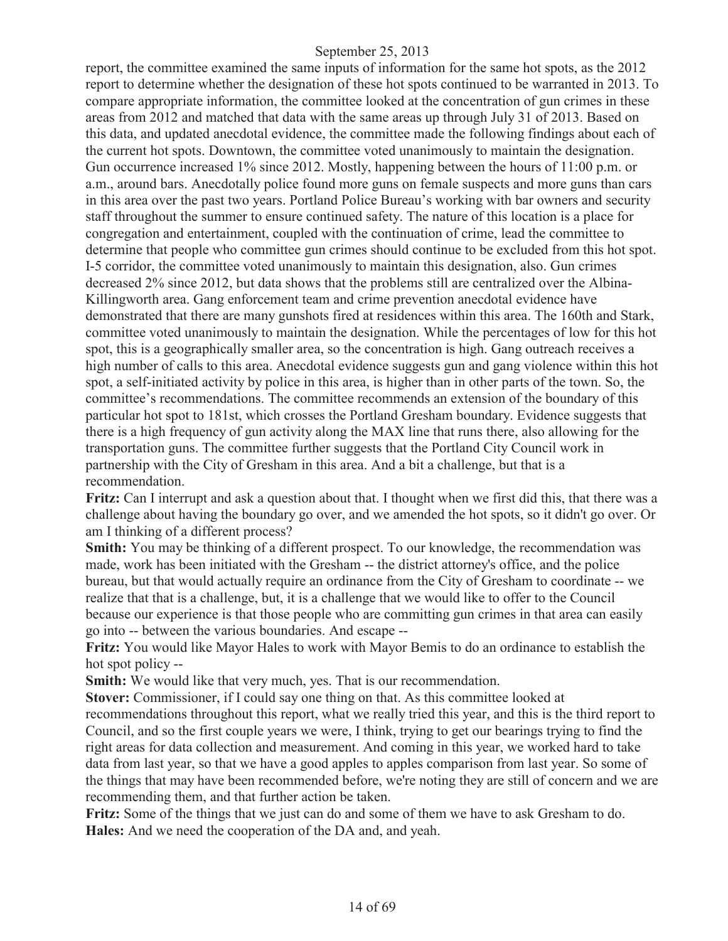report, the committee examined the same inputs of information for the same hot spots, as the 2012 report to determine whether the designation of these hot spots continued to be warranted in 2013. To compare appropriate information, the committee looked at the concentration of gun crimes in these areas from 2012 and matched that data with the same areas up through July 31 of 2013. Based on this data, and updated anecdotal evidence, the committee made the following findings about each of the current hot spots. Downtown, the committee voted unanimously to maintain the designation. Gun occurrence increased 1% since 2012. Mostly, happening between the hours of 11:00 p.m. or a.m., around bars. Anecdotally police found more guns on female suspects and more guns than cars in this area over the past two years. Portland Police Bureau's working with bar owners and security staff throughout the summer to ensure continued safety. The nature of this location is a place for congregation and entertainment, coupled with the continuation of crime, lead the committee to determine that people who committee gun crimes should continue to be excluded from this hot spot. I-5 corridor, the committee voted unanimously to maintain this designation, also. Gun crimes decreased 2% since 2012, but data shows that the problems still are centralized over the Albina-Killingworth area. Gang enforcement team and crime prevention anecdotal evidence have demonstrated that there are many gunshots fired at residences within this area. The 160th and Stark, committee voted unanimously to maintain the designation. While the percentages of low for this hot spot, this is a geographically smaller area, so the concentration is high. Gang outreach receives a high number of calls to this area. Anecdotal evidence suggests gun and gang violence within this hot spot, a self-initiated activity by police in this area, is higher than in other parts of the town. So, the committee's recommendations. The committee recommends an extension of the boundary of this particular hot spot to 181st, which crosses the Portland Gresham boundary. Evidence suggests that there is a high frequency of gun activity along the MAX line that runs there, also allowing for the transportation guns. The committee further suggests that the Portland City Council work in partnership with the City of Gresham in this area. And a bit a challenge, but that is a recommendation.

**Fritz:** Can I interrupt and ask a question about that. I thought when we first did this, that there was a challenge about having the boundary go over, and we amended the hot spots, so it didn't go over. Or am I thinking of a different process?

**Smith:** You may be thinking of a different prospect. To our knowledge, the recommendation was made, work has been initiated with the Gresham -- the district attorney's office, and the police bureau, but that would actually require an ordinance from the City of Gresham to coordinate -- we realize that that is a challenge, but, it is a challenge that we would like to offer to the Council because our experience is that those people who are committing gun crimes in that area can easily go into -- between the various boundaries. And escape --

**Fritz:** You would like Mayor Hales to work with Mayor Bemis to do an ordinance to establish the hot spot policy --

Smith: We would like that very much, yes. That is our recommendation.

**Stover:** Commissioner, if I could say one thing on that. As this committee looked at recommendations throughout this report, what we really tried this year, and this is the third report to Council, and so the first couple years we were, I think, trying to get our bearings trying to find the right areas for data collection and measurement. And coming in this year, we worked hard to take data from last year, so that we have a good apples to apples comparison from last year. So some of the things that may have been recommended before, we're noting they are still of concern and we are recommending them, and that further action be taken.

**Fritz:** Some of the things that we just can do and some of them we have to ask Gresham to do. **Hales:** And we need the cooperation of the DA and, and yeah.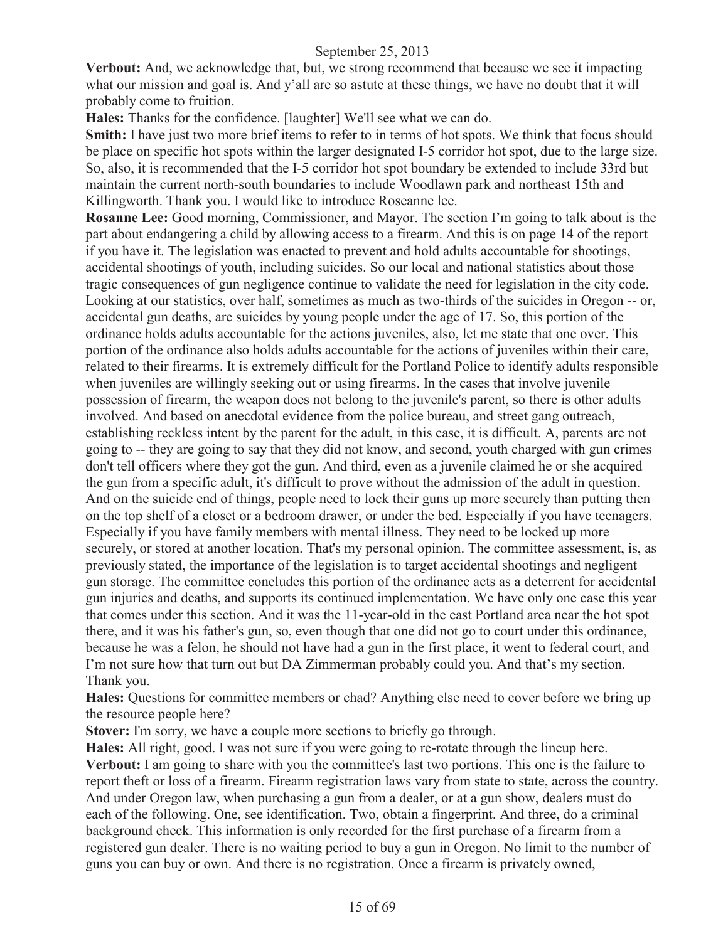**Verbout:** And, we acknowledge that, but, we strong recommend that because we see it impacting what our mission and goal is. And y'all are so astute at these things, we have no doubt that it will probably come to fruition.

**Hales:** Thanks for the confidence. [laughter] We'll see what we can do.

**Smith:** I have just two more brief items to refer to in terms of hot spots. We think that focus should be place on specific hot spots within the larger designated I-5 corridor hot spot, due to the large size. So, also, it is recommended that the I-5 corridor hot spot boundary be extended to include 33rd but maintain the current north-south boundaries to include Woodlawn park and northeast 15th and Killingworth. Thank you. I would like to introduce Roseanne lee.

**Rosanne Lee:** Good morning, Commissioner, and Mayor. The section I'm going to talk about is the part about endangering a child by allowing access to a firearm. And this is on page 14 of the report if you have it. The legislation was enacted to prevent and hold adults accountable for shootings, accidental shootings of youth, including suicides. So our local and national statistics about those tragic consequences of gun negligence continue to validate the need for legislation in the city code. Looking at our statistics, over half, sometimes as much as two-thirds of the suicides in Oregon -- or, accidental gun deaths, are suicides by young people under the age of 17. So, this portion of the ordinance holds adults accountable for the actions juveniles, also, let me state that one over. This portion of the ordinance also holds adults accountable for the actions of juveniles within their care, related to their firearms. It is extremely difficult for the Portland Police to identify adults responsible when juveniles are willingly seeking out or using firearms. In the cases that involve juvenile possession of firearm, the weapon does not belong to the juvenile's parent, so there is other adults involved. And based on anecdotal evidence from the police bureau, and street gang outreach, establishing reckless intent by the parent for the adult, in this case, it is difficult. A, parents are not going to -- they are going to say that they did not know, and second, youth charged with gun crimes don't tell officers where they got the gun. And third, even as a juvenile claimed he or she acquired the gun from a specific adult, it's difficult to prove without the admission of the adult in question. And on the suicide end of things, people need to lock their guns up more securely than putting then on the top shelf of a closet or a bedroom drawer, or under the bed. Especially if you have teenagers. Especially if you have family members with mental illness. They need to be locked up more securely, or stored at another location. That's my personal opinion. The committee assessment, is, as previously stated, the importance of the legislation is to target accidental shootings and negligent gun storage. The committee concludes this portion of the ordinance acts as a deterrent for accidental gun injuries and deaths, and supports its continued implementation. We have only one case this year that comes under this section. And it was the 11-year-old in the east Portland area near the hot spot there, and it was his father's gun, so, even though that one did not go to court under this ordinance, because he was a felon, he should not have had a gun in the first place, it went to federal court, and I'm not sure how that turn out but DA Zimmerman probably could you. And that's my section. Thank you.

**Hales:** Questions for committee members or chad? Anything else need to cover before we bring up the resource people here?

**Stover:** I'm sorry, we have a couple more sections to briefly go through.

**Hales:** All right, good. I was not sure if you were going to re-rotate through the lineup here. **Verbout:** I am going to share with you the committee's last two portions. This one is the failure to report theft or loss of a firearm. Firearm registration laws vary from state to state, across the country. And under Oregon law, when purchasing a gun from a dealer, or at a gun show, dealers must do each of the following. One, see identification. Two, obtain a fingerprint. And three, do a criminal background check. This information is only recorded for the first purchase of a firearm from a registered gun dealer. There is no waiting period to buy a gun in Oregon. No limit to the number of guns you can buy or own. And there is no registration. Once a firearm is privately owned,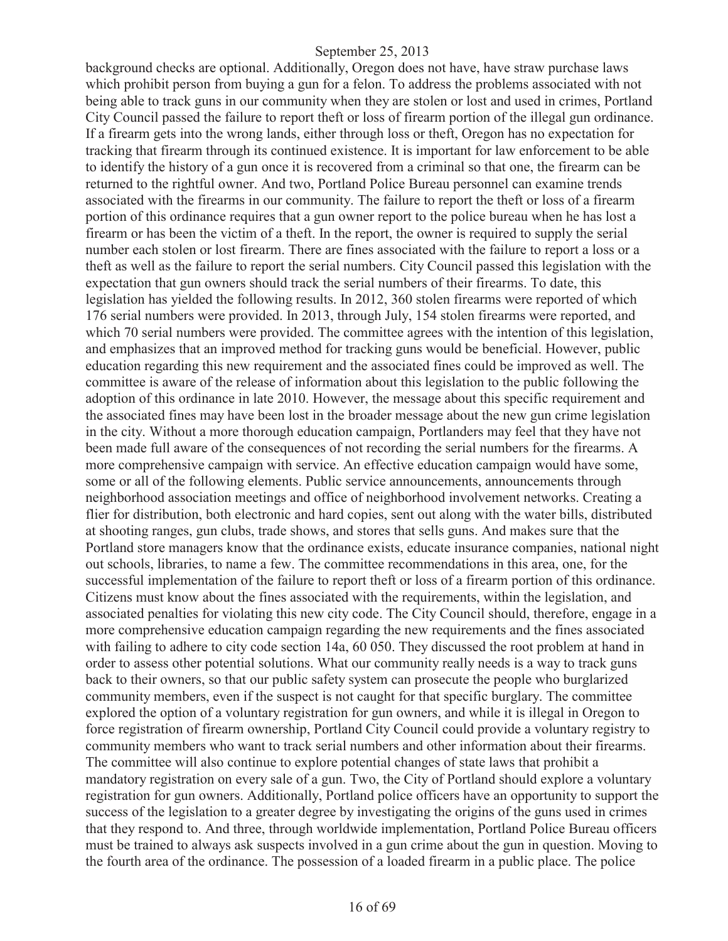background checks are optional. Additionally, Oregon does not have, have straw purchase laws which prohibit person from buying a gun for a felon. To address the problems associated with not being able to track guns in our community when they are stolen or lost and used in crimes, Portland City Council passed the failure to report theft or loss of firearm portion of the illegal gun ordinance. If a firearm gets into the wrong lands, either through loss or theft, Oregon has no expectation for tracking that firearm through its continued existence. It is important for law enforcement to be able to identify the history of a gun once it is recovered from a criminal so that one, the firearm can be returned to the rightful owner. And two, Portland Police Bureau personnel can examine trends associated with the firearms in our community. The failure to report the theft or loss of a firearm portion of this ordinance requires that a gun owner report to the police bureau when he has lost a firearm or has been the victim of a theft. In the report, the owner is required to supply the serial number each stolen or lost firearm. There are fines associated with the failure to report a loss or a theft as well as the failure to report the serial numbers. City Council passed this legislation with the expectation that gun owners should track the serial numbers of their firearms. To date, this legislation has yielded the following results. In 2012, 360 stolen firearms were reported of which 176 serial numbers were provided. In 2013, through July, 154 stolen firearms were reported, and which 70 serial numbers were provided. The committee agrees with the intention of this legislation, and emphasizes that an improved method for tracking guns would be beneficial. However, public education regarding this new requirement and the associated fines could be improved as well. The committee is aware of the release of information about this legislation to the public following the adoption of this ordinance in late 2010. However, the message about this specific requirement and the associated fines may have been lost in the broader message about the new gun crime legislation in the city. Without a more thorough education campaign, Portlanders may feel that they have not been made full aware of the consequences of not recording the serial numbers for the firearms. A more comprehensive campaign with service. An effective education campaign would have some, some or all of the following elements. Public service announcements, announcements through neighborhood association meetings and office of neighborhood involvement networks. Creating a flier for distribution, both electronic and hard copies, sent out along with the water bills, distributed at shooting ranges, gun clubs, trade shows, and stores that sells guns. And makes sure that the Portland store managers know that the ordinance exists, educate insurance companies, national night out schools, libraries, to name a few. The committee recommendations in this area, one, for the successful implementation of the failure to report theft or loss of a firearm portion of this ordinance. Citizens must know about the fines associated with the requirements, within the legislation, and associated penalties for violating this new city code. The City Council should, therefore, engage in a more comprehensive education campaign regarding the new requirements and the fines associated with failing to adhere to city code section 14a, 60 050. They discussed the root problem at hand in order to assess other potential solutions. What our community really needs is a way to track guns back to their owners, so that our public safety system can prosecute the people who burglarized community members, even if the suspect is not caught for that specific burglary. The committee explored the option of a voluntary registration for gun owners, and while it is illegal in Oregon to force registration of firearm ownership, Portland City Council could provide a voluntary registry to community members who want to track serial numbers and other information about their firearms. The committee will also continue to explore potential changes of state laws that prohibit a mandatory registration on every sale of a gun. Two, the City of Portland should explore a voluntary registration for gun owners. Additionally, Portland police officers have an opportunity to support the success of the legislation to a greater degree by investigating the origins of the guns used in crimes that they respond to. And three, through worldwide implementation, Portland Police Bureau officers must be trained to always ask suspects involved in a gun crime about the gun in question. Moving to the fourth area of the ordinance. The possession of a loaded firearm in a public place. The police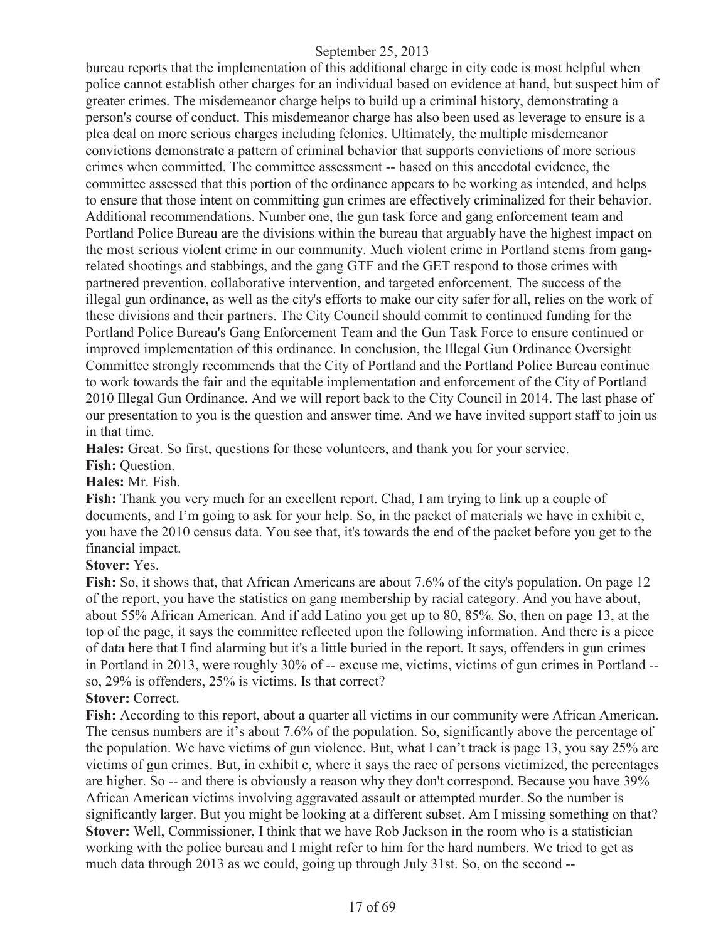bureau reports that the implementation of this additional charge in city code is most helpful when police cannot establish other charges for an individual based on evidence at hand, but suspect him of greater crimes. The misdemeanor charge helps to build up a criminal history, demonstrating a person's course of conduct. This misdemeanor charge has also been used as leverage to ensure is a plea deal on more serious charges including felonies. Ultimately, the multiple misdemeanor convictions demonstrate a pattern of criminal behavior that supports convictions of more serious crimes when committed. The committee assessment -- based on this anecdotal evidence, the committee assessed that this portion of the ordinance appears to be working as intended, and helps to ensure that those intent on committing gun crimes are effectively criminalized for their behavior. Additional recommendations. Number one, the gun task force and gang enforcement team and Portland Police Bureau are the divisions within the bureau that arguably have the highest impact on the most serious violent crime in our community. Much violent crime in Portland stems from gangrelated shootings and stabbings, and the gang GTF and the GET respond to those crimes with partnered prevention, collaborative intervention, and targeted enforcement. The success of the illegal gun ordinance, as well as the city's efforts to make our city safer for all, relies on the work of these divisions and their partners. The City Council should commit to continued funding for the Portland Police Bureau's Gang Enforcement Team and the Gun Task Force to ensure continued or improved implementation of this ordinance. In conclusion, the Illegal Gun Ordinance Oversight Committee strongly recommends that the City of Portland and the Portland Police Bureau continue to work towards the fair and the equitable implementation and enforcement of the City of Portland 2010 Illegal Gun Ordinance. And we will report back to the City Council in 2014. The last phase of our presentation to you is the question and answer time. And we have invited support staff to join us in that time.

**Hales:** Great. So first, questions for these volunteers, and thank you for your service.

Fish: Ouestion.

**Hales:** Mr. Fish.

**Fish:** Thank you very much for an excellent report. Chad, I am trying to link up a couple of documents, and I'm going to ask for your help. So, in the packet of materials we have in exhibit c, you have the 2010 census data. You see that, it's towards the end of the packet before you get to the financial impact.

## **Stover:** Yes.

**Fish:** So, it shows that, that African Americans are about 7.6% of the city's population. On page 12 of the report, you have the statistics on gang membership by racial category. And you have about, about 55% African American. And if add Latino you get up to 80, 85%. So, then on page 13, at the top of the page, it says the committee reflected upon the following information. And there is a piece of data here that I find alarming but it's a little buried in the report. It says, offenders in gun crimes in Portland in 2013, were roughly 30% of -- excuse me, victims, victims of gun crimes in Portland - so, 29% is offenders, 25% is victims. Is that correct?

## **Stover: Correct.**

**Fish:** According to this report, about a quarter all victims in our community were African American. The census numbers are it's about 7.6% of the population. So, significantly above the percentage of the population. We have victims of gun violence. But, what I can't track is page 13, you say 25% are victims of gun crimes. But, in exhibit c, where it says the race of persons victimized, the percentages are higher. So -- and there is obviously a reason why they don't correspond. Because you have 39% African American victims involving aggravated assault or attempted murder. So the number is significantly larger. But you might be looking at a different subset. Am I missing something on that? **Stover:** Well, Commissioner, I think that we have Rob Jackson in the room who is a statistician working with the police bureau and I might refer to him for the hard numbers. We tried to get as much data through 2013 as we could, going up through July 31st. So, on the second --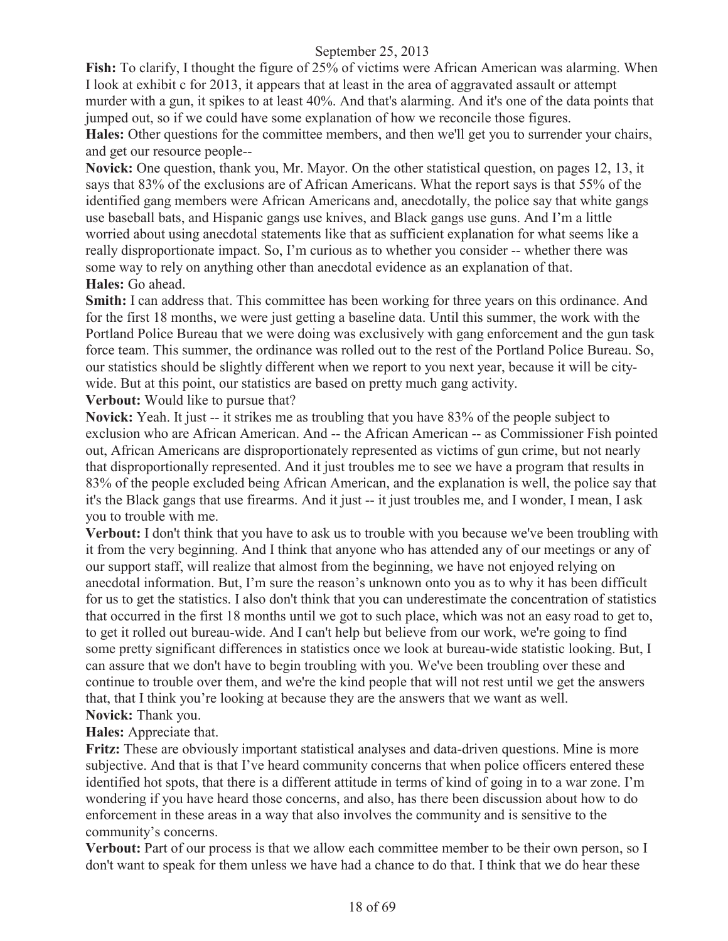**Fish:** To clarify, I thought the figure of 25% of victims were African American was alarming. When I look at exhibit c for 2013, it appears that at least in the area of aggravated assault or attempt murder with a gun, it spikes to at least 40%. And that's alarming. And it's one of the data points that jumped out, so if we could have some explanation of how we reconcile those figures.

**Hales:** Other questions for the committee members, and then we'll get you to surrender your chairs, and get our resource people--

**Novick:** One question, thank you, Mr. Mayor. On the other statistical question, on pages 12, 13, it says that 83% of the exclusions are of African Americans. What the report says is that 55% of the identified gang members were African Americans and, anecdotally, the police say that white gangs use baseball bats, and Hispanic gangs use knives, and Black gangs use guns. And I'm a little worried about using anecdotal statements like that as sufficient explanation for what seems like a really disproportionate impact. So, I'm curious as to whether you consider -- whether there was some way to rely on anything other than anecdotal evidence as an explanation of that. **Hales:** Go ahead.

**Smith:** I can address that. This committee has been working for three years on this ordinance. And for the first 18 months, we were just getting a baseline data. Until this summer, the work with the Portland Police Bureau that we were doing was exclusively with gang enforcement and the gun task force team. This summer, the ordinance was rolled out to the rest of the Portland Police Bureau. So, our statistics should be slightly different when we report to you next year, because it will be citywide. But at this point, our statistics are based on pretty much gang activity.

**Verbout:** Would like to pursue that?

**Novick:** Yeah. It just -- it strikes me as troubling that you have 83% of the people subject to exclusion who are African American. And -- the African American -- as Commissioner Fish pointed out, African Americans are disproportionately represented as victims of gun crime, but not nearly that disproportionally represented. And it just troubles me to see we have a program that results in 83% of the people excluded being African American, and the explanation is well, the police say that it's the Black gangs that use firearms. And it just -- it just troubles me, and I wonder, I mean, I ask you to trouble with me.

**Verbout:** I don't think that you have to ask us to trouble with you because we've been troubling with it from the very beginning. And I think that anyone who has attended any of our meetings or any of our support staff, will realize that almost from the beginning, we have not enjoyed relying on anecdotal information. But, I'm sure the reason's unknown onto you as to why it has been difficult for us to get the statistics. I also don't think that you can underestimate the concentration of statistics that occurred in the first 18 months until we got to such place, which was not an easy road to get to, to get it rolled out bureau-wide. And I can't help but believe from our work, we're going to find some pretty significant differences in statistics once we look at bureau-wide statistic looking. But, I can assure that we don't have to begin troubling with you. We've been troubling over these and continue to trouble over them, and we're the kind people that will not rest until we get the answers that, that I think you're looking at because they are the answers that we want as well. **Novick:** Thank you.

**Hales:** Appreciate that.

**Fritz:** These are obviously important statistical analyses and data-driven questions. Mine is more subjective. And that is that I've heard community concerns that when police officers entered these identified hot spots, that there is a different attitude in terms of kind of going in to a war zone. I'm wondering if you have heard those concerns, and also, has there been discussion about how to do enforcement in these areas in a way that also involves the community and is sensitive to the community's concerns.

**Verbout:** Part of our process is that we allow each committee member to be their own person, so I don't want to speak for them unless we have had a chance to do that. I think that we do hear these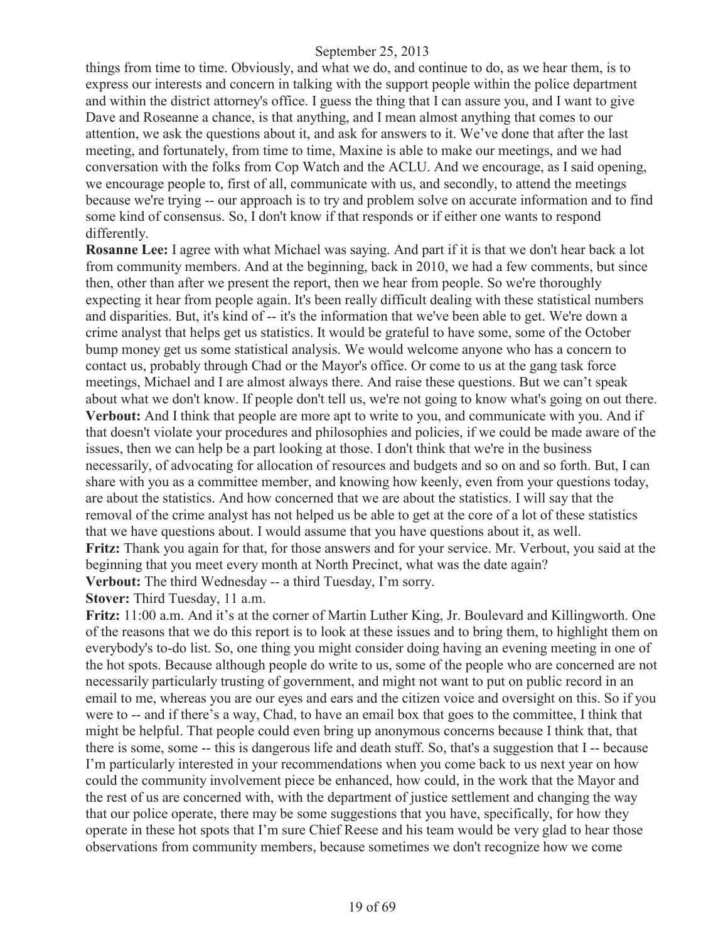things from time to time. Obviously, and what we do, and continue to do, as we hear them, is to express our interests and concern in talking with the support people within the police department and within the district attorney's office. I guess the thing that I can assure you, and I want to give Dave and Roseanne a chance, is that anything, and I mean almost anything that comes to our attention, we ask the questions about it, and ask for answers to it. We've done that after the last meeting, and fortunately, from time to time, Maxine is able to make our meetings, and we had conversation with the folks from Cop Watch and the ACLU. And we encourage, as I said opening, we encourage people to, first of all, communicate with us, and secondly, to attend the meetings because we're trying -- our approach is to try and problem solve on accurate information and to find some kind of consensus. So, I don't know if that responds or if either one wants to respond differently.

**Rosanne Lee:** I agree with what Michael was saying. And part if it is that we don't hear back a lot from community members. And at the beginning, back in 2010, we had a few comments, but since then, other than after we present the report, then we hear from people. So we're thoroughly expecting it hear from people again. It's been really difficult dealing with these statistical numbers and disparities. But, it's kind of -- it's the information that we've been able to get. We're down a crime analyst that helps get us statistics. It would be grateful to have some, some of the October bump money get us some statistical analysis. We would welcome anyone who has a concern to contact us, probably through Chad or the Mayor's office. Or come to us at the gang task force meetings, Michael and I are almost always there. And raise these questions. But we can't speak about what we don't know. If people don't tell us, we're not going to know what's going on out there. **Verbout:** And I think that people are more apt to write to you, and communicate with you. And if that doesn't violate your procedures and philosophies and policies, if we could be made aware of the issues, then we can help be a part looking at those. I don't think that we're in the business necessarily, of advocating for allocation of resources and budgets and so on and so forth. But, I can share with you as a committee member, and knowing how keenly, even from your questions today, are about the statistics. And how concerned that we are about the statistics. I will say that the removal of the crime analyst has not helped us be able to get at the core of a lot of these statistics that we have questions about. I would assume that you have questions about it, as well. **Fritz:** Thank you again for that, for those answers and for your service. Mr. Verbout, you said at the beginning that you meet every month at North Precinct, what was the date again? **Verbout:** The third Wednesday -- a third Tuesday, I'm sorry.

**Stover:** Third Tuesday, 11 a.m.

**Fritz:** 11:00 a.m. And it's at the corner of Martin Luther King, Jr. Boulevard and Killingworth. One of the reasons that we do this report is to look at these issues and to bring them, to highlight them on everybody's to-do list. So, one thing you might consider doing having an evening meeting in one of the hot spots. Because although people do write to us, some of the people who are concerned are not necessarily particularly trusting of government, and might not want to put on public record in an email to me, whereas you are our eyes and ears and the citizen voice and oversight on this. So if you were to -- and if there's a way, Chad, to have an email box that goes to the committee, I think that might be helpful. That people could even bring up anonymous concerns because I think that, that there is some, some -- this is dangerous life and death stuff. So, that's a suggestion that I -- because I'm particularly interested in your recommendations when you come back to us next year on how could the community involvement piece be enhanced, how could, in the work that the Mayor and the rest of us are concerned with, with the department of justice settlement and changing the way that our police operate, there may be some suggestions that you have, specifically, for how they operate in these hot spots that I'm sure Chief Reese and his team would be very glad to hear those observations from community members, because sometimes we don't recognize how we come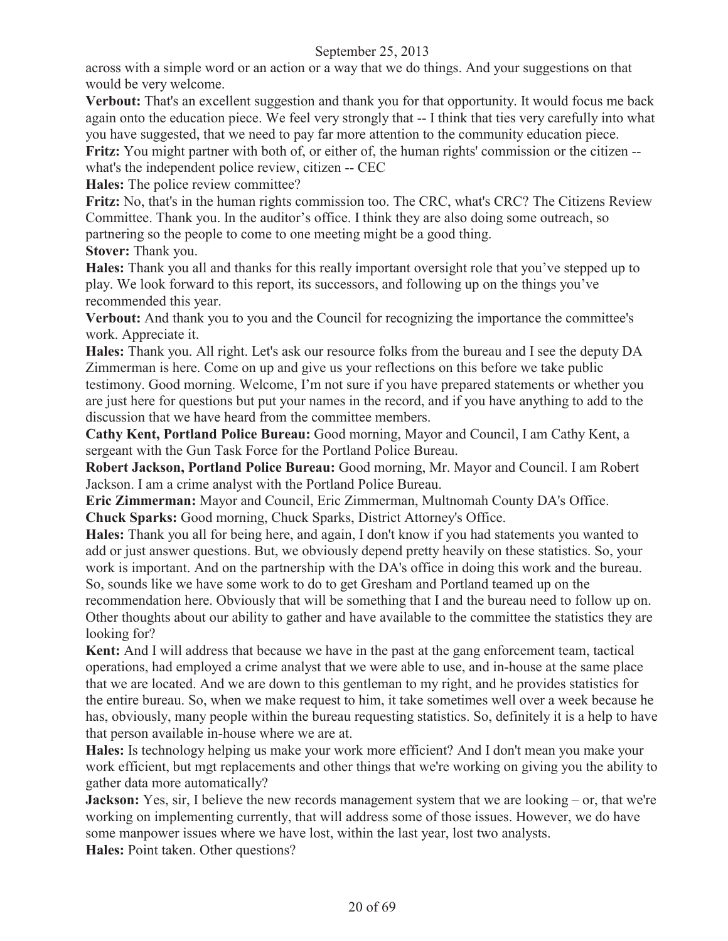across with a simple word or an action or a way that we do things. And your suggestions on that would be very welcome.

**Verbout:** That's an excellent suggestion and thank you for that opportunity. It would focus me back again onto the education piece. We feel very strongly that -- I think that ties very carefully into what you have suggested, that we need to pay far more attention to the community education piece.

**Fritz:** You might partner with both of, or either of, the human rights' commission or the citizen - what's the independent police review, citizen -- CEC

**Hales:** The police review committee?

**Fritz:** No, that's in the human rights commission too. The CRC, what's CRC? The Citizens Review Committee. Thank you. In the auditor's office. I think they are also doing some outreach, so partnering so the people to come to one meeting might be a good thing.

**Stover:** Thank you.

**Hales:** Thank you all and thanks for this really important oversight role that you've stepped up to play. We look forward to this report, its successors, and following up on the things you've recommended this year.

**Verbout:** And thank you to you and the Council for recognizing the importance the committee's work. Appreciate it.

**Hales:** Thank you. All right. Let's ask our resource folks from the bureau and I see the deputy DA Zimmerman is here. Come on up and give us your reflections on this before we take public testimony. Good morning. Welcome, I'm not sure if you have prepared statements or whether you are just here for questions but put your names in the record, and if you have anything to add to the discussion that we have heard from the committee members.

**Cathy Kent, Portland Police Bureau:** Good morning, Mayor and Council, I am Cathy Kent, a sergeant with the Gun Task Force for the Portland Police Bureau.

**Robert Jackson, Portland Police Bureau:** Good morning, Mr. Mayor and Council. I am Robert Jackson. I am a crime analyst with the Portland Police Bureau.

**Eric Zimmerman:** Mayor and Council, Eric Zimmerman, Multnomah County DA's Office.

**Chuck Sparks:** Good morning, Chuck Sparks, District Attorney's Office.

**Hales:** Thank you all for being here, and again, I don't know if you had statements you wanted to add or just answer questions. But, we obviously depend pretty heavily on these statistics. So, your work is important. And on the partnership with the DA's office in doing this work and the bureau. So, sounds like we have some work to do to get Gresham and Portland teamed up on the

recommendation here. Obviously that will be something that I and the bureau need to follow up on. Other thoughts about our ability to gather and have available to the committee the statistics they are looking for?

**Kent:** And I will address that because we have in the past at the gang enforcement team, tactical operations, had employed a crime analyst that we were able to use, and in-house at the same place that we are located. And we are down to this gentleman to my right, and he provides statistics for the entire bureau. So, when we make request to him, it take sometimes well over a week because he has, obviously, many people within the bureau requesting statistics. So, definitely it is a help to have that person available in-house where we are at.

**Hales:** Is technology helping us make your work more efficient? And I don't mean you make your work efficient, but mgt replacements and other things that we're working on giving you the ability to gather data more automatically?

**Jackson:** Yes, sir, I believe the new records management system that we are looking – or, that we're working on implementing currently, that will address some of those issues. However, we do have some manpower issues where we have lost, within the last year, lost two analysts.

**Hales:** Point taken. Other questions?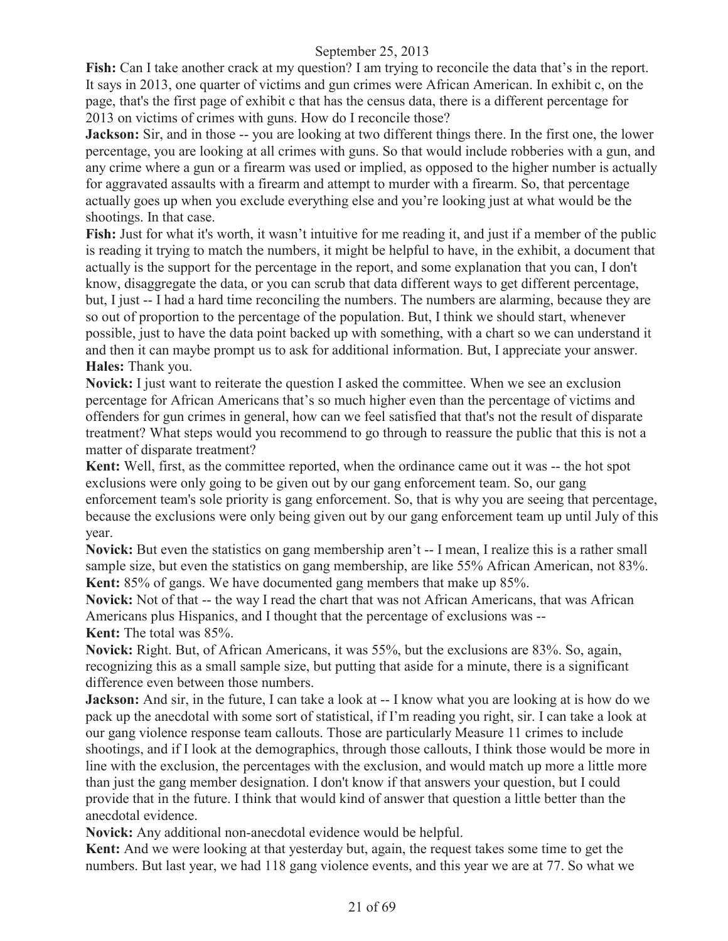**Fish:** Can I take another crack at my question? I am trying to reconcile the data that's in the report. It says in 2013, one quarter of victims and gun crimes were African American. In exhibit c, on the page, that's the first page of exhibit c that has the census data, there is a different percentage for 2013 on victims of crimes with guns. How do I reconcile those?

**Jackson:** Sir, and in those -- you are looking at two different things there. In the first one, the lower percentage, you are looking at all crimes with guns. So that would include robberies with a gun, and any crime where a gun or a firearm was used or implied, as opposed to the higher number is actually for aggravated assaults with a firearm and attempt to murder with a firearm. So, that percentage actually goes up when you exclude everything else and you're looking just at what would be the shootings. In that case.

**Fish:** Just for what it's worth, it wasn't intuitive for me reading it, and just if a member of the public is reading it trying to match the numbers, it might be helpful to have, in the exhibit, a document that actually is the support for the percentage in the report, and some explanation that you can, I don't know, disaggregate the data, or you can scrub that data different ways to get different percentage, but, I just -- I had a hard time reconciling the numbers. The numbers are alarming, because they are so out of proportion to the percentage of the population. But, I think we should start, whenever possible, just to have the data point backed up with something, with a chart so we can understand it and then it can maybe prompt us to ask for additional information. But, I appreciate your answer. **Hales:** Thank you.

**Novick:** I just want to reiterate the question I asked the committee. When we see an exclusion percentage for African Americans that's so much higher even than the percentage of victims and offenders for gun crimes in general, how can we feel satisfied that that's not the result of disparate treatment? What steps would you recommend to go through to reassure the public that this is not a matter of disparate treatment?

**Kent:** Well, first, as the committee reported, when the ordinance came out it was -- the hot spot exclusions were only going to be given out by our gang enforcement team. So, our gang enforcement team's sole priority is gang enforcement. So, that is why you are seeing that percentage, because the exclusions were only being given out by our gang enforcement team up until July of this year.

**Novick:** But even the statistics on gang membership aren't -- I mean, I realize this is a rather small sample size, but even the statistics on gang membership, are like 55% African American, not 83%. **Kent:** 85% of gangs. We have documented gang members that make up 85%.

**Novick:** Not of that -- the way I read the chart that was not African Americans, that was African Americans plus Hispanics, and I thought that the percentage of exclusions was -- **Kent:** The total was 85%.

**Novick:** Right. But, of African Americans, it was 55%, but the exclusions are 83%. So, again, recognizing this as a small sample size, but putting that aside for a minute, there is a significant difference even between those numbers.

**Jackson:** And sir, in the future, I can take a look at -- I know what you are looking at is how do we pack up the anecdotal with some sort of statistical, if I'm reading you right, sir. I can take a look at our gang violence response team callouts. Those are particularly Measure 11 crimes to include shootings, and if I look at the demographics, through those callouts, I think those would be more in line with the exclusion, the percentages with the exclusion, and would match up more a little more than just the gang member designation. I don't know if that answers your question, but I could provide that in the future. I think that would kind of answer that question a little better than the anecdotal evidence.

**Novick:** Any additional non-anecdotal evidence would be helpful.

**Kent:** And we were looking at that yesterday but, again, the request takes some time to get the numbers. But last year, we had 118 gang violence events, and this year we are at 77. So what we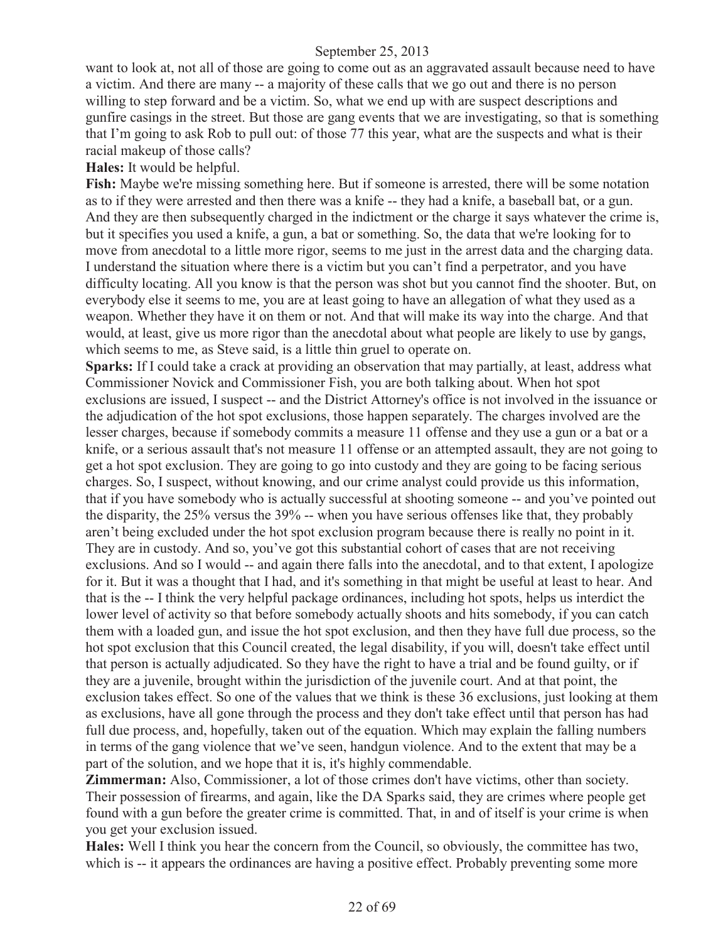want to look at, not all of those are going to come out as an aggravated assault because need to have a victim. And there are many -- a majority of these calls that we go out and there is no person willing to step forward and be a victim. So, what we end up with are suspect descriptions and gunfire casings in the street. But those are gang events that we are investigating, so that is something that I'm going to ask Rob to pull out: of those 77 this year, what are the suspects and what is their racial makeup of those calls?

**Hales:** It would be helpful.

**Fish:** Maybe we're missing something here. But if someone is arrested, there will be some notation as to if they were arrested and then there was a knife -- they had a knife, a baseball bat, or a gun. And they are then subsequently charged in the indictment or the charge it says whatever the crime is, but it specifies you used a knife, a gun, a bat or something. So, the data that we're looking for to move from anecdotal to a little more rigor, seems to me just in the arrest data and the charging data. I understand the situation where there is a victim but you can't find a perpetrator, and you have difficulty locating. All you know is that the person was shot but you cannot find the shooter. But, on everybody else it seems to me, you are at least going to have an allegation of what they used as a weapon. Whether they have it on them or not. And that will make its way into the charge. And that would, at least, give us more rigor than the anecdotal about what people are likely to use by gangs, which seems to me, as Steve said, is a little thin gruel to operate on.

**Sparks:** If I could take a crack at providing an observation that may partially, at least, address what Commissioner Novick and Commissioner Fish, you are both talking about. When hot spot exclusions are issued, I suspect -- and the District Attorney's office is not involved in the issuance or the adjudication of the hot spot exclusions, those happen separately. The charges involved are the lesser charges, because if somebody commits a measure 11 offense and they use a gun or a bat or a knife, or a serious assault that's not measure 11 offense or an attempted assault, they are not going to get a hot spot exclusion. They are going to go into custody and they are going to be facing serious charges. So, I suspect, without knowing, and our crime analyst could provide us this information, that if you have somebody who is actually successful at shooting someone -- and you've pointed out the disparity, the 25% versus the 39% -- when you have serious offenses like that, they probably aren't being excluded under the hot spot exclusion program because there is really no point in it. They are in custody. And so, you've got this substantial cohort of cases that are not receiving exclusions. And so I would -- and again there falls into the anecdotal, and to that extent, I apologize for it. But it was a thought that I had, and it's something in that might be useful at least to hear. And that is the -- I think the very helpful package ordinances, including hot spots, helps us interdict the lower level of activity so that before somebody actually shoots and hits somebody, if you can catch them with a loaded gun, and issue the hot spot exclusion, and then they have full due process, so the hot spot exclusion that this Council created, the legal disability, if you will, doesn't take effect until that person is actually adjudicated. So they have the right to have a trial and be found guilty, or if they are a juvenile, brought within the jurisdiction of the juvenile court. And at that point, the exclusion takes effect. So one of the values that we think is these 36 exclusions, just looking at them as exclusions, have all gone through the process and they don't take effect until that person has had full due process, and, hopefully, taken out of the equation. Which may explain the falling numbers in terms of the gang violence that we've seen, handgun violence. And to the extent that may be a part of the solution, and we hope that it is, it's highly commendable.

**Zimmerman:** Also, Commissioner, a lot of those crimes don't have victims, other than society. Their possession of firearms, and again, like the DA Sparks said, they are crimes where people get found with a gun before the greater crime is committed. That, in and of itself is your crime is when you get your exclusion issued.

**Hales:** Well I think you hear the concern from the Council, so obviously, the committee has two, which is -- it appears the ordinances are having a positive effect. Probably preventing some more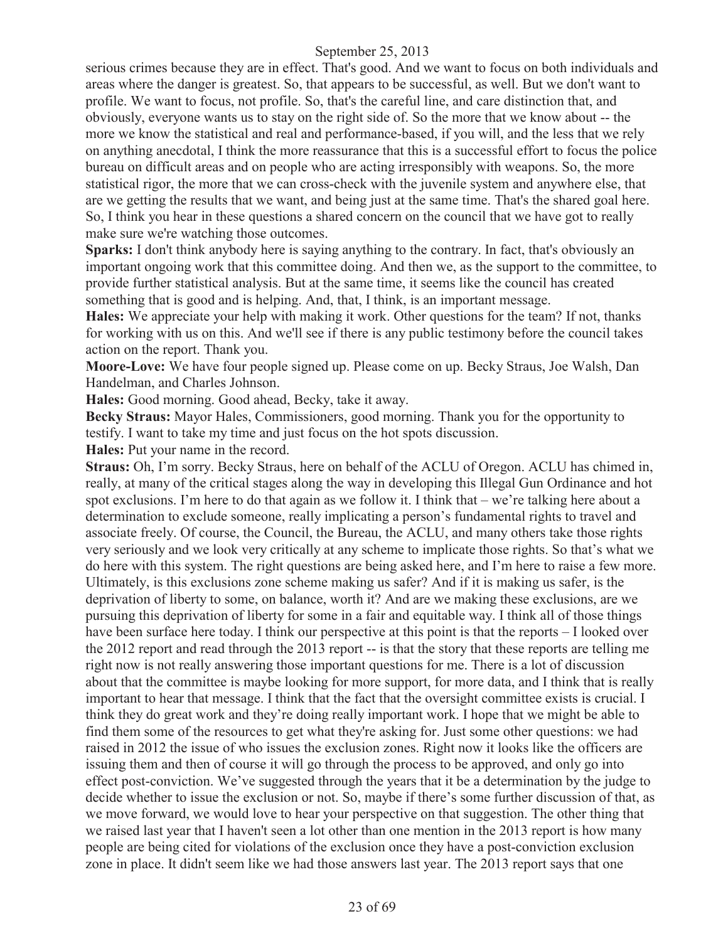serious crimes because they are in effect. That's good. And we want to focus on both individuals and areas where the danger is greatest. So, that appears to be successful, as well. But we don't want to profile. We want to focus, not profile. So, that's the careful line, and care distinction that, and obviously, everyone wants us to stay on the right side of. So the more that we know about -- the more we know the statistical and real and performance-based, if you will, and the less that we rely on anything anecdotal, I think the more reassurance that this is a successful effort to focus the police bureau on difficult areas and on people who are acting irresponsibly with weapons. So, the more statistical rigor, the more that we can cross-check with the juvenile system and anywhere else, that are we getting the results that we want, and being just at the same time. That's the shared goal here. So, I think you hear in these questions a shared concern on the council that we have got to really make sure we're watching those outcomes.

**Sparks:** I don't think anybody here is saying anything to the contrary. In fact, that's obviously an important ongoing work that this committee doing. And then we, as the support to the committee, to provide further statistical analysis. But at the same time, it seems like the council has created something that is good and is helping. And, that, I think, is an important message.

**Hales:** We appreciate your help with making it work. Other questions for the team? If not, thanks for working with us on this. And we'll see if there is any public testimony before the council takes action on the report. Thank you.

**Moore-Love:** We have four people signed up. Please come on up. Becky Straus, Joe Walsh, Dan Handelman, and Charles Johnson.

**Hales:** Good morning. Good ahead, Becky, take it away.

**Becky Straus:** Mayor Hales, Commissioners, good morning. Thank you for the opportunity to testify. I want to take my time and just focus on the hot spots discussion.

**Hales:** Put your name in the record.

**Straus:** Oh, I'm sorry. Becky Straus, here on behalf of the ACLU of Oregon. ACLU has chimed in, really, at many of the critical stages along the way in developing this Illegal Gun Ordinance and hot spot exclusions. I'm here to do that again as we follow it. I think that – we're talking here about a determination to exclude someone, really implicating a person's fundamental rights to travel and associate freely. Of course, the Council, the Bureau, the ACLU, and many others take those rights very seriously and we look very critically at any scheme to implicate those rights. So that's what we do here with this system. The right questions are being asked here, and I'm here to raise a few more. Ultimately, is this exclusions zone scheme making us safer? And if it is making us safer, is the deprivation of liberty to some, on balance, worth it? And are we making these exclusions, are we pursuing this deprivation of liberty for some in a fair and equitable way. I think all of those things have been surface here today. I think our perspective at this point is that the reports – I looked over the 2012 report and read through the 2013 report -- is that the story that these reports are telling me right now is not really answering those important questions for me. There is a lot of discussion about that the committee is maybe looking for more support, for more data, and I think that is really important to hear that message. I think that the fact that the oversight committee exists is crucial. I think they do great work and they're doing really important work. I hope that we might be able to find them some of the resources to get what they're asking for. Just some other questions: we had raised in 2012 the issue of who issues the exclusion zones. Right now it looks like the officers are issuing them and then of course it will go through the process to be approved, and only go into effect post-conviction. We've suggested through the years that it be a determination by the judge to decide whether to issue the exclusion or not. So, maybe if there's some further discussion of that, as we move forward, we would love to hear your perspective on that suggestion. The other thing that we raised last year that I haven't seen a lot other than one mention in the 2013 report is how many people are being cited for violations of the exclusion once they have a post-conviction exclusion zone in place. It didn't seem like we had those answers last year. The 2013 report says that one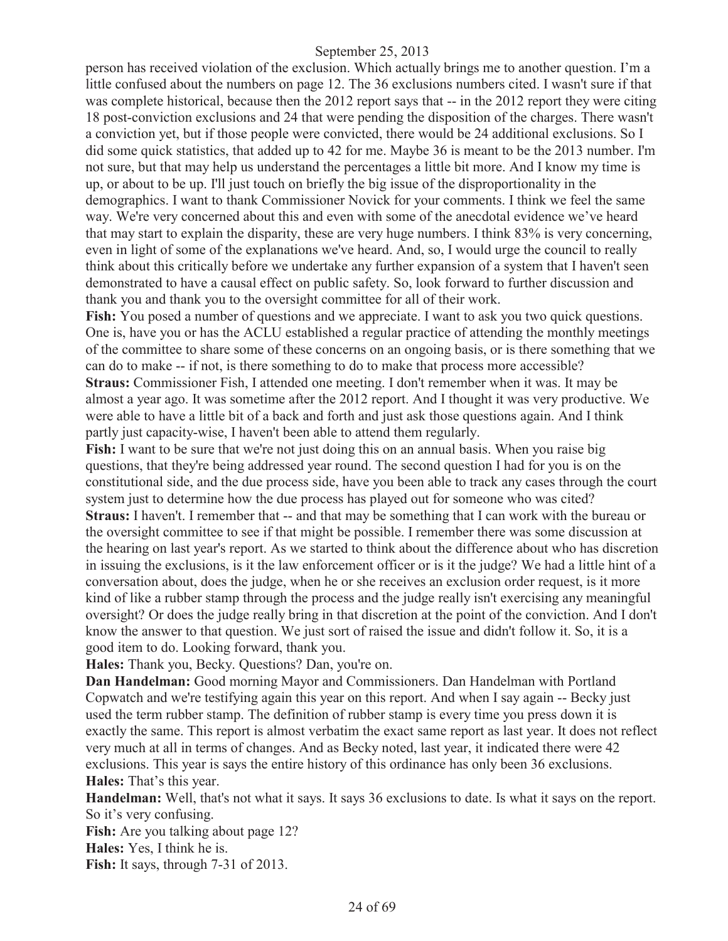person has received violation of the exclusion. Which actually brings me to another question. I'm a little confused about the numbers on page 12. The 36 exclusions numbers cited. I wasn't sure if that was complete historical, because then the 2012 report says that -- in the 2012 report they were citing 18 post-conviction exclusions and 24 that were pending the disposition of the charges. There wasn't a conviction yet, but if those people were convicted, there would be 24 additional exclusions. So I did some quick statistics, that added up to 42 for me. Maybe 36 is meant to be the 2013 number. I'm not sure, but that may help us understand the percentages a little bit more. And I know my time is up, or about to be up. I'll just touch on briefly the big issue of the disproportionality in the demographics. I want to thank Commissioner Novick for your comments. I think we feel the same way. We're very concerned about this and even with some of the anecdotal evidence we've heard that may start to explain the disparity, these are very huge numbers. I think 83% is very concerning, even in light of some of the explanations we've heard. And, so, I would urge the council to really think about this critically before we undertake any further expansion of a system that I haven't seen demonstrated to have a causal effect on public safety. So, look forward to further discussion and thank you and thank you to the oversight committee for all of their work.

**Fish:** You posed a number of questions and we appreciate. I want to ask you two quick questions. One is, have you or has the ACLU established a regular practice of attending the monthly meetings of the committee to share some of these concerns on an ongoing basis, or is there something that we can do to make -- if not, is there something to do to make that process more accessible? **Straus:** Commissioner Fish, I attended one meeting. I don't remember when it was. It may be almost a year ago. It was sometime after the 2012 report. And I thought it was very productive. We were able to have a little bit of a back and forth and just ask those questions again. And I think partly just capacity-wise, I haven't been able to attend them regularly.

**Fish:** I want to be sure that we're not just doing this on an annual basis. When you raise big questions, that they're being addressed year round. The second question I had for you is on the constitutional side, and the due process side, have you been able to track any cases through the court system just to determine how the due process has played out for someone who was cited? **Straus:** I haven't. I remember that -- and that may be something that I can work with the bureau or the oversight committee to see if that might be possible. I remember there was some discussion at the hearing on last year's report. As we started to think about the difference about who has discretion in issuing the exclusions, is it the law enforcement officer or is it the judge? We had a little hint of a conversation about, does the judge, when he or she receives an exclusion order request, is it more kind of like a rubber stamp through the process and the judge really isn't exercising any meaningful oversight? Or does the judge really bring in that discretion at the point of the conviction. And I don't know the answer to that question. We just sort of raised the issue and didn't follow it. So, it is a good item to do. Looking forward, thank you.

**Hales:** Thank you, Becky. Questions? Dan, you're on.

**Dan Handelman:** Good morning Mayor and Commissioners. Dan Handelman with Portland Copwatch and we're testifying again this year on this report. And when I say again -- Becky just used the term rubber stamp. The definition of rubber stamp is every time you press down it is exactly the same. This report is almost verbatim the exact same report as last year. It does not reflect very much at all in terms of changes. And as Becky noted, last year, it indicated there were 42 exclusions. This year is says the entire history of this ordinance has only been 36 exclusions. **Hales:** That's this year.

**Handelman:** Well, that's not what it says. It says 36 exclusions to date. Is what it says on the report. So it's very confusing.

**Fish:** Are you talking about page 12?

**Hales:** Yes, I think he is.

**Fish:** It says, through 7-31 of 2013.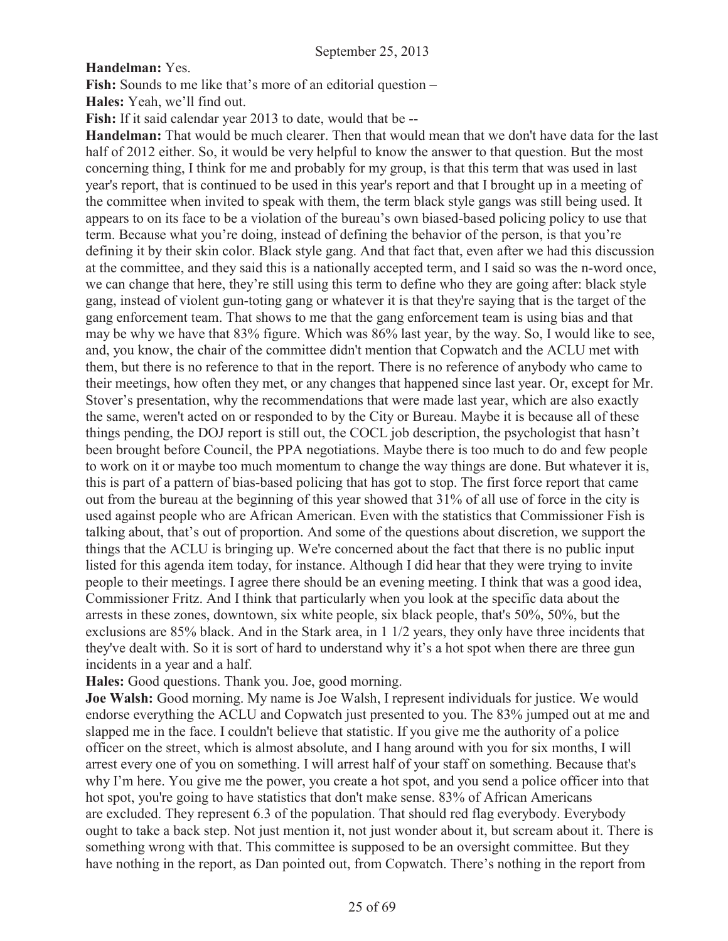#### **Handelman:** Yes.

**Fish:** Sounds to me like that's more of an editorial question –

**Hales:** Yeah, we'll find out.

**Fish:** If it said calendar year 2013 to date, would that be --

**Handelman:** That would be much clearer. Then that would mean that we don't have data for the last half of 2012 either. So, it would be very helpful to know the answer to that question. But the most concerning thing, I think for me and probably for my group, is that this term that was used in last year's report, that is continued to be used in this year's report and that I brought up in a meeting of the committee when invited to speak with them, the term black style gangs was still being used. It appears to on its face to be a violation of the bureau's own biased-based policing policy to use that term. Because what you're doing, instead of defining the behavior of the person, is that you're defining it by their skin color. Black style gang. And that fact that, even after we had this discussion at the committee, and they said this is a nationally accepted term, and I said so was the n-word once, we can change that here, they're still using this term to define who they are going after: black style gang, instead of violent gun-toting gang or whatever it is that they're saying that is the target of the gang enforcement team. That shows to me that the gang enforcement team is using bias and that may be why we have that 83% figure. Which was 86% last year, by the way. So, I would like to see, and, you know, the chair of the committee didn't mention that Copwatch and the ACLU met with them, but there is no reference to that in the report. There is no reference of anybody who came to their meetings, how often they met, or any changes that happened since last year. Or, except for Mr. Stover's presentation, why the recommendations that were made last year, which are also exactly the same, weren't acted on or responded to by the City or Bureau. Maybe it is because all of these things pending, the DOJ report is still out, the COCL job description, the psychologist that hasn't been brought before Council, the PPA negotiations. Maybe there is too much to do and few people to work on it or maybe too much momentum to change the way things are done. But whatever it is, this is part of a pattern of bias-based policing that has got to stop. The first force report that came out from the bureau at the beginning of this year showed that 31% of all use of force in the city is used against people who are African American. Even with the statistics that Commissioner Fish is talking about, that's out of proportion. And some of the questions about discretion, we support the things that the ACLU is bringing up. We're concerned about the fact that there is no public input listed for this agenda item today, for instance. Although I did hear that they were trying to invite people to their meetings. I agree there should be an evening meeting. I think that was a good idea, Commissioner Fritz. And I think that particularly when you look at the specific data about the arrests in these zones, downtown, six white people, six black people, that's 50%, 50%, but the exclusions are 85% black. And in the Stark area, in 1 1/2 years, they only have three incidents that they've dealt with. So it is sort of hard to understand why it's a hot spot when there are three gun incidents in a year and a half.

**Hales:** Good questions. Thank you. Joe, good morning.

**Joe Walsh:** Good morning. My name is Joe Walsh, I represent individuals for justice. We would endorse everything the ACLU and Copwatch just presented to you. The 83% jumped out at me and slapped me in the face. I couldn't believe that statistic. If you give me the authority of a police officer on the street, which is almost absolute, and I hang around with you for six months, I will arrest every one of you on something. I will arrest half of your staff on something. Because that's why I'm here. You give me the power, you create a hot spot, and you send a police officer into that hot spot, you're going to have statistics that don't make sense. 83% of African Americans are excluded. They represent 6.3 of the population. That should red flag everybody. Everybody ought to take a back step. Not just mention it, not just wonder about it, but scream about it. There is something wrong with that. This committee is supposed to be an oversight committee. But they have nothing in the report, as Dan pointed out, from Copwatch. There's nothing in the report from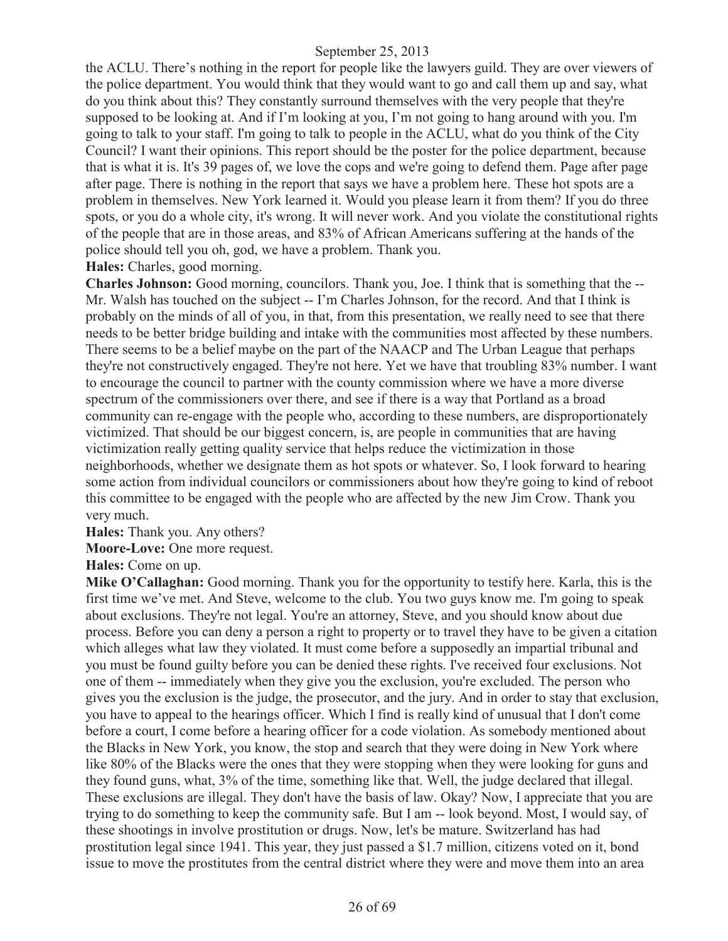the ACLU. There's nothing in the report for people like the lawyers guild. They are over viewers of the police department. You would think that they would want to go and call them up and say, what do you think about this? They constantly surround themselves with the very people that they're supposed to be looking at. And if I'm looking at you, I'm not going to hang around with you. I'm going to talk to your staff. I'm going to talk to people in the ACLU, what do you think of the City Council? I want their opinions. This report should be the poster for the police department, because that is what it is. It's 39 pages of, we love the cops and we're going to defend them. Page after page after page. There is nothing in the report that says we have a problem here. These hot spots are a problem in themselves. New York learned it. Would you please learn it from them? If you do three spots, or you do a whole city, it's wrong. It will never work. And you violate the constitutional rights of the people that are in those areas, and 83% of African Americans suffering at the hands of the police should tell you oh, god, we have a problem. Thank you.

**Hales:** Charles, good morning.

**Charles Johnson:** Good morning, councilors. Thank you, Joe. I think that is something that the -- Mr. Walsh has touched on the subject -- I'm Charles Johnson, for the record. And that I think is probably on the minds of all of you, in that, from this presentation, we really need to see that there needs to be better bridge building and intake with the communities most affected by these numbers. There seems to be a belief maybe on the part of the NAACP and The Urban League that perhaps they're not constructively engaged. They're not here. Yet we have that troubling 83% number. I want to encourage the council to partner with the county commission where we have a more diverse spectrum of the commissioners over there, and see if there is a way that Portland as a broad community can re-engage with the people who, according to these numbers, are disproportionately victimized. That should be our biggest concern, is, are people in communities that are having victimization really getting quality service that helps reduce the victimization in those neighborhoods, whether we designate them as hot spots or whatever. So, I look forward to hearing some action from individual councilors or commissioners about how they're going to kind of reboot this committee to be engaged with the people who are affected by the new Jim Crow. Thank you very much.

**Hales:** Thank you. Any others?

**Moore-Love:** One more request.

**Hales:** Come on up.

**Mike O'Callaghan:** Good morning. Thank you for the opportunity to testify here. Karla, this is the first time we've met. And Steve, welcome to the club. You two guys know me. I'm going to speak about exclusions. They're not legal. You're an attorney, Steve, and you should know about due process. Before you can deny a person a right to property or to travel they have to be given a citation which alleges what law they violated. It must come before a supposedly an impartial tribunal and you must be found guilty before you can be denied these rights. I've received four exclusions. Not one of them -- immediately when they give you the exclusion, you're excluded. The person who gives you the exclusion is the judge, the prosecutor, and the jury. And in order to stay that exclusion, you have to appeal to the hearings officer. Which I find is really kind of unusual that I don't come before a court, I come before a hearing officer for a code violation. As somebody mentioned about the Blacks in New York, you know, the stop and search that they were doing in New York where like 80% of the Blacks were the ones that they were stopping when they were looking for guns and they found guns, what, 3% of the time, something like that. Well, the judge declared that illegal. These exclusions are illegal. They don't have the basis of law. Okay? Now, I appreciate that you are trying to do something to keep the community safe. But I am -- look beyond. Most, I would say, of these shootings in involve prostitution or drugs. Now, let's be mature. Switzerland has had prostitution legal since 1941. This year, they just passed a \$1.7 million, citizens voted on it, bond issue to move the prostitutes from the central district where they were and move them into an area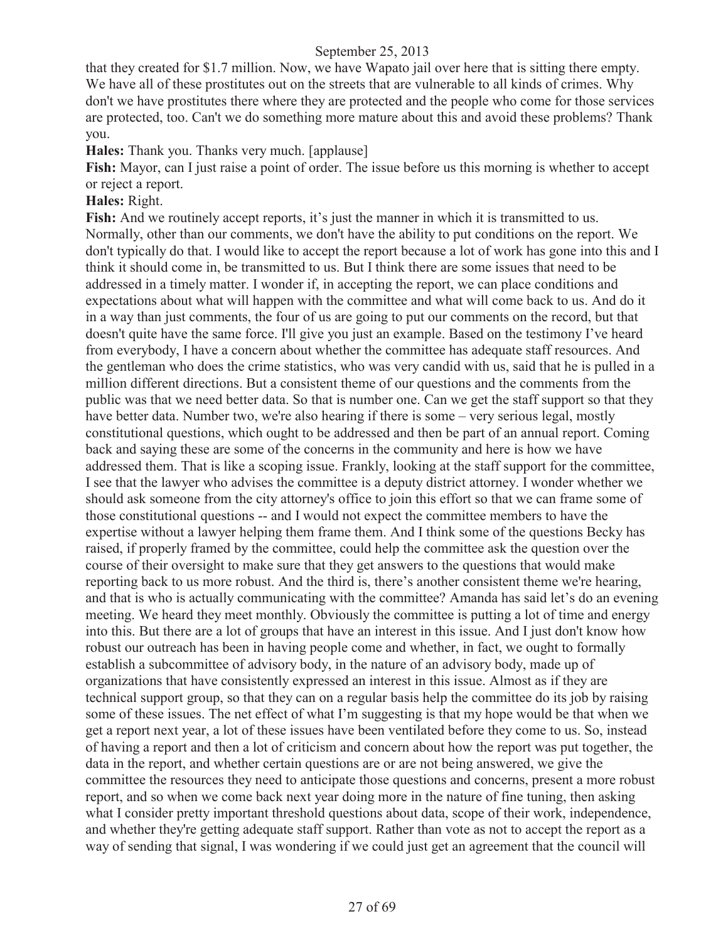that they created for \$1.7 million. Now, we have Wapato jail over here that is sitting there empty. We have all of these prostitutes out on the streets that are vulnerable to all kinds of crimes. Why don't we have prostitutes there where they are protected and the people who come for those services are protected, too. Can't we do something more mature about this and avoid these problems? Thank you.

**Hales:** Thank you. Thanks very much. [applause]

**Fish:** Mayor, can I just raise a point of order. The issue before us this morning is whether to accept or reject a report.

## **Hales:** Right.

Fish: And we routinely accept reports, it's just the manner in which it is transmitted to us. Normally, other than our comments, we don't have the ability to put conditions on the report. We don't typically do that. I would like to accept the report because a lot of work has gone into this and I think it should come in, be transmitted to us. But I think there are some issues that need to be addressed in a timely matter. I wonder if, in accepting the report, we can place conditions and expectations about what will happen with the committee and what will come back to us. And do it in a way than just comments, the four of us are going to put our comments on the record, but that doesn't quite have the same force. I'll give you just an example. Based on the testimony I've heard from everybody, I have a concern about whether the committee has adequate staff resources. And the gentleman who does the crime statistics, who was very candid with us, said that he is pulled in a million different directions. But a consistent theme of our questions and the comments from the public was that we need better data. So that is number one. Can we get the staff support so that they have better data. Number two, we're also hearing if there is some – very serious legal, mostly constitutional questions, which ought to be addressed and then be part of an annual report. Coming back and saying these are some of the concerns in the community and here is how we have addressed them. That is like a scoping issue. Frankly, looking at the staff support for the committee, I see that the lawyer who advises the committee is a deputy district attorney. I wonder whether we should ask someone from the city attorney's office to join this effort so that we can frame some of those constitutional questions -- and I would not expect the committee members to have the expertise without a lawyer helping them frame them. And I think some of the questions Becky has raised, if properly framed by the committee, could help the committee ask the question over the course of their oversight to make sure that they get answers to the questions that would make reporting back to us more robust. And the third is, there's another consistent theme we're hearing, and that is who is actually communicating with the committee? Amanda has said let's do an evening meeting. We heard they meet monthly. Obviously the committee is putting a lot of time and energy into this. But there are a lot of groups that have an interest in this issue. And I just don't know how robust our outreach has been in having people come and whether, in fact, we ought to formally establish a subcommittee of advisory body, in the nature of an advisory body, made up of organizations that have consistently expressed an interest in this issue. Almost as if they are technical support group, so that they can on a regular basis help the committee do its job by raising some of these issues. The net effect of what I'm suggesting is that my hope would be that when we get a report next year, a lot of these issues have been ventilated before they come to us. So, instead of having a report and then a lot of criticism and concern about how the report was put together, the data in the report, and whether certain questions are or are not being answered, we give the committee the resources they need to anticipate those questions and concerns, present a more robust report, and so when we come back next year doing more in the nature of fine tuning, then asking what I consider pretty important threshold questions about data, scope of their work, independence, and whether they're getting adequate staff support. Rather than vote as not to accept the report as a way of sending that signal, I was wondering if we could just get an agreement that the council will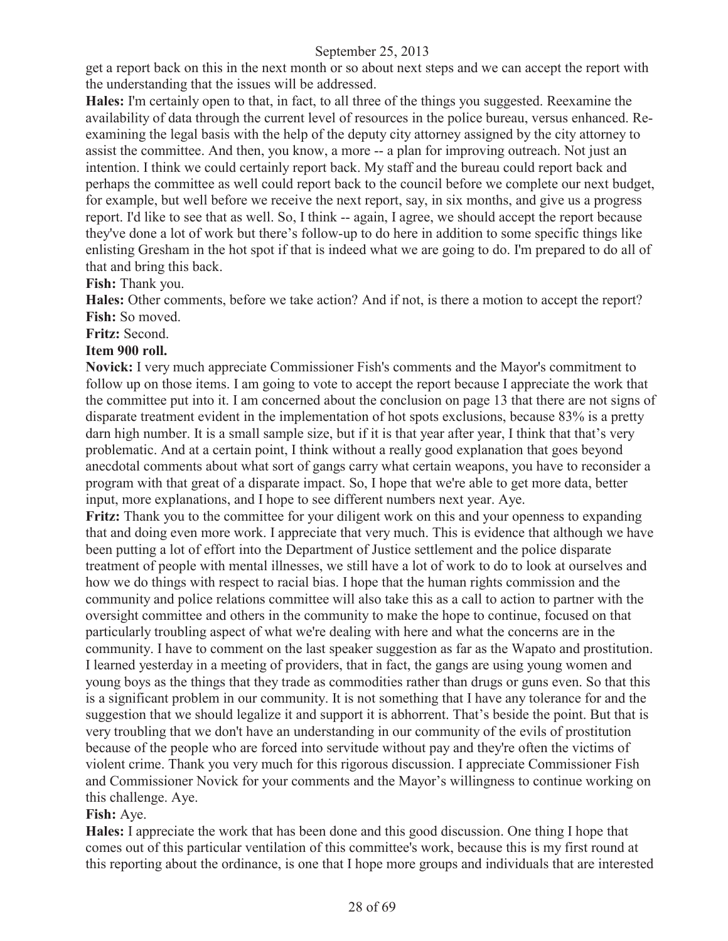get a report back on this in the next month or so about next steps and we can accept the report with the understanding that the issues will be addressed.

**Hales:** I'm certainly open to that, in fact, to all three of the things you suggested. Reexamine the availability of data through the current level of resources in the police bureau, versus enhanced. Reexamining the legal basis with the help of the deputy city attorney assigned by the city attorney to assist the committee. And then, you know, a more -- a plan for improving outreach. Not just an intention. I think we could certainly report back. My staff and the bureau could report back and perhaps the committee as well could report back to the council before we complete our next budget, for example, but well before we receive the next report, say, in six months, and give us a progress report. I'd like to see that as well. So, I think -- again, I agree, we should accept the report because they've done a lot of work but there's follow-up to do here in addition to some specific things like enlisting Gresham in the hot spot if that is indeed what we are going to do. I'm prepared to do all of that and bring this back.

#### **Fish:** Thank you.

**Hales:** Other comments, before we take action? And if not, is there a motion to accept the report? **Fish:** So moved.

#### **Fritz:** Second.

#### **Item 900 roll.**

**Novick:** I very much appreciate Commissioner Fish's comments and the Mayor's commitment to follow up on those items. I am going to vote to accept the report because I appreciate the work that the committee put into it. I am concerned about the conclusion on page 13 that there are not signs of disparate treatment evident in the implementation of hot spots exclusions, because 83% is a pretty darn high number. It is a small sample size, but if it is that year after year, I think that that's very problematic. And at a certain point, I think without a really good explanation that goes beyond anecdotal comments about what sort of gangs carry what certain weapons, you have to reconsider a program with that great of a disparate impact. So, I hope that we're able to get more data, better input, more explanations, and I hope to see different numbers next year. Aye.

**Fritz:** Thank you to the committee for your diligent work on this and your openness to expanding that and doing even more work. I appreciate that very much. This is evidence that although we have been putting a lot of effort into the Department of Justice settlement and the police disparate treatment of people with mental illnesses, we still have a lot of work to do to look at ourselves and how we do things with respect to racial bias. I hope that the human rights commission and the community and police relations committee will also take this as a call to action to partner with the oversight committee and others in the community to make the hope to continue, focused on that particularly troubling aspect of what we're dealing with here and what the concerns are in the community. I have to comment on the last speaker suggestion as far as the Wapato and prostitution. I learned yesterday in a meeting of providers, that in fact, the gangs are using young women and young boys as the things that they trade as commodities rather than drugs or guns even. So that this is a significant problem in our community. It is not something that I have any tolerance for and the suggestion that we should legalize it and support it is abhorrent. That's beside the point. But that is very troubling that we don't have an understanding in our community of the evils of prostitution because of the people who are forced into servitude without pay and they're often the victims of violent crime. Thank you very much for this rigorous discussion. I appreciate Commissioner Fish and Commissioner Novick for your comments and the Mayor's willingness to continue working on this challenge. Aye.

## **Fish:** Aye.

**Hales:** I appreciate the work that has been done and this good discussion. One thing I hope that comes out of this particular ventilation of this committee's work, because this is my first round at this reporting about the ordinance, is one that I hope more groups and individuals that are interested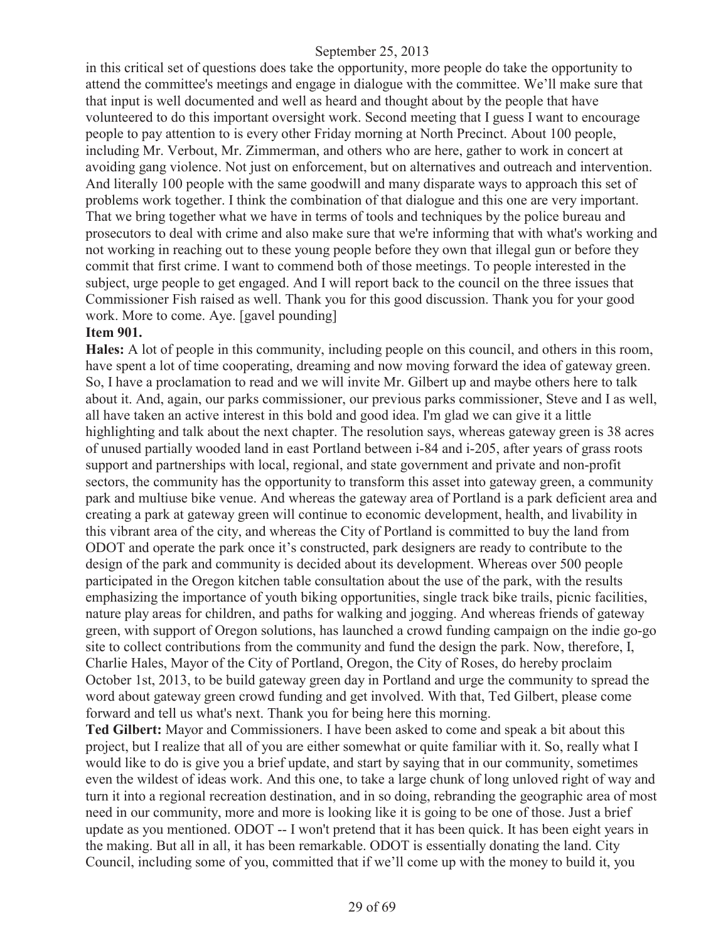in this critical set of questions does take the opportunity, more people do take the opportunity to attend the committee's meetings and engage in dialogue with the committee. We'll make sure that that input is well documented and well as heard and thought about by the people that have volunteered to do this important oversight work. Second meeting that I guess I want to encourage people to pay attention to is every other Friday morning at North Precinct. About 100 people, including Mr. Verbout, Mr. Zimmerman, and others who are here, gather to work in concert at avoiding gang violence. Not just on enforcement, but on alternatives and outreach and intervention. And literally 100 people with the same goodwill and many disparate ways to approach this set of problems work together. I think the combination of that dialogue and this one are very important. That we bring together what we have in terms of tools and techniques by the police bureau and prosecutors to deal with crime and also make sure that we're informing that with what's working and not working in reaching out to these young people before they own that illegal gun or before they commit that first crime. I want to commend both of those meetings. To people interested in the subject, urge people to get engaged. And I will report back to the council on the three issues that Commissioner Fish raised as well. Thank you for this good discussion. Thank you for your good work. More to come. Aye. [gavel pounding]

#### **Item 901.**

**Hales:** A lot of people in this community, including people on this council, and others in this room, have spent a lot of time cooperating, dreaming and now moving forward the idea of gateway green. So, I have a proclamation to read and we will invite Mr. Gilbert up and maybe others here to talk about it. And, again, our parks commissioner, our previous parks commissioner, Steve and I as well, all have taken an active interest in this bold and good idea. I'm glad we can give it a little highlighting and talk about the next chapter. The resolution says, whereas gateway green is 38 acres of unused partially wooded land in east Portland between i-84 and i-205, after years of grass roots support and partnerships with local, regional, and state government and private and non-profit sectors, the community has the opportunity to transform this asset into gateway green, a community park and multiuse bike venue. And whereas the gateway area of Portland is a park deficient area and creating a park at gateway green will continue to economic development, health, and livability in this vibrant area of the city, and whereas the City of Portland is committed to buy the land from ODOT and operate the park once it's constructed, park designers are ready to contribute to the design of the park and community is decided about its development. Whereas over 500 people participated in the Oregon kitchen table consultation about the use of the park, with the results emphasizing the importance of youth biking opportunities, single track bike trails, picnic facilities, nature play areas for children, and paths for walking and jogging. And whereas friends of gateway green, with support of Oregon solutions, has launched a crowd funding campaign on the indie go-go site to collect contributions from the community and fund the design the park. Now, therefore, I, Charlie Hales, Mayor of the City of Portland, Oregon, the City of Roses, do hereby proclaim October 1st, 2013, to be build gateway green day in Portland and urge the community to spread the word about gateway green crowd funding and get involved. With that, Ted Gilbert, please come forward and tell us what's next. Thank you for being here this morning.

**Ted Gilbert:** Mayor and Commissioners. I have been asked to come and speak a bit about this project, but I realize that all of you are either somewhat or quite familiar with it. So, really what I would like to do is give you a brief update, and start by saying that in our community, sometimes even the wildest of ideas work. And this one, to take a large chunk of long unloved right of way and turn it into a regional recreation destination, and in so doing, rebranding the geographic area of most need in our community, more and more is looking like it is going to be one of those. Just a brief update as you mentioned. ODOT -- I won't pretend that it has been quick. It has been eight years in the making. But all in all, it has been remarkable. ODOT is essentially donating the land. City Council, including some of you, committed that if we'll come up with the money to build it, you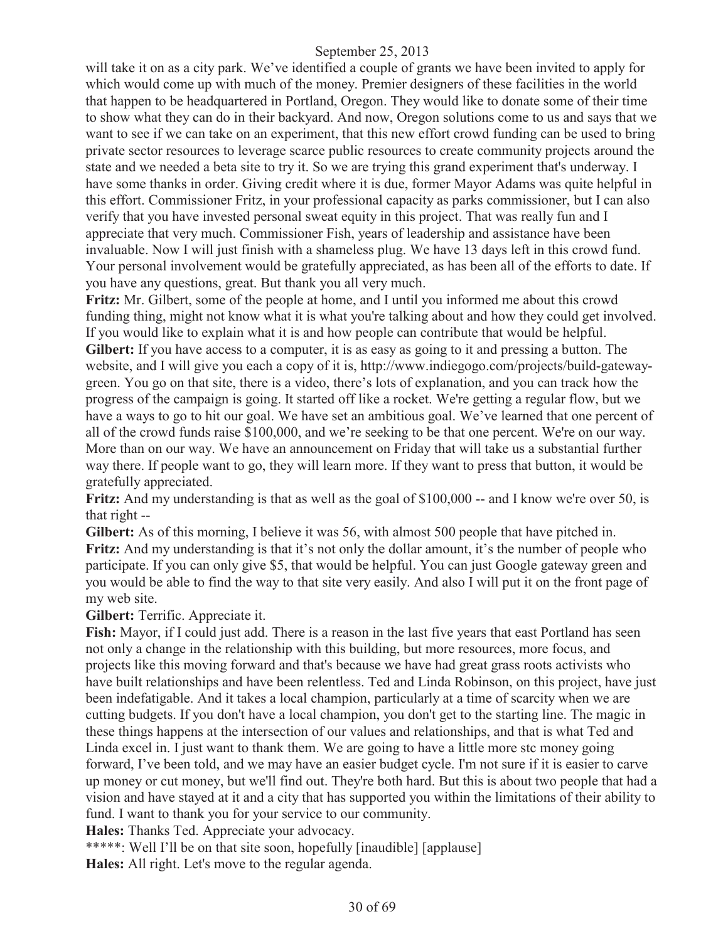will take it on as a city park. We've identified a couple of grants we have been invited to apply for which would come up with much of the money. Premier designers of these facilities in the world that happen to be headquartered in Portland, Oregon. They would like to donate some of their time to show what they can do in their backyard. And now, Oregon solutions come to us and says that we want to see if we can take on an experiment, that this new effort crowd funding can be used to bring private sector resources to leverage scarce public resources to create community projects around the state and we needed a beta site to try it. So we are trying this grand experiment that's underway. I have some thanks in order. Giving credit where it is due, former Mayor Adams was quite helpful in this effort. Commissioner Fritz, in your professional capacity as parks commissioner, but I can also verify that you have invested personal sweat equity in this project. That was really fun and I appreciate that very much. Commissioner Fish, years of leadership and assistance have been invaluable. Now I will just finish with a shameless plug. We have 13 days left in this crowd fund. Your personal involvement would be gratefully appreciated, as has been all of the efforts to date. If you have any questions, great. But thank you all very much.

**Fritz:** Mr. Gilbert, some of the people at home, and I until you informed me about this crowd funding thing, might not know what it is what you're talking about and how they could get involved. If you would like to explain what it is and how people can contribute that would be helpful. **Gilbert:** If you have access to a computer, it is as easy as going to it and pressing a button. The website, and I will give you each a copy of it is, http://www.indiegogo.com/projects/build-gatewaygreen. You go on that site, there is a video, there's lots of explanation, and you can track how the progress of the campaign is going. It started off like a rocket. We're getting a regular flow, but we have a ways to go to hit our goal. We have set an ambitious goal. We've learned that one percent of all of the crowd funds raise \$100,000, and we're seeking to be that one percent. We're on our way. More than on our way. We have an announcement on Friday that will take us a substantial further way there. If people want to go, they will learn more. If they want to press that button, it would be gratefully appreciated.

**Fritz:** And my understanding is that as well as the goal of \$100,000 -- and I know we're over 50, is that right --

**Gilbert:** As of this morning, I believe it was 56, with almost 500 people that have pitched in. **Fritz:** And my understanding is that it's not only the dollar amount, it's the number of people who participate. If you can only give \$5, that would be helpful. You can just Google gateway green and you would be able to find the way to that site very easily. And also I will put it on the front page of my web site.

**Gilbert:** Terrific. Appreciate it.

**Fish:** Mayor, if I could just add. There is a reason in the last five years that east Portland has seen not only a change in the relationship with this building, but more resources, more focus, and projects like this moving forward and that's because we have had great grass roots activists who have built relationships and have been relentless. Ted and Linda Robinson, on this project, have just been indefatigable. And it takes a local champion, particularly at a time of scarcity when we are cutting budgets. If you don't have a local champion, you don't get to the starting line. The magic in these things happens at the intersection of our values and relationships, and that is what Ted and Linda excel in. I just want to thank them. We are going to have a little more stc money going forward, I've been told, and we may have an easier budget cycle. I'm not sure if it is easier to carve up money or cut money, but we'll find out. They're both hard. But this is about two people that had a vision and have stayed at it and a city that has supported you within the limitations of their ability to fund. I want to thank you for your service to our community.

**Hales:** Thanks Ted. Appreciate your advocacy.

\*\*\*\*\*: Well I'll be on that site soon, hopefully [inaudible] [applause]

**Hales:** All right. Let's move to the regular agenda.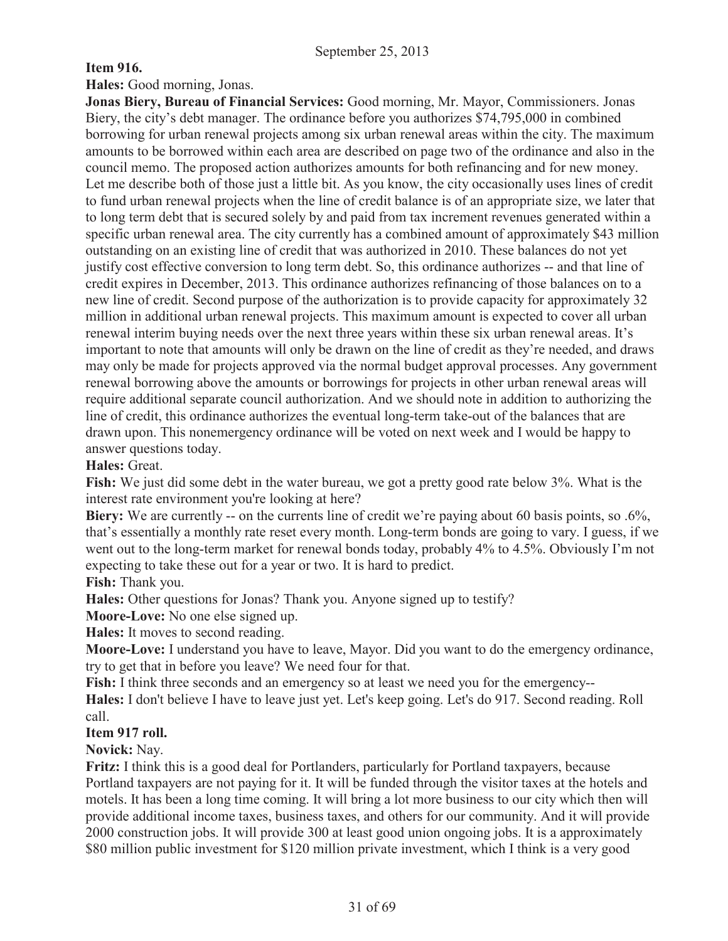## **Item 916.**

**Hales:** Good morning, Jonas.

**Jonas Biery, Bureau of Financial Services:** Good morning, Mr. Mayor, Commissioners. Jonas Biery, the city's debt manager. The ordinance before you authorizes \$74,795,000 in combined borrowing for urban renewal projects among six urban renewal areas within the city. The maximum amounts to be borrowed within each area are described on page two of the ordinance and also in the council memo. The proposed action authorizes amounts for both refinancing and for new money. Let me describe both of those just a little bit. As you know, the city occasionally uses lines of credit to fund urban renewal projects when the line of credit balance is of an appropriate size, we later that to long term debt that is secured solely by and paid from tax increment revenues generated within a specific urban renewal area. The city currently has a combined amount of approximately \$43 million outstanding on an existing line of credit that was authorized in 2010. These balances do not yet justify cost effective conversion to long term debt. So, this ordinance authorizes -- and that line of credit expires in December, 2013. This ordinance authorizes refinancing of those balances on to a new line of credit. Second purpose of the authorization is to provide capacity for approximately 32 million in additional urban renewal projects. This maximum amount is expected to cover all urban renewal interim buying needs over the next three years within these six urban renewal areas. It's important to note that amounts will only be drawn on the line of credit as they're needed, and draws may only be made for projects approved via the normal budget approval processes. Any government renewal borrowing above the amounts or borrowings for projects in other urban renewal areas will require additional separate council authorization. And we should note in addition to authorizing the line of credit, this ordinance authorizes the eventual long-term take-out of the balances that are drawn upon. This nonemergency ordinance will be voted on next week and I would be happy to answer questions today.

## **Hales:** Great.

**Fish:** We just did some debt in the water bureau, we got a pretty good rate below 3%. What is the interest rate environment you're looking at here?

**Biery:** We are currently -- on the currents line of credit we're paying about 60 basis points, so .6%, that's essentially a monthly rate reset every month. Long-term bonds are going to vary. I guess, if we went out to the long-term market for renewal bonds today, probably 4% to 4.5%. Obviously I'm not expecting to take these out for a year or two. It is hard to predict.

**Fish:** Thank you.

**Hales:** Other questions for Jonas? Thank you. Anyone signed up to testify?

**Moore-Love:** No one else signed up.

**Hales:** It moves to second reading.

**Moore-Love:** I understand you have to leave, Mayor. Did you want to do the emergency ordinance, try to get that in before you leave? We need four for that.

**Fish:** I think three seconds and an emergency so at least we need you for the emergency--

**Hales:** I don't believe I have to leave just yet. Let's keep going. Let's do 917. Second reading. Roll call.

## **Item 917 roll.**

**Novick:** Nay.

**Fritz:** I think this is a good deal for Portlanders, particularly for Portland taxpayers, because Portland taxpayers are not paying for it. It will be funded through the visitor taxes at the hotels and motels. It has been a long time coming. It will bring a lot more business to our city which then will provide additional income taxes, business taxes, and others for our community. And it will provide 2000 construction jobs. It will provide 300 at least good union ongoing jobs. It is a approximately \$80 million public investment for \$120 million private investment, which I think is a very good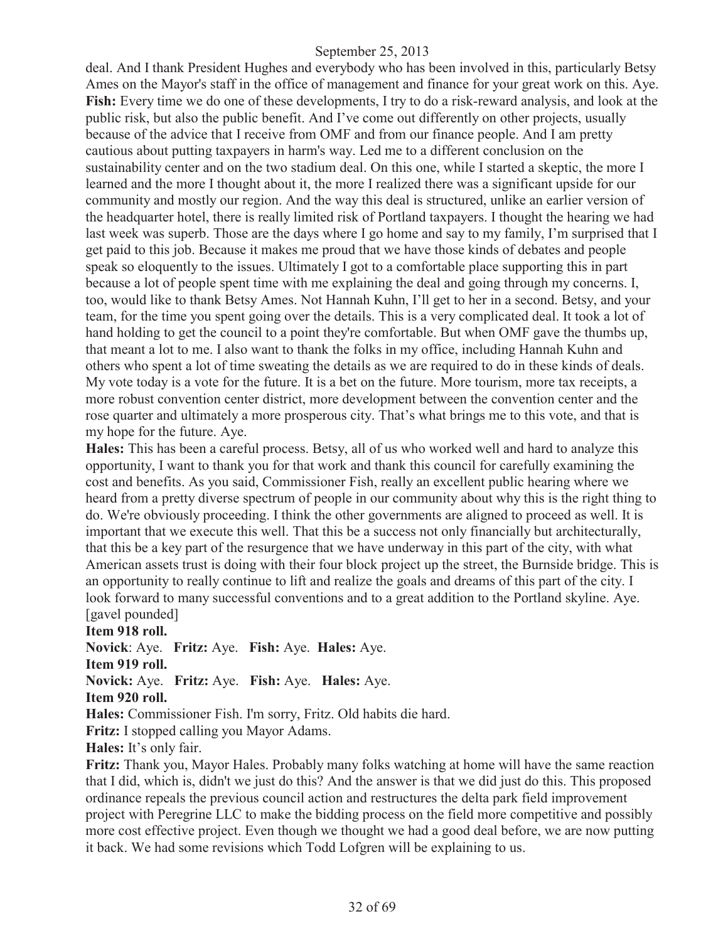deal. And I thank President Hughes and everybody who has been involved in this, particularly Betsy Ames on the Mayor's staff in the office of management and finance for your great work on this. Aye. **Fish:** Every time we do one of these developments, I try to do a risk-reward analysis, and look at the public risk, but also the public benefit. And I've come out differently on other projects, usually because of the advice that I receive from OMF and from our finance people. And I am pretty cautious about putting taxpayers in harm's way. Led me to a different conclusion on the sustainability center and on the two stadium deal. On this one, while I started a skeptic, the more I learned and the more I thought about it, the more I realized there was a significant upside for our community and mostly our region. And the way this deal is structured, unlike an earlier version of the headquarter hotel, there is really limited risk of Portland taxpayers. I thought the hearing we had last week was superb. Those are the days where I go home and say to my family, I'm surprised that I get paid to this job. Because it makes me proud that we have those kinds of debates and people speak so eloquently to the issues. Ultimately I got to a comfortable place supporting this in part because a lot of people spent time with me explaining the deal and going through my concerns. I, too, would like to thank Betsy Ames. Not Hannah Kuhn, I'll get to her in a second. Betsy, and your team, for the time you spent going over the details. This is a very complicated deal. It took a lot of hand holding to get the council to a point they're comfortable. But when OMF gave the thumbs up, that meant a lot to me. I also want to thank the folks in my office, including Hannah Kuhn and others who spent a lot of time sweating the details as we are required to do in these kinds of deals. My vote today is a vote for the future. It is a bet on the future. More tourism, more tax receipts, a more robust convention center district, more development between the convention center and the rose quarter and ultimately a more prosperous city. That's what brings me to this vote, and that is my hope for the future. Aye.

**Hales:** This has been a careful process. Betsy, all of us who worked well and hard to analyze this opportunity, I want to thank you for that work and thank this council for carefully examining the cost and benefits. As you said, Commissioner Fish, really an excellent public hearing where we heard from a pretty diverse spectrum of people in our community about why this is the right thing to do. We're obviously proceeding. I think the other governments are aligned to proceed as well. It is important that we execute this well. That this be a success not only financially but architecturally, that this be a key part of the resurgence that we have underway in this part of the city, with what American assets trust is doing with their four block project up the street, the Burnside bridge. This is an opportunity to really continue to lift and realize the goals and dreams of this part of the city. I look forward to many successful conventions and to a great addition to the Portland skyline. Aye. [gavel pounded]

**Item 918 roll.**

**Novick**: Aye. **Fritz:** Aye. **Fish:** Aye. **Hales:** Aye.

**Item 919 roll.**

**Novick:** Aye. **Fritz:** Aye. **Fish:** Aye. **Hales:** Aye.

**Item 920 roll.**

**Hales:** Commissioner Fish. I'm sorry, Fritz. Old habits die hard.

**Fritz:** I stopped calling you Mayor Adams.

**Hales:** It's only fair.

**Fritz:** Thank you, Mayor Hales. Probably many folks watching at home will have the same reaction that I did, which is, didn't we just do this? And the answer is that we did just do this. This proposed ordinance repeals the previous council action and restructures the delta park field improvement project with Peregrine LLC to make the bidding process on the field more competitive and possibly more cost effective project. Even though we thought we had a good deal before, we are now putting it back. We had some revisions which Todd Lofgren will be explaining to us.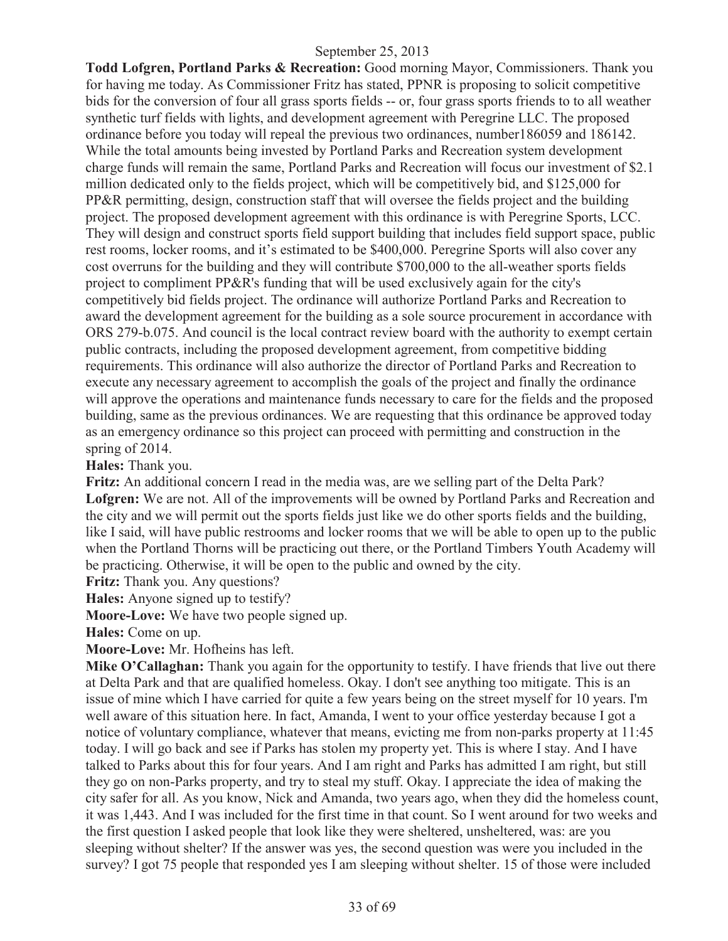**Todd Lofgren, Portland Parks & Recreation:** Good morning Mayor, Commissioners. Thank you for having me today. As Commissioner Fritz has stated, PPNR is proposing to solicit competitive bids for the conversion of four all grass sports fields -- or, four grass sports friends to to all weather synthetic turf fields with lights, and development agreement with Peregrine LLC. The proposed ordinance before you today will repeal the previous two ordinances, number186059 and 186142. While the total amounts being invested by Portland Parks and Recreation system development charge funds will remain the same, Portland Parks and Recreation will focus our investment of \$2.1 million dedicated only to the fields project, which will be competitively bid, and \$125,000 for PP&R permitting, design, construction staff that will oversee the fields project and the building project. The proposed development agreement with this ordinance is with Peregrine Sports, LCC. They will design and construct sports field support building that includes field support space, public rest rooms, locker rooms, and it's estimated to be \$400,000. Peregrine Sports will also cover any cost overruns for the building and they will contribute \$700,000 to the all-weather sports fields project to compliment PP&R's funding that will be used exclusively again for the city's competitively bid fields project. The ordinance will authorize Portland Parks and Recreation to award the development agreement for the building as a sole source procurement in accordance with ORS 279-b.075. And council is the local contract review board with the authority to exempt certain public contracts, including the proposed development agreement, from competitive bidding requirements. This ordinance will also authorize the director of Portland Parks and Recreation to execute any necessary agreement to accomplish the goals of the project and finally the ordinance will approve the operations and maintenance funds necessary to care for the fields and the proposed building, same as the previous ordinances. We are requesting that this ordinance be approved today as an emergency ordinance so this project can proceed with permitting and construction in the spring of 2014.

**Hales:** Thank you.

**Fritz:** An additional concern I read in the media was, are we selling part of the Delta Park? **Lofgren:** We are not. All of the improvements will be owned by Portland Parks and Recreation and the city and we will permit out the sports fields just like we do other sports fields and the building, like I said, will have public restrooms and locker rooms that we will be able to open up to the public when the Portland Thorns will be practicing out there, or the Portland Timbers Youth Academy will be practicing. Otherwise, it will be open to the public and owned by the city.

**Fritz:** Thank you. Any questions?

**Hales:** Anyone signed up to testify?

**Moore-Love:** We have two people signed up.

**Hales:** Come on up.

**Moore-Love:** Mr. Hofheins has left.

**Mike O'Callaghan:** Thank you again for the opportunity to testify. I have friends that live out there at Delta Park and that are qualified homeless. Okay. I don't see anything too mitigate. This is an issue of mine which I have carried for quite a few years being on the street myself for 10 years. I'm well aware of this situation here. In fact, Amanda, I went to your office yesterday because I got a notice of voluntary compliance, whatever that means, evicting me from non-parks property at 11:45 today. I will go back and see if Parks has stolen my property yet. This is where I stay. And I have talked to Parks about this for four years. And I am right and Parks has admitted I am right, but still they go on non-Parks property, and try to steal my stuff. Okay. I appreciate the idea of making the city safer for all. As you know, Nick and Amanda, two years ago, when they did the homeless count, it was 1,443. And I was included for the first time in that count. So I went around for two weeks and the first question I asked people that look like they were sheltered, unsheltered, was: are you sleeping without shelter? If the answer was yes, the second question was were you included in the survey? I got 75 people that responded yes I am sleeping without shelter. 15 of those were included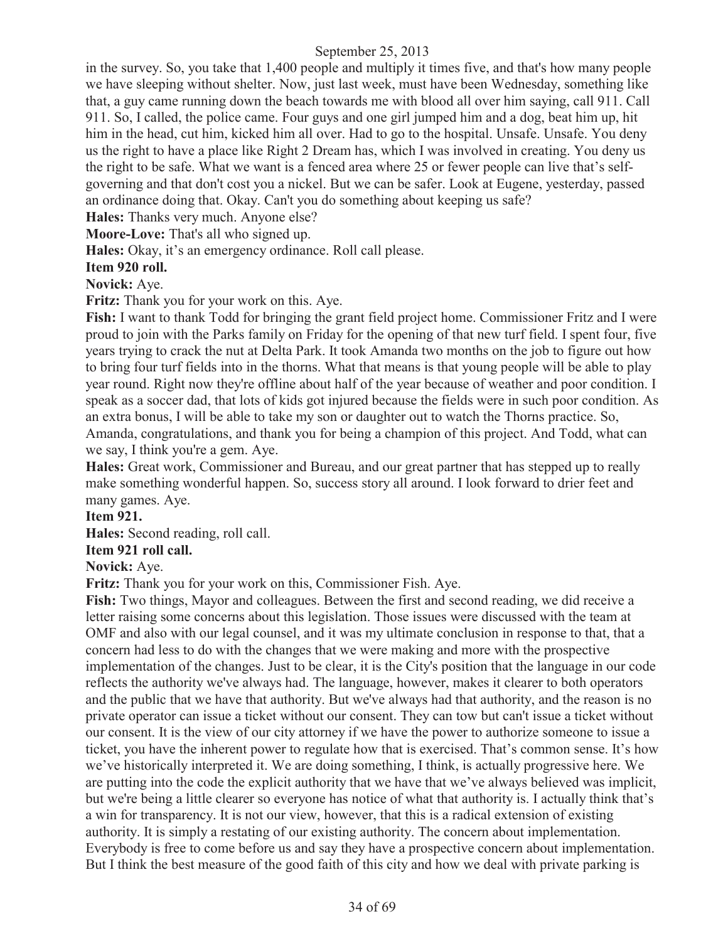in the survey. So, you take that 1,400 people and multiply it times five, and that's how many people we have sleeping without shelter. Now, just last week, must have been Wednesday, something like that, a guy came running down the beach towards me with blood all over him saying, call 911. Call 911. So, I called, the police came. Four guys and one girl jumped him and a dog, beat him up, hit him in the head, cut him, kicked him all over. Had to go to the hospital. Unsafe. Unsafe. You deny us the right to have a place like Right 2 Dream has, which I was involved in creating. You deny us the right to be safe. What we want is a fenced area where 25 or fewer people can live that's selfgoverning and that don't cost you a nickel. But we can be safer. Look at Eugene, yesterday, passed an ordinance doing that. Okay. Can't you do something about keeping us safe?

**Hales:** Thanks very much. Anyone else?

**Moore-Love:** That's all who signed up.

**Hales:** Okay, it's an emergency ordinance. Roll call please.

#### **Item 920 roll.**

**Novick:** Aye.

**Fritz:** Thank you for your work on this. Aye.

**Fish:** I want to thank Todd for bringing the grant field project home. Commissioner Fritz and I were proud to join with the Parks family on Friday for the opening of that new turf field. I spent four, five years trying to crack the nut at Delta Park. It took Amanda two months on the job to figure out how to bring four turf fields into in the thorns. What that means is that young people will be able to play year round. Right now they're offline about half of the year because of weather and poor condition. I speak as a soccer dad, that lots of kids got injured because the fields were in such poor condition. As an extra bonus, I will be able to take my son or daughter out to watch the Thorns practice. So, Amanda, congratulations, and thank you for being a champion of this project. And Todd, what can we say, I think you're a gem. Aye.

**Hales:** Great work, Commissioner and Bureau, and our great partner that has stepped up to really make something wonderful happen. So, success story all around. I look forward to drier feet and many games. Aye.

#### **Item 921.**

**Hales:** Second reading, roll call.

#### **Item 921 roll call.**

#### **Novick:** Aye.

**Fritz:** Thank you for your work on this, Commissioner Fish. Aye.

**Fish:** Two things, Mayor and colleagues. Between the first and second reading, we did receive a letter raising some concerns about this legislation. Those issues were discussed with the team at OMF and also with our legal counsel, and it was my ultimate conclusion in response to that, that a concern had less to do with the changes that we were making and more with the prospective implementation of the changes. Just to be clear, it is the City's position that the language in our code reflects the authority we've always had. The language, however, makes it clearer to both operators and the public that we have that authority. But we've always had that authority, and the reason is no private operator can issue a ticket without our consent. They can tow but can't issue a ticket without our consent. It is the view of our city attorney if we have the power to authorize someone to issue a ticket, you have the inherent power to regulate how that is exercised. That's common sense. It's how we've historically interpreted it. We are doing something, I think, is actually progressive here. We are putting into the code the explicit authority that we have that we've always believed was implicit, but we're being a little clearer so everyone has notice of what that authority is. I actually think that's a win for transparency. It is not our view, however, that this is a radical extension of existing authority. It is simply a restating of our existing authority. The concern about implementation. Everybody is free to come before us and say they have a prospective concern about implementation. But I think the best measure of the good faith of this city and how we deal with private parking is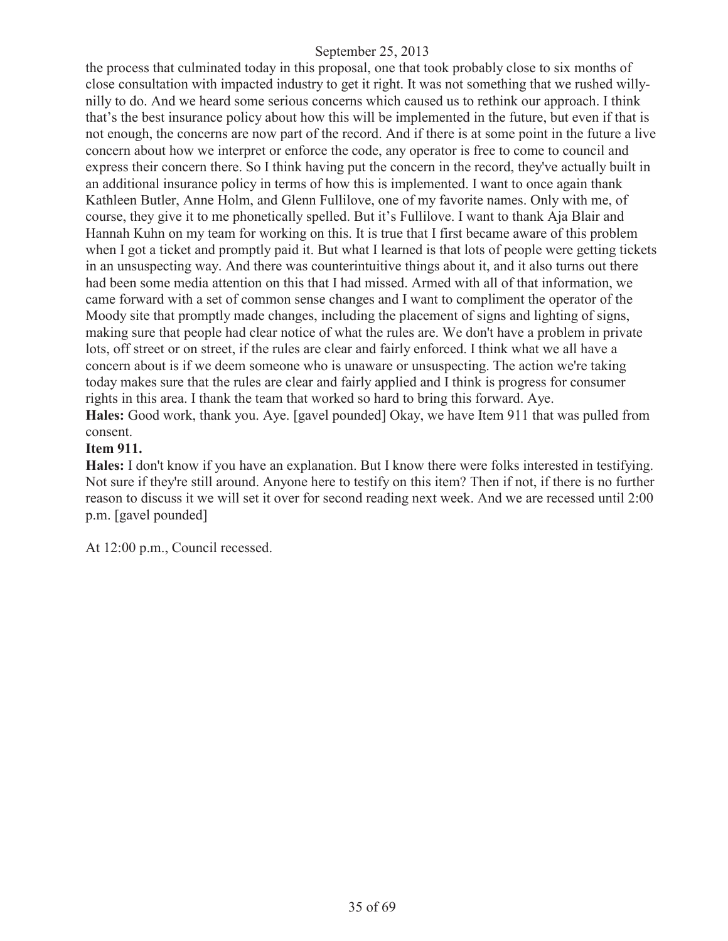the process that culminated today in this proposal, one that took probably close to six months of close consultation with impacted industry to get it right. It was not something that we rushed willynilly to do. And we heard some serious concerns which caused us to rethink our approach. I think that's the best insurance policy about how this will be implemented in the future, but even if that is not enough, the concerns are now part of the record. And if there is at some point in the future a live concern about how we interpret or enforce the code, any operator is free to come to council and express their concern there. So I think having put the concern in the record, they've actually built in an additional insurance policy in terms of how this is implemented. I want to once again thank Kathleen Butler, Anne Holm, and Glenn Fullilove, one of my favorite names. Only with me, of course, they give it to me phonetically spelled. But it's Fullilove. I want to thank Aja Blair and Hannah Kuhn on my team for working on this. It is true that I first became aware of this problem when I got a ticket and promptly paid it. But what I learned is that lots of people were getting tickets in an unsuspecting way. And there was counterintuitive things about it, and it also turns out there had been some media attention on this that I had missed. Armed with all of that information, we came forward with a set of common sense changes and I want to compliment the operator of the Moody site that promptly made changes, including the placement of signs and lighting of signs, making sure that people had clear notice of what the rules are. We don't have a problem in private lots, off street or on street, if the rules are clear and fairly enforced. I think what we all have a concern about is if we deem someone who is unaware or unsuspecting. The action we're taking today makes sure that the rules are clear and fairly applied and I think is progress for consumer rights in this area. I thank the team that worked so hard to bring this forward. Aye. **Hales:** Good work, thank you. Aye. [gavel pounded] Okay, we have Item 911 that was pulled from consent.

#### **Item 911.**

**Hales:** I don't know if you have an explanation. But I know there were folks interested in testifying. Not sure if they're still around. Anyone here to testify on this item? Then if not, if there is no further reason to discuss it we will set it over for second reading next week. And we are recessed until 2:00 p.m. [gavel pounded]

At 12:00 p.m., Council recessed.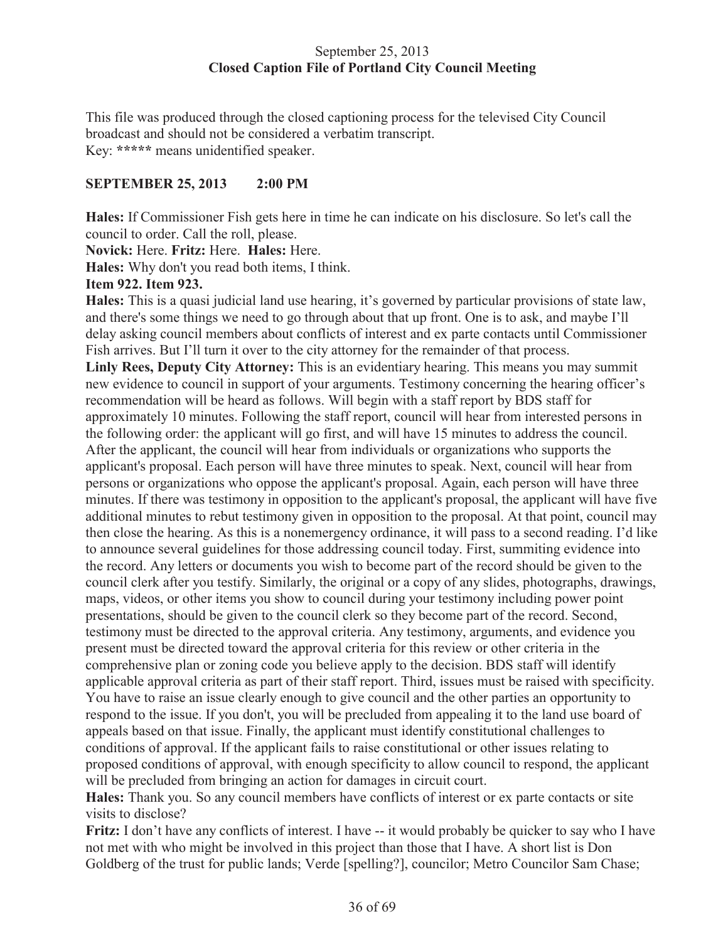## September 25, 2013 **Closed Caption File of Portland City Council Meeting**

This file was produced through the closed captioning process for the televised City Council broadcast and should not be considered a verbatim transcript. Key: **\*\*\*\*\*** means unidentified speaker.

## **SEPTEMBER 25, 2013 2:00 PM**

**Hales:** If Commissioner Fish gets here in time he can indicate on his disclosure. So let's call the council to order. Call the roll, please.

**Novick:** Here. **Fritz:** Here. **Hales:** Here.

**Hales:** Why don't you read both items, I think.

## **Item 922. Item 923.**

**Hales:** This is a quasi judicial land use hearing, it's governed by particular provisions of state law, and there's some things we need to go through about that up front. One is to ask, and maybe I'll delay asking council members about conflicts of interest and ex parte contacts until Commissioner Fish arrives. But I'll turn it over to the city attorney for the remainder of that process.

**Linly Rees, Deputy City Attorney:** This is an evidentiary hearing. This means you may summit new evidence to council in support of your arguments. Testimony concerning the hearing officer's recommendation will be heard as follows. Will begin with a staff report by BDS staff for approximately 10 minutes. Following the staff report, council will hear from interested persons in the following order: the applicant will go first, and will have 15 minutes to address the council. After the applicant, the council will hear from individuals or organizations who supports the applicant's proposal. Each person will have three minutes to speak. Next, council will hear from persons or organizations who oppose the applicant's proposal. Again, each person will have three minutes. If there was testimony in opposition to the applicant's proposal, the applicant will have five additional minutes to rebut testimony given in opposition to the proposal. At that point, council may then close the hearing. As this is a nonemergency ordinance, it will pass to a second reading. I'd like to announce several guidelines for those addressing council today. First, summiting evidence into the record. Any letters or documents you wish to become part of the record should be given to the council clerk after you testify. Similarly, the original or a copy of any slides, photographs, drawings, maps, videos, or other items you show to council during your testimony including power point presentations, should be given to the council clerk so they become part of the record. Second, testimony must be directed to the approval criteria. Any testimony, arguments, and evidence you present must be directed toward the approval criteria for this review or other criteria in the comprehensive plan or zoning code you believe apply to the decision. BDS staff will identify applicable approval criteria as part of their staff report. Third, issues must be raised with specificity. You have to raise an issue clearly enough to give council and the other parties an opportunity to respond to the issue. If you don't, you will be precluded from appealing it to the land use board of appeals based on that issue. Finally, the applicant must identify constitutional challenges to conditions of approval. If the applicant fails to raise constitutional or other issues relating to proposed conditions of approval, with enough specificity to allow council to respond, the applicant will be precluded from bringing an action for damages in circuit court.

**Hales:** Thank you. So any council members have conflicts of interest or ex parte contacts or site visits to disclose?

**Fritz:** I don't have any conflicts of interest. I have -- it would probably be quicker to say who I have not met with who might be involved in this project than those that I have. A short list is Don Goldberg of the trust for public lands; Verde [spelling?], councilor; Metro Councilor Sam Chase;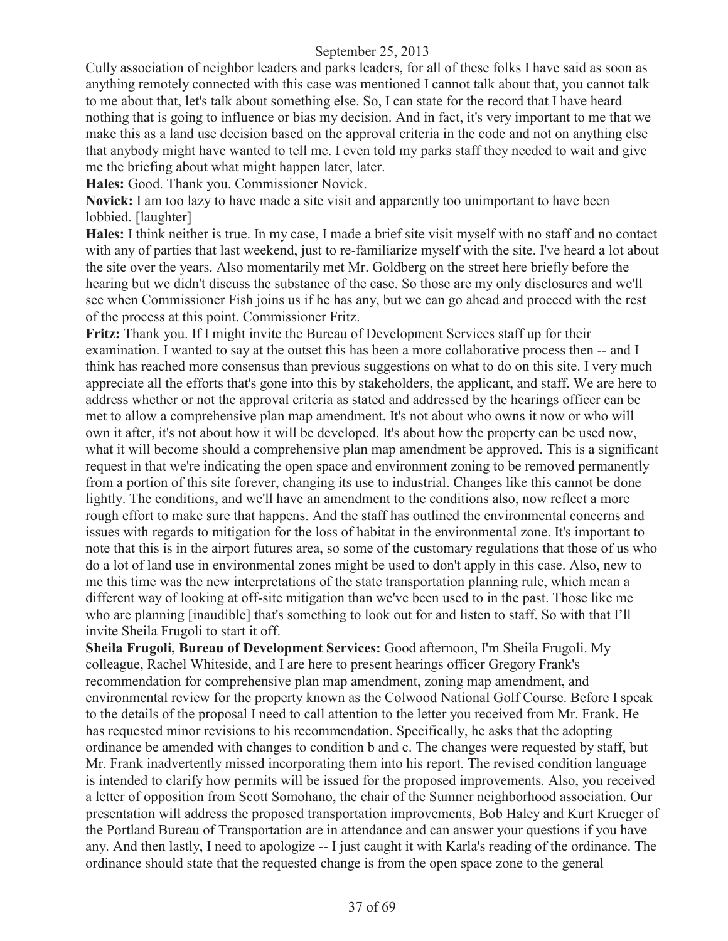Cully association of neighbor leaders and parks leaders, for all of these folks I have said as soon as anything remotely connected with this case was mentioned I cannot talk about that, you cannot talk to me about that, let's talk about something else. So, I can state for the record that I have heard nothing that is going to influence or bias my decision. And in fact, it's very important to me that we make this as a land use decision based on the approval criteria in the code and not on anything else that anybody might have wanted to tell me. I even told my parks staff they needed to wait and give me the briefing about what might happen later, later.

**Hales:** Good. Thank you. Commissioner Novick.

**Novick:** I am too lazy to have made a site visit and apparently too unimportant to have been lobbied. [laughter]

**Hales:** I think neither is true. In my case, I made a brief site visit myself with no staff and no contact with any of parties that last weekend, just to re-familiarize myself with the site. I've heard a lot about the site over the years. Also momentarily met Mr. Goldberg on the street here briefly before the hearing but we didn't discuss the substance of the case. So those are my only disclosures and we'll see when Commissioner Fish joins us if he has any, but we can go ahead and proceed with the rest of the process at this point. Commissioner Fritz.

**Fritz:** Thank you. If I might invite the Bureau of Development Services staff up for their examination. I wanted to say at the outset this has been a more collaborative process then -- and I think has reached more consensus than previous suggestions on what to do on this site. I very much appreciate all the efforts that's gone into this by stakeholders, the applicant, and staff. We are here to address whether or not the approval criteria as stated and addressed by the hearings officer can be met to allow a comprehensive plan map amendment. It's not about who owns it now or who will own it after, it's not about how it will be developed. It's about how the property can be used now, what it will become should a comprehensive plan map amendment be approved. This is a significant request in that we're indicating the open space and environment zoning to be removed permanently from a portion of this site forever, changing its use to industrial. Changes like this cannot be done lightly. The conditions, and we'll have an amendment to the conditions also, now reflect a more rough effort to make sure that happens. And the staff has outlined the environmental concerns and issues with regards to mitigation for the loss of habitat in the environmental zone. It's important to note that this is in the airport futures area, so some of the customary regulations that those of us who do a lot of land use in environmental zones might be used to don't apply in this case. Also, new to me this time was the new interpretations of the state transportation planning rule, which mean a different way of looking at off-site mitigation than we've been used to in the past. Those like me who are planning [inaudible] that's something to look out for and listen to staff. So with that I'll invite Sheila Frugoli to start it off.

**Sheila Frugoli, Bureau of Development Services:** Good afternoon, I'm Sheila Frugoli. My colleague, Rachel Whiteside, and I are here to present hearings officer Gregory Frank's recommendation for comprehensive plan map amendment, zoning map amendment, and environmental review for the property known as the Colwood National Golf Course. Before I speak to the details of the proposal I need to call attention to the letter you received from Mr. Frank. He has requested minor revisions to his recommendation. Specifically, he asks that the adopting ordinance be amended with changes to condition b and c. The changes were requested by staff, but Mr. Frank inadvertently missed incorporating them into his report. The revised condition language is intended to clarify how permits will be issued for the proposed improvements. Also, you received a letter of opposition from Scott Somohano, the chair of the Sumner neighborhood association. Our presentation will address the proposed transportation improvements, Bob Haley and Kurt Krueger of the Portland Bureau of Transportation are in attendance and can answer your questions if you have any. And then lastly, I need to apologize -- I just caught it with Karla's reading of the ordinance. The ordinance should state that the requested change is from the open space zone to the general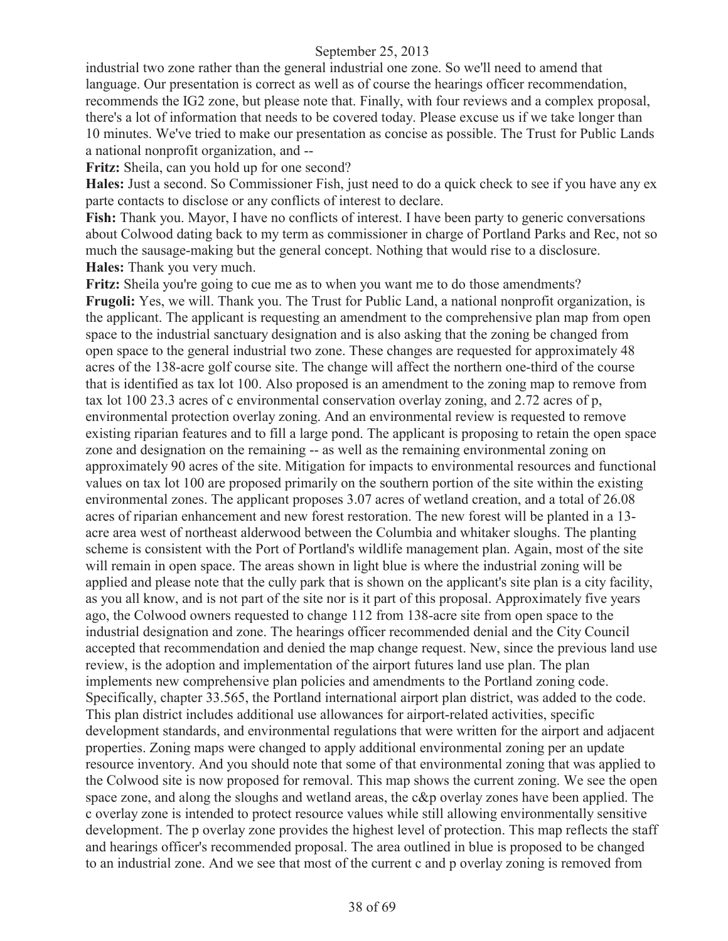industrial two zone rather than the general industrial one zone. So we'll need to amend that language. Our presentation is correct as well as of course the hearings officer recommendation, recommends the IG2 zone, but please note that. Finally, with four reviews and a complex proposal, there's a lot of information that needs to be covered today. Please excuse us if we take longer than 10 minutes. We've tried to make our presentation as concise as possible. The Trust for Public Lands a national nonprofit organization, and --

**Fritz:** Sheila, can you hold up for one second?

**Hales:** Just a second. So Commissioner Fish, just need to do a quick check to see if you have any ex parte contacts to disclose or any conflicts of interest to declare.

**Fish:** Thank you. Mayor, I have no conflicts of interest. I have been party to generic conversations about Colwood dating back to my term as commissioner in charge of Portland Parks and Rec, not so much the sausage-making but the general concept. Nothing that would rise to a disclosure. **Hales:** Thank you very much.

**Fritz:** Sheila you're going to cue me as to when you want me to do those amendments? **Frugoli:** Yes, we will. Thank you. The Trust for Public Land, a national nonprofit organization, is the applicant. The applicant is requesting an amendment to the comprehensive plan map from open space to the industrial sanctuary designation and is also asking that the zoning be changed from open space to the general industrial two zone. These changes are requested for approximately 48 acres of the 138-acre golf course site. The change will affect the northern one-third of the course that is identified as tax lot 100. Also proposed is an amendment to the zoning map to remove from tax lot 100 23.3 acres of c environmental conservation overlay zoning, and 2.72 acres of p, environmental protection overlay zoning. And an environmental review is requested to remove existing riparian features and to fill a large pond. The applicant is proposing to retain the open space zone and designation on the remaining -- as well as the remaining environmental zoning on approximately 90 acres of the site. Mitigation for impacts to environmental resources and functional values on tax lot 100 are proposed primarily on the southern portion of the site within the existing environmental zones. The applicant proposes 3.07 acres of wetland creation, and a total of 26.08 acres of riparian enhancement and new forest restoration. The new forest will be planted in a 13 acre area west of northeast alderwood between the Columbia and whitaker sloughs. The planting scheme is consistent with the Port of Portland's wildlife management plan. Again, most of the site will remain in open space. The areas shown in light blue is where the industrial zoning will be applied and please note that the cully park that is shown on the applicant's site plan is a city facility, as you all know, and is not part of the site nor is it part of this proposal. Approximately five years ago, the Colwood owners requested to change 112 from 138-acre site from open space to the industrial designation and zone. The hearings officer recommended denial and the City Council accepted that recommendation and denied the map change request. New, since the previous land use review, is the adoption and implementation of the airport futures land use plan. The plan implements new comprehensive plan policies and amendments to the Portland zoning code. Specifically, chapter 33.565, the Portland international airport plan district, was added to the code. This plan district includes additional use allowances for airport-related activities, specific development standards, and environmental regulations that were written for the airport and adjacent properties. Zoning maps were changed to apply additional environmental zoning per an update resource inventory. And you should note that some of that environmental zoning that was applied to the Colwood site is now proposed for removal. This map shows the current zoning. We see the open space zone, and along the sloughs and wetland areas, the c&p overlay zones have been applied. The c overlay zone is intended to protect resource values while still allowing environmentally sensitive development. The p overlay zone provides the highest level of protection. This map reflects the staff and hearings officer's recommended proposal. The area outlined in blue is proposed to be changed to an industrial zone. And we see that most of the current c and p overlay zoning is removed from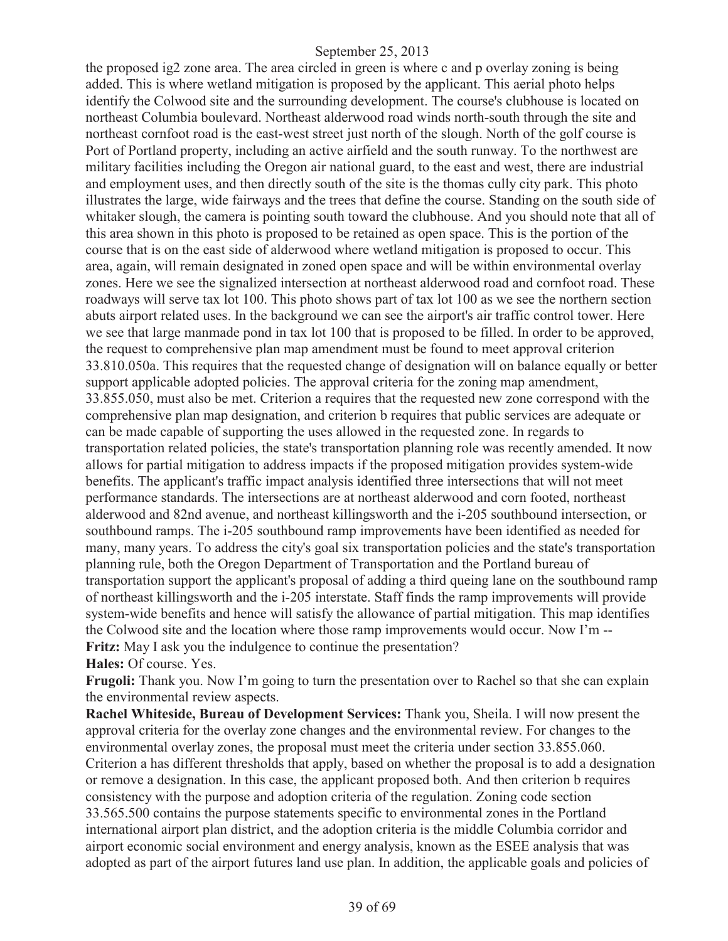the proposed ig2 zone area. The area circled in green is where c and p overlay zoning is being added. This is where wetland mitigation is proposed by the applicant. This aerial photo helps identify the Colwood site and the surrounding development. The course's clubhouse is located on northeast Columbia boulevard. Northeast alderwood road winds north-south through the site and northeast cornfoot road is the east-west street just north of the slough. North of the golf course is Port of Portland property, including an active airfield and the south runway. To the northwest are military facilities including the Oregon air national guard, to the east and west, there are industrial and employment uses, and then directly south of the site is the thomas cully city park. This photo illustrates the large, wide fairways and the trees that define the course. Standing on the south side of whitaker slough, the camera is pointing south toward the clubhouse. And you should note that all of this area shown in this photo is proposed to be retained as open space. This is the portion of the course that is on the east side of alderwood where wetland mitigation is proposed to occur. This area, again, will remain designated in zoned open space and will be within environmental overlay zones. Here we see the signalized intersection at northeast alderwood road and cornfoot road. These roadways will serve tax lot 100. This photo shows part of tax lot 100 as we see the northern section abuts airport related uses. In the background we can see the airport's air traffic control tower. Here we see that large manmade pond in tax lot 100 that is proposed to be filled. In order to be approved, the request to comprehensive plan map amendment must be found to meet approval criterion 33.810.050a. This requires that the requested change of designation will on balance equally or better support applicable adopted policies. The approval criteria for the zoning map amendment, 33.855.050, must also be met. Criterion a requires that the requested new zone correspond with the comprehensive plan map designation, and criterion b requires that public services are adequate or can be made capable of supporting the uses allowed in the requested zone. In regards to transportation related policies, the state's transportation planning role was recently amended. It now allows for partial mitigation to address impacts if the proposed mitigation provides system-wide benefits. The applicant's traffic impact analysis identified three intersections that will not meet performance standards. The intersections are at northeast alderwood and corn footed, northeast alderwood and 82nd avenue, and northeast killingsworth and the i-205 southbound intersection, or southbound ramps. The i-205 southbound ramp improvements have been identified as needed for many, many years. To address the city's goal six transportation policies and the state's transportation planning rule, both the Oregon Department of Transportation and the Portland bureau of transportation support the applicant's proposal of adding a third queing lane on the southbound ramp of northeast killingsworth and the i-205 interstate. Staff finds the ramp improvements will provide system-wide benefits and hence will satisfy the allowance of partial mitigation. This map identifies the Colwood site and the location where those ramp improvements would occur. Now I'm -- **Fritz:** May I ask you the indulgence to continue the presentation?

**Hales:** Of course. Yes.

**Frugoli:** Thank you. Now I'm going to turn the presentation over to Rachel so that she can explain the environmental review aspects.

**Rachel Whiteside, Bureau of Development Services:** Thank you, Sheila. I will now present the approval criteria for the overlay zone changes and the environmental review. For changes to the environmental overlay zones, the proposal must meet the criteria under section 33.855.060. Criterion a has different thresholds that apply, based on whether the proposal is to add a designation or remove a designation. In this case, the applicant proposed both. And then criterion b requires consistency with the purpose and adoption criteria of the regulation. Zoning code section 33.565.500 contains the purpose statements specific to environmental zones in the Portland international airport plan district, and the adoption criteria is the middle Columbia corridor and airport economic social environment and energy analysis, known as the ESEE analysis that was adopted as part of the airport futures land use plan. In addition, the applicable goals and policies of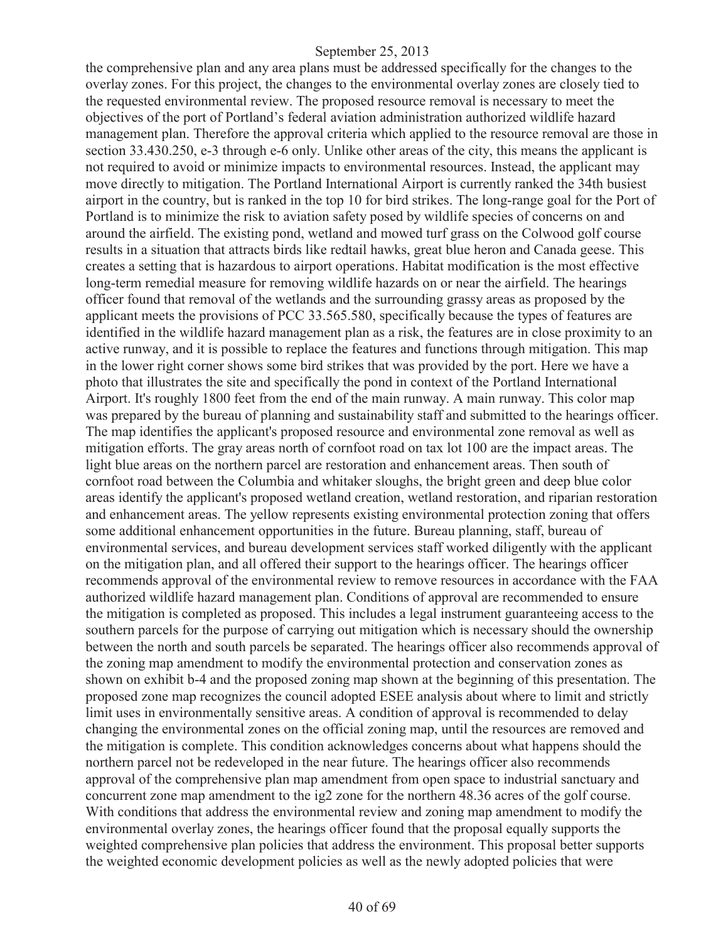the comprehensive plan and any area plans must be addressed specifically for the changes to the overlay zones. For this project, the changes to the environmental overlay zones are closely tied to the requested environmental review. The proposed resource removal is necessary to meet the objectives of the port of Portland's federal aviation administration authorized wildlife hazard management plan. Therefore the approval criteria which applied to the resource removal are those in section 33.430.250, e-3 through e-6 only. Unlike other areas of the city, this means the applicant is not required to avoid or minimize impacts to environmental resources. Instead, the applicant may move directly to mitigation. The Portland International Airport is currently ranked the 34th busiest airport in the country, but is ranked in the top 10 for bird strikes. The long-range goal for the Port of Portland is to minimize the risk to aviation safety posed by wildlife species of concerns on and around the airfield. The existing pond, wetland and mowed turf grass on the Colwood golf course results in a situation that attracts birds like redtail hawks, great blue heron and Canada geese. This creates a setting that is hazardous to airport operations. Habitat modification is the most effective long-term remedial measure for removing wildlife hazards on or near the airfield. The hearings officer found that removal of the wetlands and the surrounding grassy areas as proposed by the applicant meets the provisions of PCC 33.565.580, specifically because the types of features are identified in the wildlife hazard management plan as a risk, the features are in close proximity to an active runway, and it is possible to replace the features and functions through mitigation. This map in the lower right corner shows some bird strikes that was provided by the port. Here we have a photo that illustrates the site and specifically the pond in context of the Portland International Airport. It's roughly 1800 feet from the end of the main runway. A main runway. This color map was prepared by the bureau of planning and sustainability staff and submitted to the hearings officer. The map identifies the applicant's proposed resource and environmental zone removal as well as mitigation efforts. The gray areas north of cornfoot road on tax lot 100 are the impact areas. The light blue areas on the northern parcel are restoration and enhancement areas. Then south of cornfoot road between the Columbia and whitaker sloughs, the bright green and deep blue color areas identify the applicant's proposed wetland creation, wetland restoration, and riparian restoration and enhancement areas. The yellow represents existing environmental protection zoning that offers some additional enhancement opportunities in the future. Bureau planning, staff, bureau of environmental services, and bureau development services staff worked diligently with the applicant on the mitigation plan, and all offered their support to the hearings officer. The hearings officer recommends approval of the environmental review to remove resources in accordance with the FAA authorized wildlife hazard management plan. Conditions of approval are recommended to ensure the mitigation is completed as proposed. This includes a legal instrument guaranteeing access to the southern parcels for the purpose of carrying out mitigation which is necessary should the ownership between the north and south parcels be separated. The hearings officer also recommends approval of the zoning map amendment to modify the environmental protection and conservation zones as shown on exhibit b-4 and the proposed zoning map shown at the beginning of this presentation. The proposed zone map recognizes the council adopted ESEE analysis about where to limit and strictly limit uses in environmentally sensitive areas. A condition of approval is recommended to delay changing the environmental zones on the official zoning map, until the resources are removed and the mitigation is complete. This condition acknowledges concerns about what happens should the northern parcel not be redeveloped in the near future. The hearings officer also recommends approval of the comprehensive plan map amendment from open space to industrial sanctuary and concurrent zone map amendment to the ig2 zone for the northern 48.36 acres of the golf course. With conditions that address the environmental review and zoning map amendment to modify the environmental overlay zones, the hearings officer found that the proposal equally supports the weighted comprehensive plan policies that address the environment. This proposal better supports the weighted economic development policies as well as the newly adopted policies that were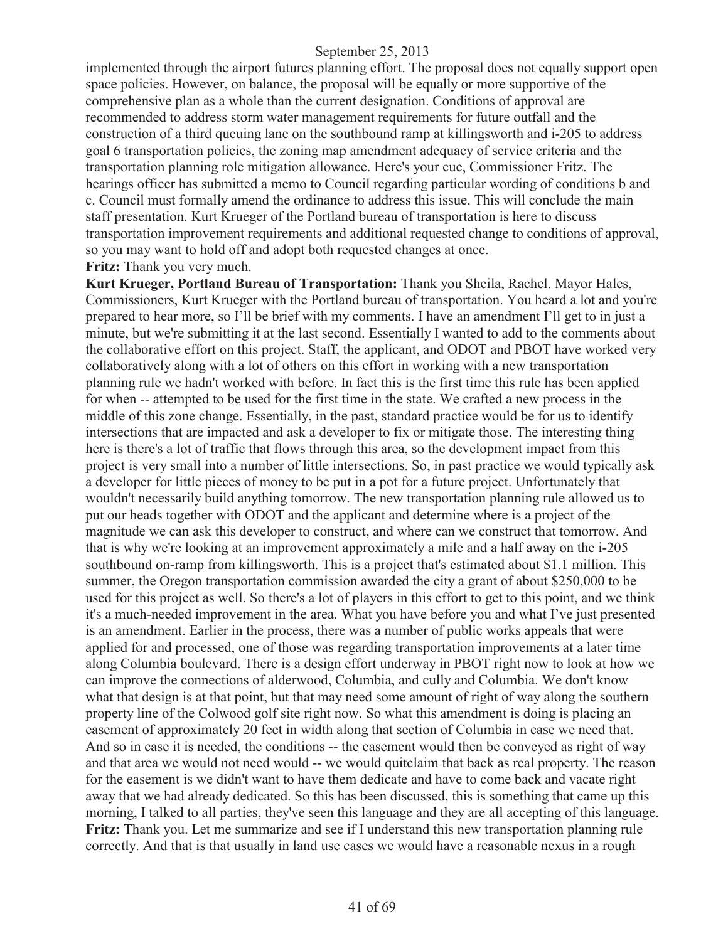implemented through the airport futures planning effort. The proposal does not equally support open space policies. However, on balance, the proposal will be equally or more supportive of the comprehensive plan as a whole than the current designation. Conditions of approval are recommended to address storm water management requirements for future outfall and the construction of a third queuing lane on the southbound ramp at killingsworth and i-205 to address goal 6 transportation policies, the zoning map amendment adequacy of service criteria and the transportation planning role mitigation allowance. Here's your cue, Commissioner Fritz. The hearings officer has submitted a memo to Council regarding particular wording of conditions b and c. Council must formally amend the ordinance to address this issue. This will conclude the main staff presentation. Kurt Krueger of the Portland bureau of transportation is here to discuss transportation improvement requirements and additional requested change to conditions of approval, so you may want to hold off and adopt both requested changes at once. **Fritz:** Thank you very much.

**Kurt Krueger, Portland Bureau of Transportation:** Thank you Sheila, Rachel. Mayor Hales, Commissioners, Kurt Krueger with the Portland bureau of transportation. You heard a lot and you're prepared to hear more, so I'll be brief with my comments. I have an amendment I'll get to in just a minute, but we're submitting it at the last second. Essentially I wanted to add to the comments about the collaborative effort on this project. Staff, the applicant, and ODOT and PBOT have worked very collaboratively along with a lot of others on this effort in working with a new transportation planning rule we hadn't worked with before. In fact this is the first time this rule has been applied for when -- attempted to be used for the first time in the state. We crafted a new process in the middle of this zone change. Essentially, in the past, standard practice would be for us to identify intersections that are impacted and ask a developer to fix or mitigate those. The interesting thing here is there's a lot of traffic that flows through this area, so the development impact from this project is very small into a number of little intersections. So, in past practice we would typically ask a developer for little pieces of money to be put in a pot for a future project. Unfortunately that wouldn't necessarily build anything tomorrow. The new transportation planning rule allowed us to put our heads together with ODOT and the applicant and determine where is a project of the magnitude we can ask this developer to construct, and where can we construct that tomorrow. And that is why we're looking at an improvement approximately a mile and a half away on the i-205 southbound on-ramp from killingsworth. This is a project that's estimated about \$1.1 million. This summer, the Oregon transportation commission awarded the city a grant of about \$250,000 to be used for this project as well. So there's a lot of players in this effort to get to this point, and we think it's a much-needed improvement in the area. What you have before you and what I've just presented is an amendment. Earlier in the process, there was a number of public works appeals that were applied for and processed, one of those was regarding transportation improvements at a later time along Columbia boulevard. There is a design effort underway in PBOT right now to look at how we can improve the connections of alderwood, Columbia, and cully and Columbia. We don't know what that design is at that point, but that may need some amount of right of way along the southern property line of the Colwood golf site right now. So what this amendment is doing is placing an easement of approximately 20 feet in width along that section of Columbia in case we need that. And so in case it is needed, the conditions -- the easement would then be conveyed as right of way and that area we would not need would -- we would quitclaim that back as real property. The reason for the easement is we didn't want to have them dedicate and have to come back and vacate right away that we had already dedicated. So this has been discussed, this is something that came up this morning, I talked to all parties, they've seen this language and they are all accepting of this language. **Fritz:** Thank you. Let me summarize and see if I understand this new transportation planning rule correctly. And that is that usually in land use cases we would have a reasonable nexus in a rough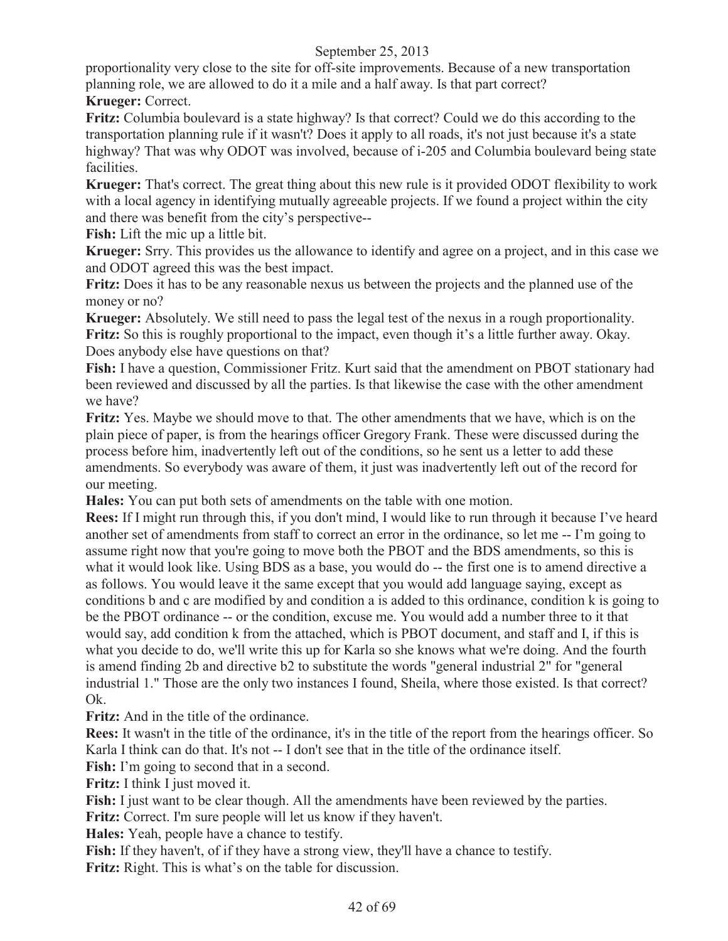proportionality very close to the site for off-site improvements. Because of a new transportation planning role, we are allowed to do it a mile and a half away. Is that part correct? **Krueger:** Correct.

**Fritz:** Columbia boulevard is a state highway? Is that correct? Could we do this according to the transportation planning rule if it wasn't? Does it apply to all roads, it's not just because it's a state highway? That was why ODOT was involved, because of i-205 and Columbia boulevard being state facilities.

**Krueger:** That's correct. The great thing about this new rule is it provided ODOT flexibility to work with a local agency in identifying mutually agreeable projects. If we found a project within the city and there was benefit from the city's perspective--

**Fish:** Lift the mic up a little bit.

**Krueger:** Srry. This provides us the allowance to identify and agree on a project, and in this case we and ODOT agreed this was the best impact.

**Fritz:** Does it has to be any reasonable nexus us between the projects and the planned use of the money or no?

**Krueger:** Absolutely. We still need to pass the legal test of the nexus in a rough proportionality. **Fritz:** So this is roughly proportional to the impact, even though it's a little further away. Okay. Does anybody else have questions on that?

**Fish:** I have a question, Commissioner Fritz. Kurt said that the amendment on PBOT stationary had been reviewed and discussed by all the parties. Is that likewise the case with the other amendment we have?

**Fritz:** Yes. Maybe we should move to that. The other amendments that we have, which is on the plain piece of paper, is from the hearings officer Gregory Frank. These were discussed during the process before him, inadvertently left out of the conditions, so he sent us a letter to add these amendments. So everybody was aware of them, it just was inadvertently left out of the record for our meeting.

**Hales:** You can put both sets of amendments on the table with one motion.

**Rees:** If I might run through this, if you don't mind, I would like to run through it because I've heard another set of amendments from staff to correct an error in the ordinance, so let me -- I'm going to assume right now that you're going to move both the PBOT and the BDS amendments, so this is what it would look like. Using BDS as a base, you would do -- the first one is to amend directive a as follows. You would leave it the same except that you would add language saying, except as conditions b and c are modified by and condition a is added to this ordinance, condition k is going to be the PBOT ordinance -- or the condition, excuse me. You would add a number three to it that would say, add condition k from the attached, which is PBOT document, and staff and I, if this is what you decide to do, we'll write this up for Karla so she knows what we're doing. And the fourth is amend finding 2b and directive b2 to substitute the words "general industrial 2" for "general industrial 1." Those are the only two instances I found, Sheila, where those existed. Is that correct? Ok.

**Fritz:** And in the title of the ordinance.

**Rees:** It wasn't in the title of the ordinance, it's in the title of the report from the hearings officer. So Karla I think can do that. It's not -- I don't see that in the title of the ordinance itself.

Fish: I'm going to second that in a second.

**Fritz:** I think I just moved it.

Fish: I just want to be clear though. All the amendments have been reviewed by the parties. **Fritz:** Correct. I'm sure people will let us know if they haven't.

**Hales:** Yeah, people have a chance to testify.

**Fish:** If they haven't, of if they have a strong view, they'll have a chance to testify.

**Fritz:** Right. This is what's on the table for discussion.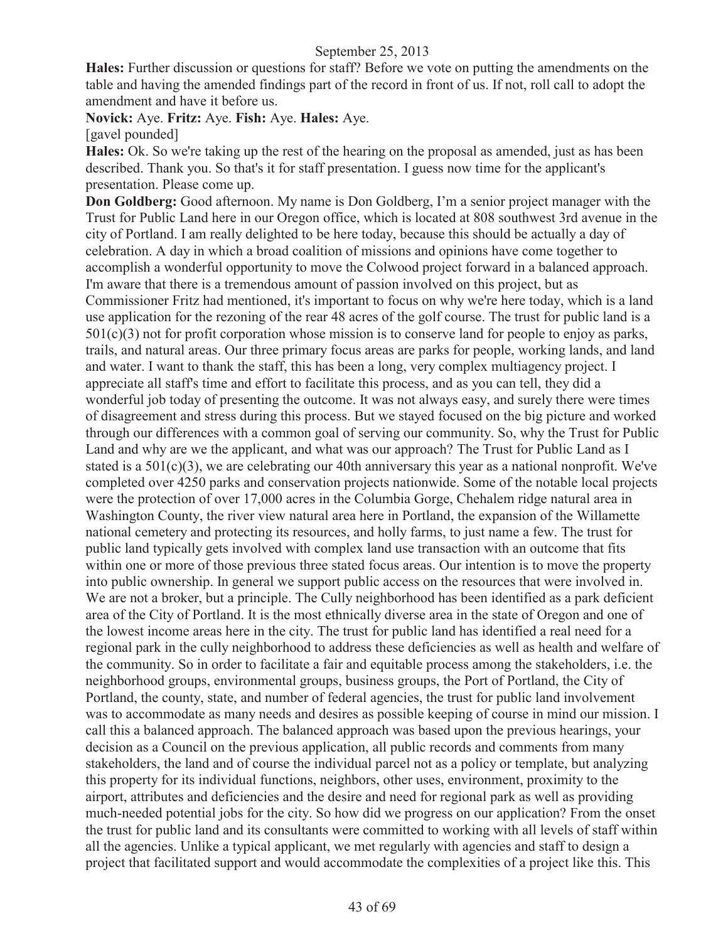**Hales:** Further discussion or questions for staff? Before we vote on putting the amendments on the table and having the amended findings part of the record in front of us. If not, roll call to adopt the amendment and have it before us.

**Novick:** Aye. **Fritz:** Aye. **Fish:** Aye. **Hales:** Aye.

[gavel pounded]

**Hales:** Ok. So we're taking up the rest of the hearing on the proposal as amended, just as has been described. Thank you. So that's it for staff presentation. I guess now time for the applicant's presentation. Please come up.

**Don Goldberg:** Good afternoon. My name is Don Goldberg, I'm a senior project manager with the Trust for Public Land here in our Oregon office, which is located at 808 southwest 3rd avenue in the city of Portland. I am really delighted to be here today, because this should be actually a day of celebration. A day in which a broad coalition of missions and opinions have come together to accomplish a wonderful opportunity to move the Colwood project forward in a balanced approach. I'm aware that there is a tremendous amount of passion involved on this project, but as Commissioner Fritz had mentioned, it's important to focus on why we're here today, which is a land use application for the rezoning of the rear 48 acres of the golf course. The trust for public land is a  $501(c)(3)$  not for profit corporation whose mission is to conserve land for people to enjoy as parks, trails, and natural areas. Our three primary focus areas are parks for people, working lands, and land and water. I want to thank the staff, this has been a long, very complex multiagency project. I appreciate all staff's time and effort to facilitate this process, and as you can tell, they did a wonderful job today of presenting the outcome. It was not always easy, and surely there were times of disagreement and stress during this process. But we stayed focused on the big picture and worked through our differences with a common goal of serving our community. So, why the Trust for Public Land and why are we the applicant, and what was our approach? The Trust for Public Land as I stated is a  $501(c)(3)$ , we are celebrating our 40th anniversary this year as a national nonprofit. We've completed over 4250 parks and conservation projects nationwide. Some of the notable local projects were the protection of over 17,000 acres in the Columbia Gorge, Chehalem ridge natural area in Washington County, the river view natural area here in Portland, the expansion of the Willamette national cemetery and protecting its resources, and holly farms, to just name a few. The trust for public land typically gets involved with complex land use transaction with an outcome that fits within one or more of those previous three stated focus areas. Our intention is to move the property into public ownership. In general we support public access on the resources that were involved in. We are not a broker, but a principle. The Cully neighborhood has been identified as a park deficient area of the City of Portland. It is the most ethnically diverse area in the state of Oregon and one of the lowest income areas here in the city. The trust for public land has identified a real need for a regional park in the cully neighborhood to address these deficiencies as well as health and welfare of the community. So in order to facilitate a fair and equitable process among the stakeholders, i.e. the neighborhood groups, environmental groups, business groups, the Port of Portland, the City of Portland, the county, state, and number of federal agencies, the trust for public land involvement was to accommodate as many needs and desires as possible keeping of course in mind our mission. I call this a balanced approach. The balanced approach was based upon the previous hearings, your decision as a Council on the previous application, all public records and comments from many stakeholders, the land and of course the individual parcel not as a policy or template, but analyzing this property for its individual functions, neighbors, other uses, environment, proximity to the airport, attributes and deficiencies and the desire and need for regional park as well as providing much-needed potential jobs for the city. So how did we progress on our application? From the onset the trust for public land and its consultants were committed to working with all levels of staff within all the agencies. Unlike a typical applicant, we met regularly with agencies and staff to design a project that facilitated support and would accommodate the complexities of a project like this. This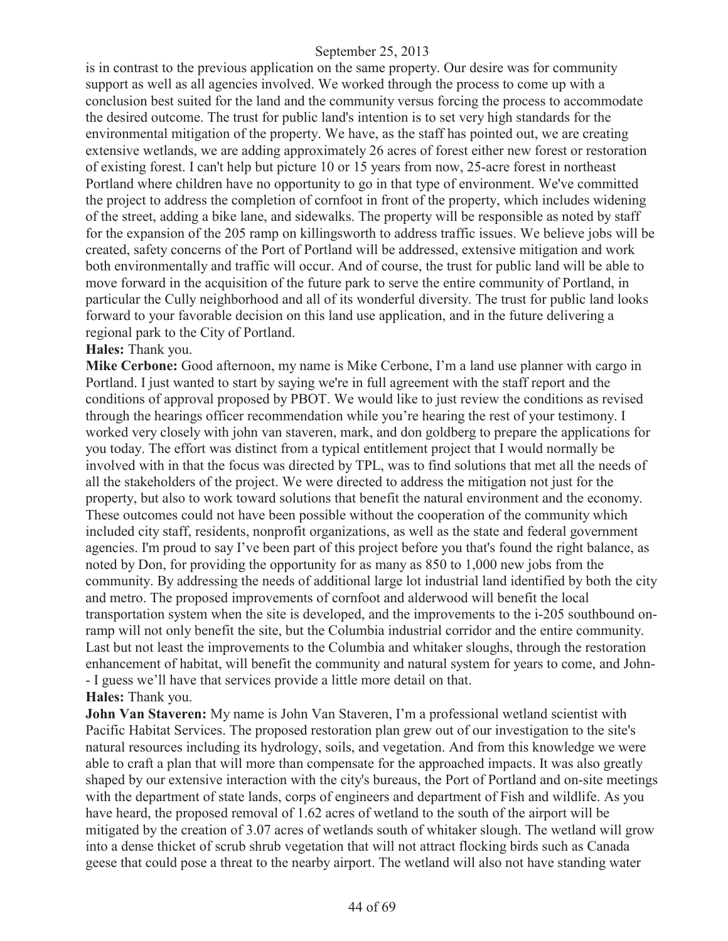is in contrast to the previous application on the same property. Our desire was for community support as well as all agencies involved. We worked through the process to come up with a conclusion best suited for the land and the community versus forcing the process to accommodate the desired outcome. The trust for public land's intention is to set very high standards for the environmental mitigation of the property. We have, as the staff has pointed out, we are creating extensive wetlands, we are adding approximately 26 acres of forest either new forest or restoration of existing forest. I can't help but picture 10 or 15 years from now, 25-acre forest in northeast Portland where children have no opportunity to go in that type of environment. We've committed the project to address the completion of cornfoot in front of the property, which includes widening of the street, adding a bike lane, and sidewalks. The property will be responsible as noted by staff for the expansion of the 205 ramp on killingsworth to address traffic issues. We believe jobs will be created, safety concerns of the Port of Portland will be addressed, extensive mitigation and work both environmentally and traffic will occur. And of course, the trust for public land will be able to move forward in the acquisition of the future park to serve the entire community of Portland, in particular the Cully neighborhood and all of its wonderful diversity. The trust for public land looks forward to your favorable decision on this land use application, and in the future delivering a regional park to the City of Portland.

#### **Hales:** Thank you.

**Mike Cerbone:** Good afternoon, my name is Mike Cerbone, I'm a land use planner with cargo in Portland. I just wanted to start by saying we're in full agreement with the staff report and the conditions of approval proposed by PBOT. We would like to just review the conditions as revised through the hearings officer recommendation while you're hearing the rest of your testimony. I worked very closely with john van staveren, mark, and don goldberg to prepare the applications for you today. The effort was distinct from a typical entitlement project that I would normally be involved with in that the focus was directed by TPL, was to find solutions that met all the needs of all the stakeholders of the project. We were directed to address the mitigation not just for the property, but also to work toward solutions that benefit the natural environment and the economy. These outcomes could not have been possible without the cooperation of the community which included city staff, residents, nonprofit organizations, as well as the state and federal government agencies. I'm proud to say I've been part of this project before you that's found the right balance, as noted by Don, for providing the opportunity for as many as 850 to 1,000 new jobs from the community. By addressing the needs of additional large lot industrial land identified by both the city and metro. The proposed improvements of cornfoot and alderwood will benefit the local transportation system when the site is developed, and the improvements to the i-205 southbound onramp will not only benefit the site, but the Columbia industrial corridor and the entire community. Last but not least the improvements to the Columbia and whitaker sloughs, through the restoration enhancement of habitat, will benefit the community and natural system for years to come, and John- - I guess we'll have that services provide a little more detail on that. **Hales:** Thank you.

**John Van Staveren:** My name is John Van Staveren, I'm a professional wetland scientist with Pacific Habitat Services. The proposed restoration plan grew out of our investigation to the site's natural resources including its hydrology, soils, and vegetation. And from this knowledge we were able to craft a plan that will more than compensate for the approached impacts. It was also greatly shaped by our extensive interaction with the city's bureaus, the Port of Portland and on-site meetings with the department of state lands, corps of engineers and department of Fish and wildlife. As you have heard, the proposed removal of 1.62 acres of wetland to the south of the airport will be mitigated by the creation of 3.07 acres of wetlands south of whitaker slough. The wetland will grow into a dense thicket of scrub shrub vegetation that will not attract flocking birds such as Canada geese that could pose a threat to the nearby airport. The wetland will also not have standing water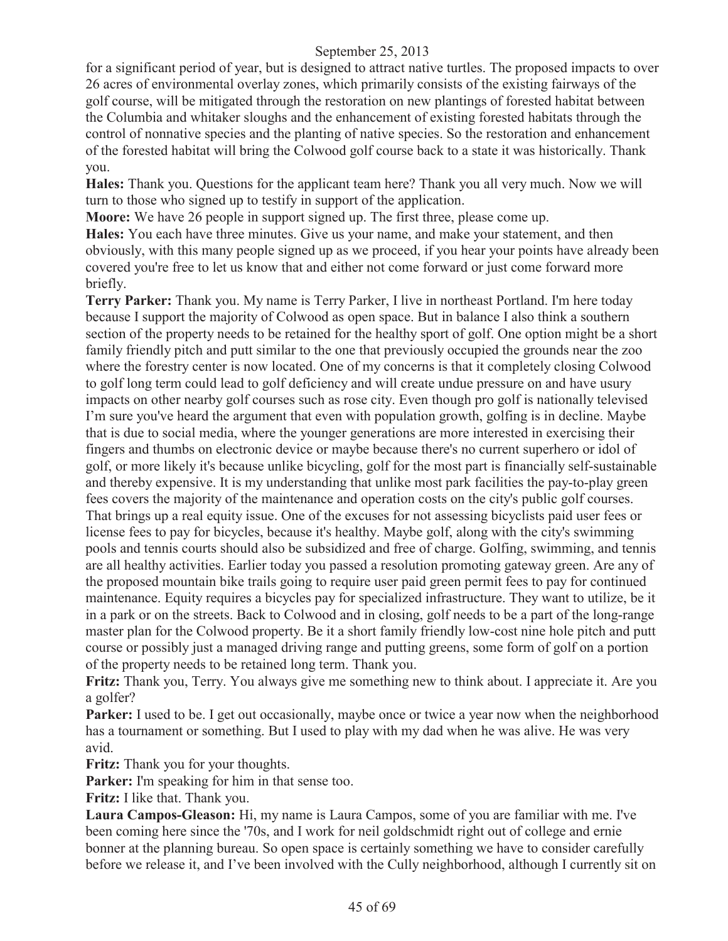for a significant period of year, but is designed to attract native turtles. The proposed impacts to over 26 acres of environmental overlay zones, which primarily consists of the existing fairways of the golf course, will be mitigated through the restoration on new plantings of forested habitat between the Columbia and whitaker sloughs and the enhancement of existing forested habitats through the control of nonnative species and the planting of native species. So the restoration and enhancement of the forested habitat will bring the Colwood golf course back to a state it was historically. Thank you.

**Hales:** Thank you. Questions for the applicant team here? Thank you all very much. Now we will turn to those who signed up to testify in support of the application.

**Moore:** We have 26 people in support signed up. The first three, please come up.

**Hales:** You each have three minutes. Give us your name, and make your statement, and then obviously, with this many people signed up as we proceed, if you hear your points have already been covered you're free to let us know that and either not come forward or just come forward more briefly.

**Terry Parker:** Thank you. My name is Terry Parker, I live in northeast Portland. I'm here today because I support the majority of Colwood as open space. But in balance I also think a southern section of the property needs to be retained for the healthy sport of golf. One option might be a short family friendly pitch and putt similar to the one that previously occupied the grounds near the zoo where the forestry center is now located. One of my concerns is that it completely closing Colwood to golf long term could lead to golf deficiency and will create undue pressure on and have usury impacts on other nearby golf courses such as rose city. Even though pro golf is nationally televised I'm sure you've heard the argument that even with population growth, golfing is in decline. Maybe that is due to social media, where the younger generations are more interested in exercising their fingers and thumbs on electronic device or maybe because there's no current superhero or idol of golf, or more likely it's because unlike bicycling, golf for the most part is financially self-sustainable and thereby expensive. It is my understanding that unlike most park facilities the pay-to-play green fees covers the majority of the maintenance and operation costs on the city's public golf courses. That brings up a real equity issue. One of the excuses for not assessing bicyclists paid user fees or license fees to pay for bicycles, because it's healthy. Maybe golf, along with the city's swimming pools and tennis courts should also be subsidized and free of charge. Golfing, swimming, and tennis are all healthy activities. Earlier today you passed a resolution promoting gateway green. Are any of the proposed mountain bike trails going to require user paid green permit fees to pay for continued maintenance. Equity requires a bicycles pay for specialized infrastructure. They want to utilize, be it in a park or on the streets. Back to Colwood and in closing, golf needs to be a part of the long-range master plan for the Colwood property. Be it a short family friendly low-cost nine hole pitch and putt course or possibly just a managed driving range and putting greens, some form of golf on a portion of the property needs to be retained long term. Thank you.

**Fritz:** Thank you, Terry. You always give me something new to think about. I appreciate it. Are you a golfer?

**Parker:** I used to be. I get out occasionally, maybe once or twice a year now when the neighborhood has a tournament or something. But I used to play with my dad when he was alive. He was very avid.

**Fritz:** Thank you for your thoughts.

**Parker:** I'm speaking for him in that sense too.

**Fritz:** I like that. Thank you.

**Laura Campos-Gleason:** Hi, my name is Laura Campos, some of you are familiar with me. I've been coming here since the '70s, and I work for neil goldschmidt right out of college and ernie bonner at the planning bureau. So open space is certainly something we have to consider carefully before we release it, and I've been involved with the Cully neighborhood, although I currently sit on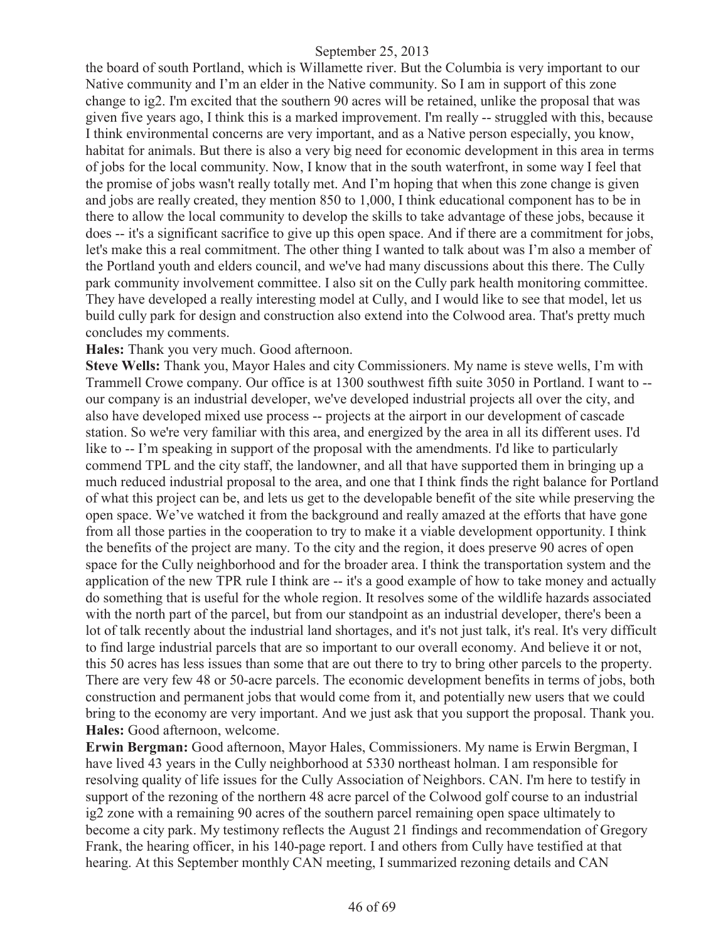the board of south Portland, which is Willamette river. But the Columbia is very important to our Native community and I'm an elder in the Native community. So I am in support of this zone change to ig2. I'm excited that the southern 90 acres will be retained, unlike the proposal that was given five years ago, I think this is a marked improvement. I'm really -- struggled with this, because I think environmental concerns are very important, and as a Native person especially, you know, habitat for animals. But there is also a very big need for economic development in this area in terms of jobs for the local community. Now, I know that in the south waterfront, in some way I feel that the promise of jobs wasn't really totally met. And I'm hoping that when this zone change is given and jobs are really created, they mention 850 to 1,000, I think educational component has to be in there to allow the local community to develop the skills to take advantage of these jobs, because it does -- it's a significant sacrifice to give up this open space. And if there are a commitment for jobs, let's make this a real commitment. The other thing I wanted to talk about was I'm also a member of the Portland youth and elders council, and we've had many discussions about this there. The Cully park community involvement committee. I also sit on the Cully park health monitoring committee. They have developed a really interesting model at Cully, and I would like to see that model, let us build cully park for design and construction also extend into the Colwood area. That's pretty much concludes my comments.

#### **Hales:** Thank you very much. Good afternoon.

**Steve Wells:** Thank you, Mayor Hales and city Commissioners. My name is steve wells, I'm with Trammell Crowe company. Our office is at 1300 southwest fifth suite 3050 in Portland. I want to - our company is an industrial developer, we've developed industrial projects all over the city, and also have developed mixed use process -- projects at the airport in our development of cascade station. So we're very familiar with this area, and energized by the area in all its different uses. I'd like to -- I'm speaking in support of the proposal with the amendments. I'd like to particularly commend TPL and the city staff, the landowner, and all that have supported them in bringing up a much reduced industrial proposal to the area, and one that I think finds the right balance for Portland of what this project can be, and lets us get to the developable benefit of the site while preserving the open space. We've watched it from the background and really amazed at the efforts that have gone from all those parties in the cooperation to try to make it a viable development opportunity. I think the benefits of the project are many. To the city and the region, it does preserve 90 acres of open space for the Cully neighborhood and for the broader area. I think the transportation system and the application of the new TPR rule I think are -- it's a good example of how to take money and actually do something that is useful for the whole region. It resolves some of the wildlife hazards associated with the north part of the parcel, but from our standpoint as an industrial developer, there's been a lot of talk recently about the industrial land shortages, and it's not just talk, it's real. It's very difficult to find large industrial parcels that are so important to our overall economy. And believe it or not, this 50 acres has less issues than some that are out there to try to bring other parcels to the property. There are very few 48 or 50-acre parcels. The economic development benefits in terms of jobs, both construction and permanent jobs that would come from it, and potentially new users that we could bring to the economy are very important. And we just ask that you support the proposal. Thank you. **Hales:** Good afternoon, welcome.

**Erwin Bergman:** Good afternoon, Mayor Hales, Commissioners. My name is Erwin Bergman, I have lived 43 years in the Cully neighborhood at 5330 northeast holman. I am responsible for resolving quality of life issues for the Cully Association of Neighbors. CAN. I'm here to testify in support of the rezoning of the northern 48 acre parcel of the Colwood golf course to an industrial ig2 zone with a remaining 90 acres of the southern parcel remaining open space ultimately to become a city park. My testimony reflects the August 21 findings and recommendation of Gregory Frank, the hearing officer, in his 140-page report. I and others from Cully have testified at that hearing. At this September monthly CAN meeting, I summarized rezoning details and CAN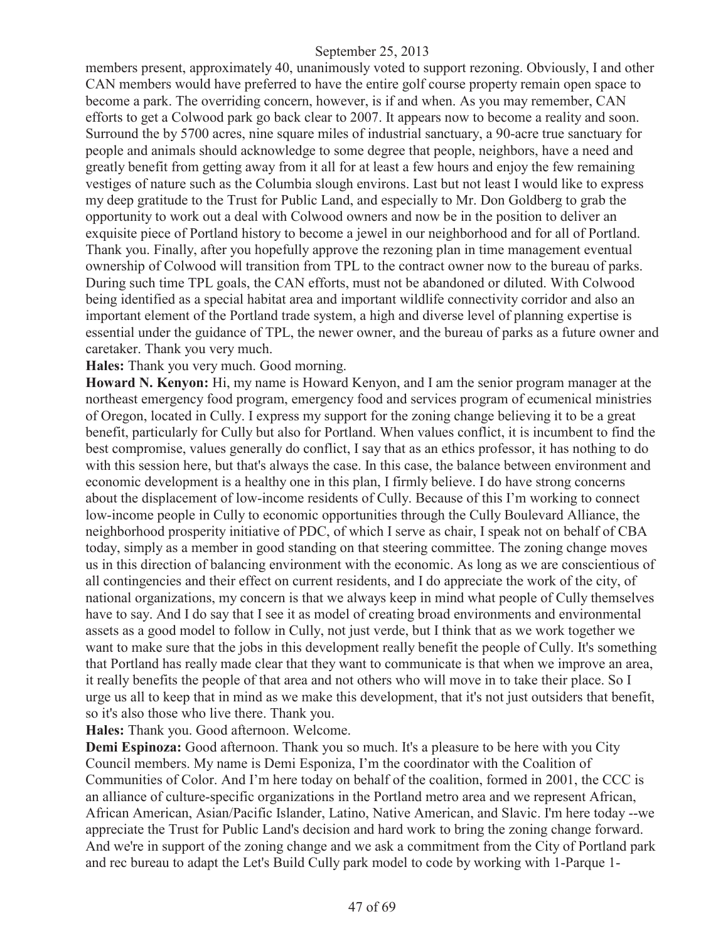members present, approximately 40, unanimously voted to support rezoning. Obviously, I and other CAN members would have preferred to have the entire golf course property remain open space to become a park. The overriding concern, however, is if and when. As you may remember, CAN efforts to get a Colwood park go back clear to 2007. It appears now to become a reality and soon. Surround the by 5700 acres, nine square miles of industrial sanctuary, a 90-acre true sanctuary for people and animals should acknowledge to some degree that people, neighbors, have a need and greatly benefit from getting away from it all for at least a few hours and enjoy the few remaining vestiges of nature such as the Columbia slough environs. Last but not least I would like to express my deep gratitude to the Trust for Public Land, and especially to Mr. Don Goldberg to grab the opportunity to work out a deal with Colwood owners and now be in the position to deliver an exquisite piece of Portland history to become a jewel in our neighborhood and for all of Portland. Thank you. Finally, after you hopefully approve the rezoning plan in time management eventual ownership of Colwood will transition from TPL to the contract owner now to the bureau of parks. During such time TPL goals, the CAN efforts, must not be abandoned or diluted. With Colwood being identified as a special habitat area and important wildlife connectivity corridor and also an important element of the Portland trade system, a high and diverse level of planning expertise is essential under the guidance of TPL, the newer owner, and the bureau of parks as a future owner and caretaker. Thank you very much.

**Hales:** Thank you very much. Good morning.

**Howard N. Kenyon:** Hi, my name is Howard Kenyon, and I am the senior program manager at the northeast emergency food program, emergency food and services program of ecumenical ministries of Oregon, located in Cully. I express my support for the zoning change believing it to be a great benefit, particularly for Cully but also for Portland. When values conflict, it is incumbent to find the best compromise, values generally do conflict, I say that as an ethics professor, it has nothing to do with this session here, but that's always the case. In this case, the balance between environment and economic development is a healthy one in this plan, I firmly believe. I do have strong concerns about the displacement of low-income residents of Cully. Because of this I'm working to connect low-income people in Cully to economic opportunities through the Cully Boulevard Alliance, the neighborhood prosperity initiative of PDC, of which I serve as chair, I speak not on behalf of CBA today, simply as a member in good standing on that steering committee. The zoning change moves us in this direction of balancing environment with the economic. As long as we are conscientious of all contingencies and their effect on current residents, and I do appreciate the work of the city, of national organizations, my concern is that we always keep in mind what people of Cully themselves have to say. And I do say that I see it as model of creating broad environments and environmental assets as a good model to follow in Cully, not just verde, but I think that as we work together we want to make sure that the jobs in this development really benefit the people of Cully. It's something that Portland has really made clear that they want to communicate is that when we improve an area, it really benefits the people of that area and not others who will move in to take their place. So I urge us all to keep that in mind as we make this development, that it's not just outsiders that benefit, so it's also those who live there. Thank you.

**Hales:** Thank you. Good afternoon. Welcome.

**Demi Espinoza:** Good afternoon. Thank you so much. It's a pleasure to be here with you City Council members. My name is Demi Esponiza, I'm the coordinator with the Coalition of Communities of Color. And I'm here today on behalf of the coalition, formed in 2001, the CCC is an alliance of culture-specific organizations in the Portland metro area and we represent African, African American, Asian/Pacific Islander, Latino, Native American, and Slavic. I'm here today --we appreciate the Trust for Public Land's decision and hard work to bring the zoning change forward. And we're in support of the zoning change and we ask a commitment from the City of Portland park and rec bureau to adapt the Let's Build Cully park model to code by working with 1-Parque 1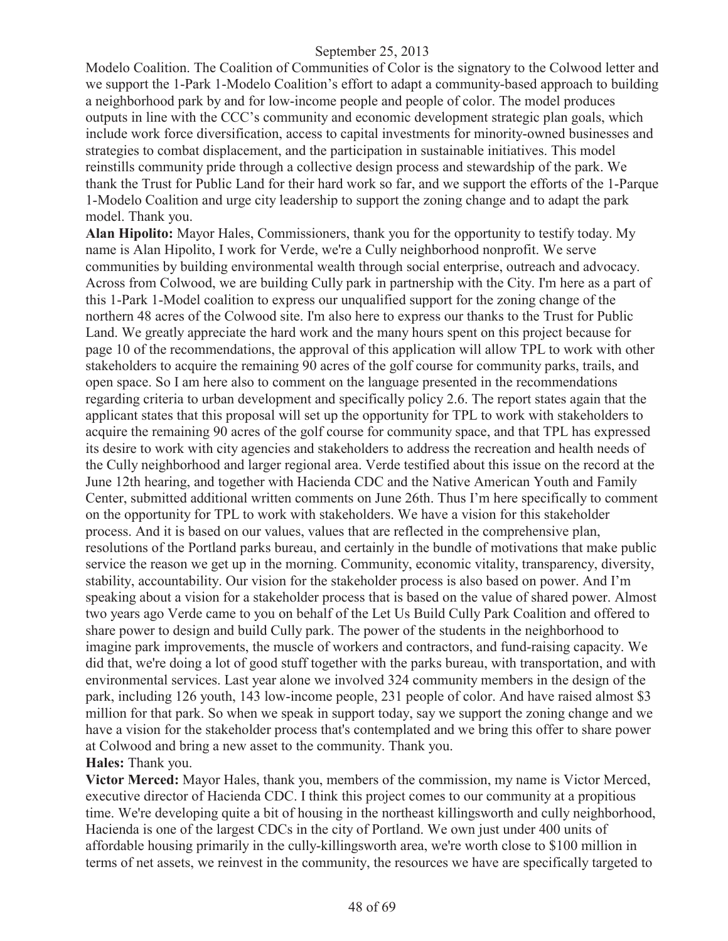Modelo Coalition. The Coalition of Communities of Color is the signatory to the Colwood letter and we support the 1-Park 1-Modelo Coalition's effort to adapt a community-based approach to building a neighborhood park by and for low-income people and people of color. The model produces outputs in line with the CCC's community and economic development strategic plan goals, which include work force diversification, access to capital investments for minority-owned businesses and strategies to combat displacement, and the participation in sustainable initiatives. This model reinstills community pride through a collective design process and stewardship of the park. We thank the Trust for Public Land for their hard work so far, and we support the efforts of the 1-Parque 1-Modelo Coalition and urge city leadership to support the zoning change and to adapt the park model. Thank you.

**Alan Hipolito:** Mayor Hales, Commissioners, thank you for the opportunity to testify today. My name is Alan Hipolito, I work for Verde, we're a Cully neighborhood nonprofit. We serve communities by building environmental wealth through social enterprise, outreach and advocacy. Across from Colwood, we are building Cully park in partnership with the City. I'm here as a part of this 1-Park 1-Model coalition to express our unqualified support for the zoning change of the northern 48 acres of the Colwood site. I'm also here to express our thanks to the Trust for Public Land. We greatly appreciate the hard work and the many hours spent on this project because for page 10 of the recommendations, the approval of this application will allow TPL to work with other stakeholders to acquire the remaining 90 acres of the golf course for community parks, trails, and open space. So I am here also to comment on the language presented in the recommendations regarding criteria to urban development and specifically policy 2.6. The report states again that the applicant states that this proposal will set up the opportunity for TPL to work with stakeholders to acquire the remaining 90 acres of the golf course for community space, and that TPL has expressed its desire to work with city agencies and stakeholders to address the recreation and health needs of the Cully neighborhood and larger regional area. Verde testified about this issue on the record at the June 12th hearing, and together with Hacienda CDC and the Native American Youth and Family Center, submitted additional written comments on June 26th. Thus I'm here specifically to comment on the opportunity for TPL to work with stakeholders. We have a vision for this stakeholder process. And it is based on our values, values that are reflected in the comprehensive plan, resolutions of the Portland parks bureau, and certainly in the bundle of motivations that make public service the reason we get up in the morning. Community, economic vitality, transparency, diversity, stability, accountability. Our vision for the stakeholder process is also based on power. And I'm speaking about a vision for a stakeholder process that is based on the value of shared power. Almost two years ago Verde came to you on behalf of the Let Us Build Cully Park Coalition and offered to share power to design and build Cully park. The power of the students in the neighborhood to imagine park improvements, the muscle of workers and contractors, and fund-raising capacity. We did that, we're doing a lot of good stuff together with the parks bureau, with transportation, and with environmental services. Last year alone we involved 324 community members in the design of the park, including 126 youth, 143 low-income people, 231 people of color. And have raised almost \$3 million for that park. So when we speak in support today, say we support the zoning change and we have a vision for the stakeholder process that's contemplated and we bring this offer to share power at Colwood and bring a new asset to the community. Thank you. **Hales:** Thank you.

**Victor Merced:** Mayor Hales, thank you, members of the commission, my name is Victor Merced, executive director of Hacienda CDC. I think this project comes to our community at a propitious time. We're developing quite a bit of housing in the northeast killingsworth and cully neighborhood, Hacienda is one of the largest CDCs in the city of Portland. We own just under 400 units of affordable housing primarily in the cully-killingsworth area, we're worth close to \$100 million in terms of net assets, we reinvest in the community, the resources we have are specifically targeted to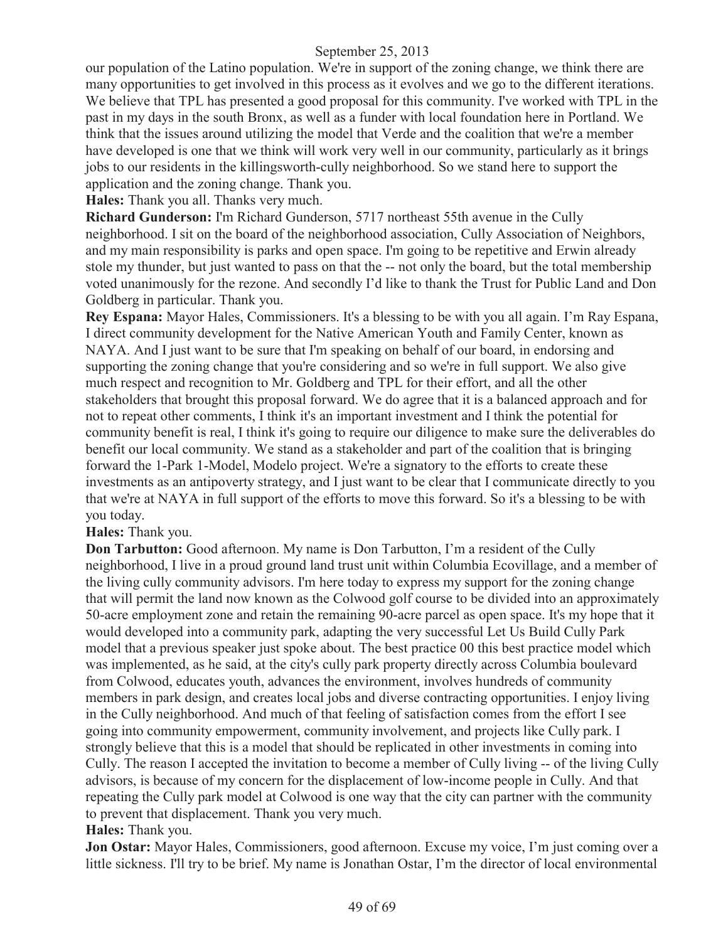our population of the Latino population. We're in support of the zoning change, we think there are many opportunities to get involved in this process as it evolves and we go to the different iterations. We believe that TPL has presented a good proposal for this community. I've worked with TPL in the past in my days in the south Bronx, as well as a funder with local foundation here in Portland. We think that the issues around utilizing the model that Verde and the coalition that we're a member have developed is one that we think will work very well in our community, particularly as it brings jobs to our residents in the killingsworth-cully neighborhood. So we stand here to support the application and the zoning change. Thank you.

**Hales:** Thank you all. Thanks very much.

**Richard Gunderson:** I'm Richard Gunderson, 5717 northeast 55th avenue in the Cully neighborhood. I sit on the board of the neighborhood association, Cully Association of Neighbors, and my main responsibility is parks and open space. I'm going to be repetitive and Erwin already stole my thunder, but just wanted to pass on that the -- not only the board, but the total membership voted unanimously for the rezone. And secondly I'd like to thank the Trust for Public Land and Don Goldberg in particular. Thank you.

**Rey Espana:** Mayor Hales, Commissioners. It's a blessing to be with you all again. I'm Ray Espana, I direct community development for the Native American Youth and Family Center, known as NAYA. And I just want to be sure that I'm speaking on behalf of our board, in endorsing and supporting the zoning change that you're considering and so we're in full support. We also give much respect and recognition to Mr. Goldberg and TPL for their effort, and all the other stakeholders that brought this proposal forward. We do agree that it is a balanced approach and for not to repeat other comments, I think it's an important investment and I think the potential for community benefit is real, I think it's going to require our diligence to make sure the deliverables do benefit our local community. We stand as a stakeholder and part of the coalition that is bringing forward the 1-Park 1-Model, Modelo project. We're a signatory to the efforts to create these investments as an antipoverty strategy, and I just want to be clear that I communicate directly to you that we're at NAYA in full support of the efforts to move this forward. So it's a blessing to be with you today.

## **Hales:** Thank you.

**Don Tarbutton:** Good afternoon. My name is Don Tarbutton, I'm a resident of the Cully neighborhood, I live in a proud ground land trust unit within Columbia Ecovillage, and a member of the living cully community advisors. I'm here today to express my support for the zoning change that will permit the land now known as the Colwood golf course to be divided into an approximately 50-acre employment zone and retain the remaining 90-acre parcel as open space. It's my hope that it would developed into a community park, adapting the very successful Let Us Build Cully Park model that a previous speaker just spoke about. The best practice 00 this best practice model which was implemented, as he said, at the city's cully park property directly across Columbia boulevard from Colwood, educates youth, advances the environment, involves hundreds of community members in park design, and creates local jobs and diverse contracting opportunities. I enjoy living in the Cully neighborhood. And much of that feeling of satisfaction comes from the effort I see going into community empowerment, community involvement, and projects like Cully park. I strongly believe that this is a model that should be replicated in other investments in coming into Cully. The reason I accepted the invitation to become a member of Cully living -- of the living Cully advisors, is because of my concern for the displacement of low-income people in Cully. And that repeating the Cully park model at Colwood is one way that the city can partner with the community to prevent that displacement. Thank you very much.

## **Hales:** Thank you.

**Jon Ostar:** Mayor Hales, Commissioners, good afternoon. Excuse my voice, I'm just coming over a little sickness. I'll try to be brief. My name is Jonathan Ostar, I'm the director of local environmental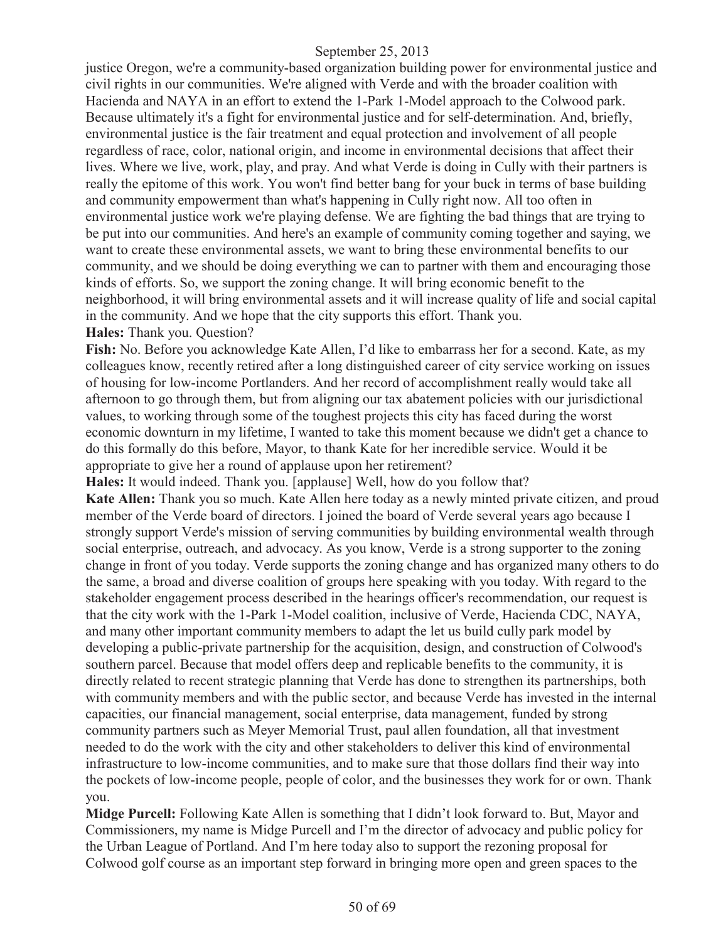justice Oregon, we're a community-based organization building power for environmental justice and civil rights in our communities. We're aligned with Verde and with the broader coalition with Hacienda and NAYA in an effort to extend the 1-Park 1-Model approach to the Colwood park. Because ultimately it's a fight for environmental justice and for self-determination. And, briefly, environmental justice is the fair treatment and equal protection and involvement of all people regardless of race, color, national origin, and income in environmental decisions that affect their lives. Where we live, work, play, and pray. And what Verde is doing in Cully with their partners is really the epitome of this work. You won't find better bang for your buck in terms of base building and community empowerment than what's happening in Cully right now. All too often in environmental justice work we're playing defense. We are fighting the bad things that are trying to be put into our communities. And here's an example of community coming together and saying, we want to create these environmental assets, we want to bring these environmental benefits to our community, and we should be doing everything we can to partner with them and encouraging those kinds of efforts. So, we support the zoning change. It will bring economic benefit to the neighborhood, it will bring environmental assets and it will increase quality of life and social capital in the community. And we hope that the city supports this effort. Thank you. **Hales:** Thank you. Question?

**Fish:** No. Before you acknowledge Kate Allen, I'd like to embarrass her for a second. Kate, as my colleagues know, recently retired after a long distinguished career of city service working on issues of housing for low-income Portlanders. And her record of accomplishment really would take all afternoon to go through them, but from aligning our tax abatement policies with our jurisdictional values, to working through some of the toughest projects this city has faced during the worst economic downturn in my lifetime, I wanted to take this moment because we didn't get a chance to do this formally do this before, Mayor, to thank Kate for her incredible service. Would it be appropriate to give her a round of applause upon her retirement?

**Hales:** It would indeed. Thank you. [applause] Well, how do you follow that?

**Kate Allen:** Thank you so much. Kate Allen here today as a newly minted private citizen, and proud member of the Verde board of directors. I joined the board of Verde several years ago because I strongly support Verde's mission of serving communities by building environmental wealth through social enterprise, outreach, and advocacy. As you know, Verde is a strong supporter to the zoning change in front of you today. Verde supports the zoning change and has organized many others to do the same, a broad and diverse coalition of groups here speaking with you today. With regard to the stakeholder engagement process described in the hearings officer's recommendation, our request is that the city work with the 1-Park 1-Model coalition, inclusive of Verde, Hacienda CDC, NAYA, and many other important community members to adapt the let us build cully park model by developing a public-private partnership for the acquisition, design, and construction of Colwood's southern parcel. Because that model offers deep and replicable benefits to the community, it is directly related to recent strategic planning that Verde has done to strengthen its partnerships, both with community members and with the public sector, and because Verde has invested in the internal capacities, our financial management, social enterprise, data management, funded by strong community partners such as Meyer Memorial Trust, paul allen foundation, all that investment needed to do the work with the city and other stakeholders to deliver this kind of environmental infrastructure to low-income communities, and to make sure that those dollars find their way into the pockets of low-income people, people of color, and the businesses they work for or own. Thank you.

**Midge Purcell:** Following Kate Allen is something that I didn't look forward to. But, Mayor and Commissioners, my name is Midge Purcell and I'm the director of advocacy and public policy for the Urban League of Portland. And I'm here today also to support the rezoning proposal for Colwood golf course as an important step forward in bringing more open and green spaces to the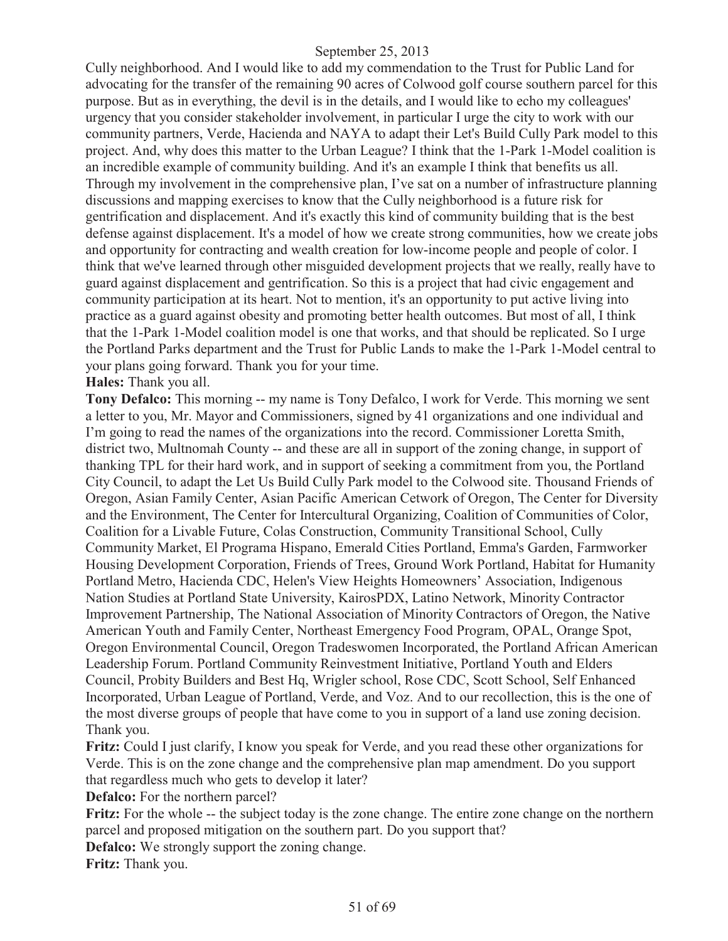Cully neighborhood. And I would like to add my commendation to the Trust for Public Land for advocating for the transfer of the remaining 90 acres of Colwood golf course southern parcel for this purpose. But as in everything, the devil is in the details, and I would like to echo my colleagues' urgency that you consider stakeholder involvement, in particular I urge the city to work with our community partners, Verde, Hacienda and NAYA to adapt their Let's Build Cully Park model to this project. And, why does this matter to the Urban League? I think that the 1-Park 1-Model coalition is an incredible example of community building. And it's an example I think that benefits us all. Through my involvement in the comprehensive plan, I've sat on a number of infrastructure planning discussions and mapping exercises to know that the Cully neighborhood is a future risk for gentrification and displacement. And it's exactly this kind of community building that is the best defense against displacement. It's a model of how we create strong communities, how we create jobs and opportunity for contracting and wealth creation for low-income people and people of color. I think that we've learned through other misguided development projects that we really, really have to guard against displacement and gentrification. So this is a project that had civic engagement and community participation at its heart. Not to mention, it's an opportunity to put active living into practice as a guard against obesity and promoting better health outcomes. But most of all, I think that the 1-Park 1-Model coalition model is one that works, and that should be replicated. So I urge the Portland Parks department and the Trust for Public Lands to make the 1-Park 1-Model central to your plans going forward. Thank you for your time.

**Hales:** Thank you all.

**Tony Defalco:** This morning -- my name is Tony Defalco, I work for Verde. This morning we sent a letter to you, Mr. Mayor and Commissioners, signed by 41 organizations and one individual and I'm going to read the names of the organizations into the record. Commissioner Loretta Smith, district two, Multnomah County -- and these are all in support of the zoning change, in support of thanking TPL for their hard work, and in support of seeking a commitment from you, the Portland City Council, to adapt the Let Us Build Cully Park model to the Colwood site. Thousand Friends of Oregon, Asian Family Center, Asian Pacific American Cetwork of Oregon, The Center for Diversity and the Environment, The Center for Intercultural Organizing, Coalition of Communities of Color, Coalition for a Livable Future, Colas Construction, Community Transitional School, Cully Community Market, El Programa Hispano, Emerald Cities Portland, Emma's Garden, Farmworker Housing Development Corporation, Friends of Trees, Ground Work Portland, Habitat for Humanity Portland Metro, Hacienda CDC, Helen's View Heights Homeowners' Association, Indigenous Nation Studies at Portland State University, KairosPDX, Latino Network, Minority Contractor Improvement Partnership, The National Association of Minority Contractors of Oregon, the Native American Youth and Family Center, Northeast Emergency Food Program, OPAL, Orange Spot, Oregon Environmental Council, Oregon Tradeswomen Incorporated, the Portland African American Leadership Forum. Portland Community Reinvestment Initiative, Portland Youth and Elders Council, Probity Builders and Best Hq, Wrigler school, Rose CDC, Scott School, Self Enhanced Incorporated, Urban League of Portland, Verde, and Voz. And to our recollection, this is the one of the most diverse groups of people that have come to you in support of a land use zoning decision. Thank you.

**Fritz:** Could I just clarify, I know you speak for Verde, and you read these other organizations for Verde. This is on the zone change and the comprehensive plan map amendment. Do you support that regardless much who gets to develop it later?

**Defalco:** For the northern parcel?

Fritz: For the whole -- the subject today is the zone change. The entire zone change on the northern parcel and proposed mitigation on the southern part. Do you support that?

**Defalco:** We strongly support the zoning change.

**Fritz:** Thank you.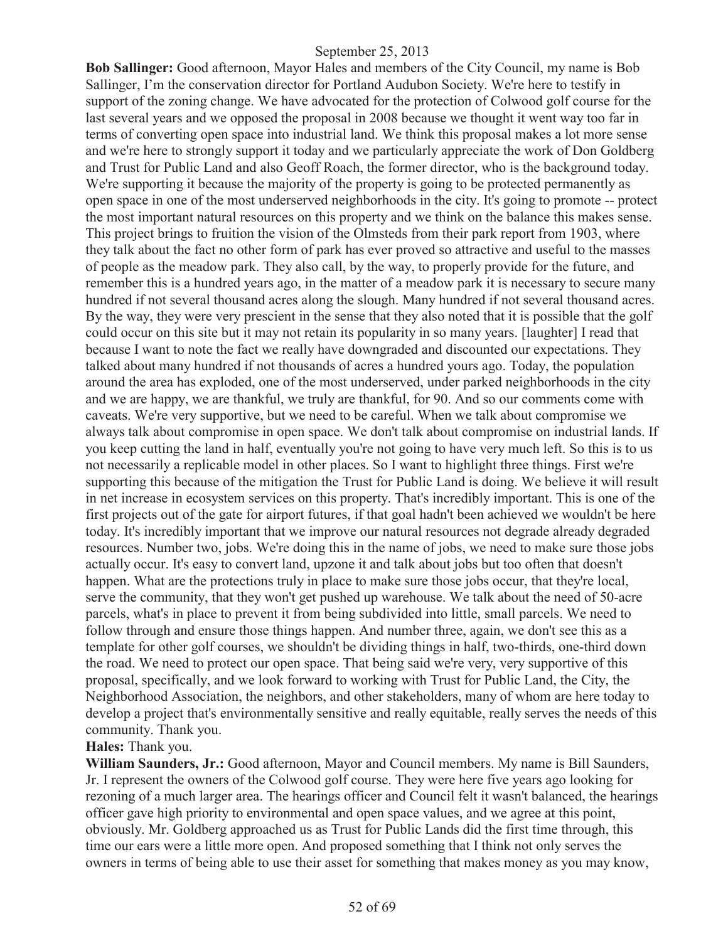**Bob Sallinger:** Good afternoon, Mayor Hales and members of the City Council, my name is Bob Sallinger, I'm the conservation director for Portland Audubon Society. We're here to testify in support of the zoning change. We have advocated for the protection of Colwood golf course for the last several years and we opposed the proposal in 2008 because we thought it went way too far in terms of converting open space into industrial land. We think this proposal makes a lot more sense and we're here to strongly support it today and we particularly appreciate the work of Don Goldberg and Trust for Public Land and also Geoff Roach, the former director, who is the background today. We're supporting it because the majority of the property is going to be protected permanently as open space in one of the most underserved neighborhoods in the city. It's going to promote -- protect the most important natural resources on this property and we think on the balance this makes sense. This project brings to fruition the vision of the Olmsteds from their park report from 1903, where they talk about the fact no other form of park has ever proved so attractive and useful to the masses of people as the meadow park. They also call, by the way, to properly provide for the future, and remember this is a hundred years ago, in the matter of a meadow park it is necessary to secure many hundred if not several thousand acres along the slough. Many hundred if not several thousand acres. By the way, they were very prescient in the sense that they also noted that it is possible that the golf could occur on this site but it may not retain its popularity in so many years. [laughter] I read that because I want to note the fact we really have downgraded and discounted our expectations. They talked about many hundred if not thousands of acres a hundred yours ago. Today, the population around the area has exploded, one of the most underserved, under parked neighborhoods in the city and we are happy, we are thankful, we truly are thankful, for 90. And so our comments come with caveats. We're very supportive, but we need to be careful. When we talk about compromise we always talk about compromise in open space. We don't talk about compromise on industrial lands. If you keep cutting the land in half, eventually you're not going to have very much left. So this is to us not necessarily a replicable model in other places. So I want to highlight three things. First we're supporting this because of the mitigation the Trust for Public Land is doing. We believe it will result in net increase in ecosystem services on this property. That's incredibly important. This is one of the first projects out of the gate for airport futures, if that goal hadn't been achieved we wouldn't be here today. It's incredibly important that we improve our natural resources not degrade already degraded resources. Number two, jobs. We're doing this in the name of jobs, we need to make sure those jobs actually occur. It's easy to convert land, upzone it and talk about jobs but too often that doesn't happen. What are the protections truly in place to make sure those jobs occur, that they're local, serve the community, that they won't get pushed up warehouse. We talk about the need of 50-acre parcels, what's in place to prevent it from being subdivided into little, small parcels. We need to follow through and ensure those things happen. And number three, again, we don't see this as a template for other golf courses, we shouldn't be dividing things in half, two-thirds, one-third down the road. We need to protect our open space. That being said we're very, very supportive of this proposal, specifically, and we look forward to working with Trust for Public Land, the City, the Neighborhood Association, the neighbors, and other stakeholders, many of whom are here today to develop a project that's environmentally sensitive and really equitable, really serves the needs of this community. Thank you.

## **Hales:** Thank you.

**William Saunders, Jr.:** Good afternoon, Mayor and Council members. My name is Bill Saunders, Jr. I represent the owners of the Colwood golf course. They were here five years ago looking for rezoning of a much larger area. The hearings officer and Council felt it wasn't balanced, the hearings officer gave high priority to environmental and open space values, and we agree at this point, obviously. Mr. Goldberg approached us as Trust for Public Lands did the first time through, this time our ears were a little more open. And proposed something that I think not only serves the owners in terms of being able to use their asset for something that makes money as you may know,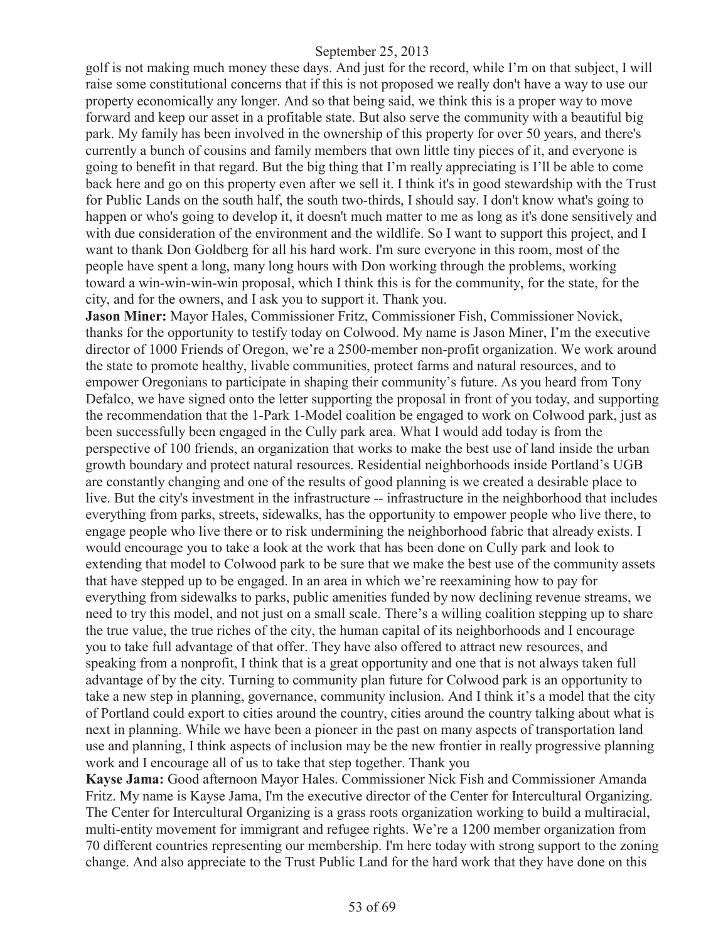golf is not making much money these days. And just for the record, while I'm on that subject, I will raise some constitutional concerns that if this is not proposed we really don't have a way to use our property economically any longer. And so that being said, we think this is a proper way to move forward and keep our asset in a profitable state. But also serve the community with a beautiful big park. My family has been involved in the ownership of this property for over 50 years, and there's currently a bunch of cousins and family members that own little tiny pieces of it, and everyone is going to benefit in that regard. But the big thing that I'm really appreciating is I'll be able to come back here and go on this property even after we sell it. I think it's in good stewardship with the Trust for Public Lands on the south half, the south two-thirds, I should say. I don't know what's going to happen or who's going to develop it, it doesn't much matter to me as long as it's done sensitively and with due consideration of the environment and the wildlife. So I want to support this project, and I want to thank Don Goldberg for all his hard work. I'm sure everyone in this room, most of the people have spent a long, many long hours with Don working through the problems, working toward a win-win-win-win proposal, which I think this is for the community, for the state, for the city, and for the owners, and I ask you to support it. Thank you.

**Jason Miner:** Mayor Hales, Commissioner Fritz, Commissioner Fish, Commissioner Novick, thanks for the opportunity to testify today on Colwood. My name is Jason Miner, I'm the executive director of 1000 Friends of Oregon, we're a 2500-member non-profit organization. We work around the state to promote healthy, livable communities, protect farms and natural resources, and to empower Oregonians to participate in shaping their community's future. As you heard from Tony Defalco, we have signed onto the letter supporting the proposal in front of you today, and supporting the recommendation that the 1-Park 1-Model coalition be engaged to work on Colwood park, just as been successfully been engaged in the Cully park area. What I would add today is from the perspective of 100 friends, an organization that works to make the best use of land inside the urban growth boundary and protect natural resources. Residential neighborhoods inside Portland's UGB are constantly changing and one of the results of good planning is we created a desirable place to live. But the city's investment in the infrastructure -- infrastructure in the neighborhood that includes everything from parks, streets, sidewalks, has the opportunity to empower people who live there, to engage people who live there or to risk undermining the neighborhood fabric that already exists. I would encourage you to take a look at the work that has been done on Cully park and look to extending that model to Colwood park to be sure that we make the best use of the community assets that have stepped up to be engaged. In an area in which we're reexamining how to pay for everything from sidewalks to parks, public amenities funded by now declining revenue streams, we need to try this model, and not just on a small scale. There's a willing coalition stepping up to share the true value, the true riches of the city, the human capital of its neighborhoods and I encourage you to take full advantage of that offer. They have also offered to attract new resources, and speaking from a nonprofit, I think that is a great opportunity and one that is not always taken full advantage of by the city. Turning to community plan future for Colwood park is an opportunity to take a new step in planning, governance, community inclusion. And I think it's a model that the city of Portland could export to cities around the country, cities around the country talking about what is next in planning. While we have been a pioneer in the past on many aspects of transportation land use and planning, I think aspects of inclusion may be the new frontier in really progressive planning work and I encourage all of us to take that step together. Thank you

**Kayse Jama:** Good afternoon Mayor Hales. Commissioner Nick Fish and Commissioner Amanda Fritz. My name is Kayse Jama, I'm the executive director of the Center for Intercultural Organizing. The Center for Intercultural Organizing is a grass roots organization working to build a multiracial, multi-entity movement for immigrant and refugee rights. We're a 1200 member organization from 70 different countries representing our membership. I'm here today with strong support to the zoning change. And also appreciate to the Trust Public Land for the hard work that they have done on this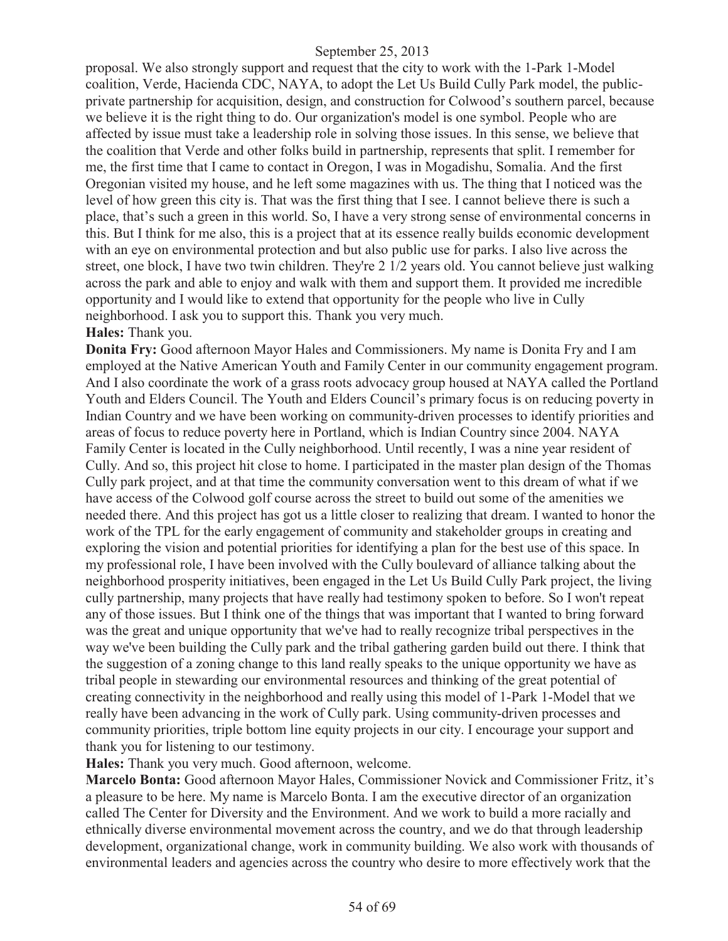proposal. We also strongly support and request that the city to work with the 1-Park 1-Model coalition, Verde, Hacienda CDC, NAYA, to adopt the Let Us Build Cully Park model, the publicprivate partnership for acquisition, design, and construction for Colwood's southern parcel, because we believe it is the right thing to do. Our organization's model is one symbol. People who are affected by issue must take a leadership role in solving those issues. In this sense, we believe that the coalition that Verde and other folks build in partnership, represents that split. I remember for me, the first time that I came to contact in Oregon, I was in Mogadishu, Somalia. And the first Oregonian visited my house, and he left some magazines with us. The thing that I noticed was the level of how green this city is. That was the first thing that I see. I cannot believe there is such a place, that's such a green in this world. So, I have a very strong sense of environmental concerns in this. But I think for me also, this is a project that at its essence really builds economic development with an eye on environmental protection and but also public use for parks. I also live across the street, one block, I have two twin children. They're 2 1/2 years old. You cannot believe just walking across the park and able to enjoy and walk with them and support them. It provided me incredible opportunity and I would like to extend that opportunity for the people who live in Cully neighborhood. I ask you to support this. Thank you very much.

#### **Hales:** Thank you.

**Donita Fry:** Good afternoon Mayor Hales and Commissioners. My name is Donita Fry and I am employed at the Native American Youth and Family Center in our community engagement program. And I also coordinate the work of a grass roots advocacy group housed at NAYA called the Portland Youth and Elders Council. The Youth and Elders Council's primary focus is on reducing poverty in Indian Country and we have been working on community-driven processes to identify priorities and areas of focus to reduce poverty here in Portland, which is Indian Country since 2004. NAYA Family Center is located in the Cully neighborhood. Until recently, I was a nine year resident of Cully. And so, this project hit close to home. I participated in the master plan design of the Thomas Cully park project, and at that time the community conversation went to this dream of what if we have access of the Colwood golf course across the street to build out some of the amenities we needed there. And this project has got us a little closer to realizing that dream. I wanted to honor the work of the TPL for the early engagement of community and stakeholder groups in creating and exploring the vision and potential priorities for identifying a plan for the best use of this space. In my professional role, I have been involved with the Cully boulevard of alliance talking about the neighborhood prosperity initiatives, been engaged in the Let Us Build Cully Park project, the living cully partnership, many projects that have really had testimony spoken to before. So I won't repeat any of those issues. But I think one of the things that was important that I wanted to bring forward was the great and unique opportunity that we've had to really recognize tribal perspectives in the way we've been building the Cully park and the tribal gathering garden build out there. I think that the suggestion of a zoning change to this land really speaks to the unique opportunity we have as tribal people in stewarding our environmental resources and thinking of the great potential of creating connectivity in the neighborhood and really using this model of 1-Park 1-Model that we really have been advancing in the work of Cully park. Using community-driven processes and community priorities, triple bottom line equity projects in our city. I encourage your support and thank you for listening to our testimony.

**Hales:** Thank you very much. Good afternoon, welcome.

**Marcelo Bonta:** Good afternoon Mayor Hales, Commissioner Novick and Commissioner Fritz, it's a pleasure to be here. My name is Marcelo Bonta. I am the executive director of an organization called The Center for Diversity and the Environment. And we work to build a more racially and ethnically diverse environmental movement across the country, and we do that through leadership development, organizational change, work in community building. We also work with thousands of environmental leaders and agencies across the country who desire to more effectively work that the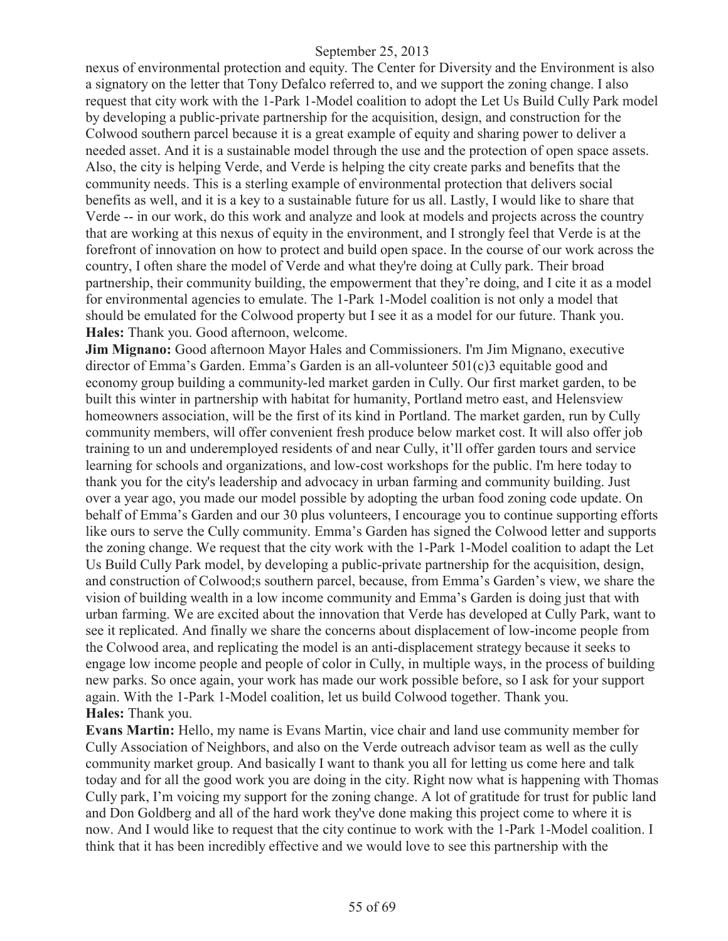nexus of environmental protection and equity. The Center for Diversity and the Environment is also a signatory on the letter that Tony Defalco referred to, and we support the zoning change. I also request that city work with the 1-Park 1-Model coalition to adopt the Let Us Build Cully Park model by developing a public-private partnership for the acquisition, design, and construction for the Colwood southern parcel because it is a great example of equity and sharing power to deliver a needed asset. And it is a sustainable model through the use and the protection of open space assets. Also, the city is helping Verde, and Verde is helping the city create parks and benefits that the community needs. This is a sterling example of environmental protection that delivers social benefits as well, and it is a key to a sustainable future for us all. Lastly, I would like to share that Verde -- in our work, do this work and analyze and look at models and projects across the country that are working at this nexus of equity in the environment, and I strongly feel that Verde is at the forefront of innovation on how to protect and build open space. In the course of our work across the country, I often share the model of Verde and what they're doing at Cully park. Their broad partnership, their community building, the empowerment that they're doing, and I cite it as a model for environmental agencies to emulate. The 1-Park 1-Model coalition is not only a model that should be emulated for the Colwood property but I see it as a model for our future. Thank you. **Hales:** Thank you. Good afternoon, welcome.

**Jim Mignano:** Good afternoon Mayor Hales and Commissioners. I'm Jim Mignano, executive director of Emma's Garden. Emma's Garden is an all-volunteer 501(c)3 equitable good and economy group building a community-led market garden in Cully. Our first market garden, to be built this winter in partnership with habitat for humanity, Portland metro east, and Helensview homeowners association, will be the first of its kind in Portland. The market garden, run by Cully community members, will offer convenient fresh produce below market cost. It will also offer job training to un and underemployed residents of and near Cully, it'll offer garden tours and service learning for schools and organizations, and low-cost workshops for the public. I'm here today to thank you for the city's leadership and advocacy in urban farming and community building. Just over a year ago, you made our model possible by adopting the urban food zoning code update. On behalf of Emma's Garden and our 30 plus volunteers, I encourage you to continue supporting efforts like ours to serve the Cully community. Emma's Garden has signed the Colwood letter and supports the zoning change. We request that the city work with the 1-Park 1-Model coalition to adapt the Let Us Build Cully Park model, by developing a public-private partnership for the acquisition, design, and construction of Colwood;s southern parcel, because, from Emma's Garden's view, we share the vision of building wealth in a low income community and Emma's Garden is doing just that with urban farming. We are excited about the innovation that Verde has developed at Cully Park, want to see it replicated. And finally we share the concerns about displacement of low-income people from the Colwood area, and replicating the model is an anti-displacement strategy because it seeks to engage low income people and people of color in Cully, in multiple ways, in the process of building new parks. So once again, your work has made our work possible before, so I ask for your support again. With the 1-Park 1-Model coalition, let us build Colwood together. Thank you. **Hales:** Thank you.

**Evans Martin:** Hello, my name is Evans Martin, vice chair and land use community member for Cully Association of Neighbors, and also on the Verde outreach advisor team as well as the cully community market group. And basically I want to thank you all for letting us come here and talk today and for all the good work you are doing in the city. Right now what is happening with Thomas Cully park, I'm voicing my support for the zoning change. A lot of gratitude for trust for public land and Don Goldberg and all of the hard work they've done making this project come to where it is now. And I would like to request that the city continue to work with the 1-Park 1-Model coalition. I think that it has been incredibly effective and we would love to see this partnership with the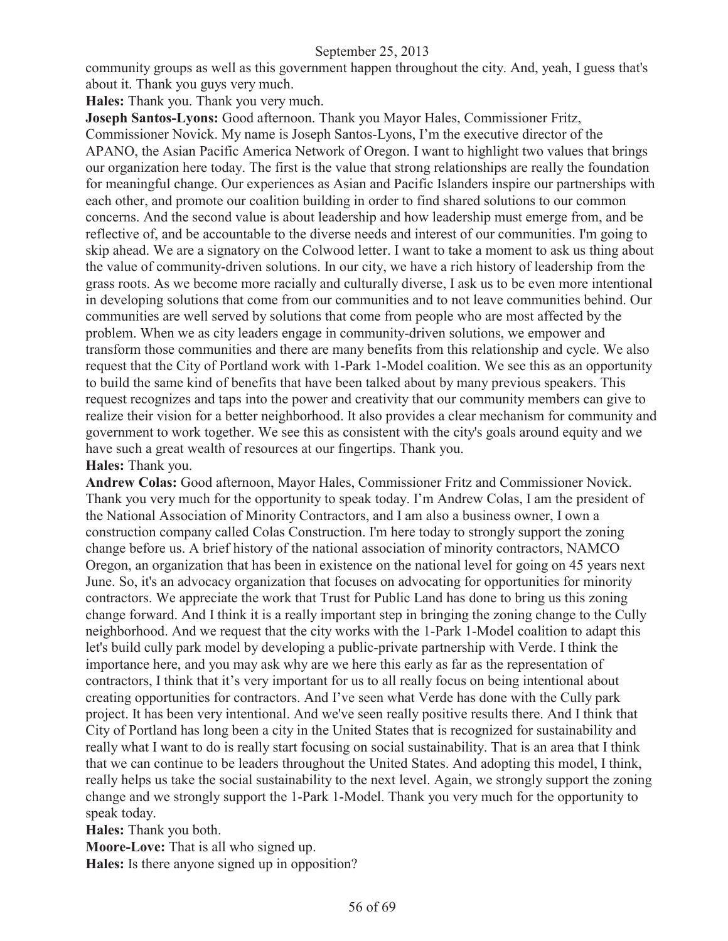community groups as well as this government happen throughout the city. And, yeah, I guess that's about it. Thank you guys very much.

**Hales:** Thank you. Thank you very much.

**Joseph Santos-Lyons:** Good afternoon. Thank you Mayor Hales, Commissioner Fritz,

Commissioner Novick. My name is Joseph Santos-Lyons, I'm the executive director of the APANO, the Asian Pacific America Network of Oregon. I want to highlight two values that brings our organization here today. The first is the value that strong relationships are really the foundation for meaningful change. Our experiences as Asian and Pacific Islanders inspire our partnerships with each other, and promote our coalition building in order to find shared solutions to our common concerns. And the second value is about leadership and how leadership must emerge from, and be reflective of, and be accountable to the diverse needs and interest of our communities. I'm going to skip ahead. We are a signatory on the Colwood letter. I want to take a moment to ask us thing about the value of community-driven solutions. In our city, we have a rich history of leadership from the grass roots. As we become more racially and culturally diverse, I ask us to be even more intentional in developing solutions that come from our communities and to not leave communities behind. Our communities are well served by solutions that come from people who are most affected by the problem. When we as city leaders engage in community-driven solutions, we empower and transform those communities and there are many benefits from this relationship and cycle. We also request that the City of Portland work with 1-Park 1-Model coalition. We see this as an opportunity to build the same kind of benefits that have been talked about by many previous speakers. This request recognizes and taps into the power and creativity that our community members can give to realize their vision for a better neighborhood. It also provides a clear mechanism for community and government to work together. We see this as consistent with the city's goals around equity and we have such a great wealth of resources at our fingertips. Thank you.

## **Hales:** Thank you.

**Andrew Colas:** Good afternoon, Mayor Hales, Commissioner Fritz and Commissioner Novick. Thank you very much for the opportunity to speak today. I'm Andrew Colas, I am the president of the National Association of Minority Contractors, and I am also a business owner, I own a construction company called Colas Construction. I'm here today to strongly support the zoning change before us. A brief history of the national association of minority contractors, NAMCO Oregon, an organization that has been in existence on the national level for going on 45 years next June. So, it's an advocacy organization that focuses on advocating for opportunities for minority contractors. We appreciate the work that Trust for Public Land has done to bring us this zoning change forward. And I think it is a really important step in bringing the zoning change to the Cully neighborhood. And we request that the city works with the 1-Park 1-Model coalition to adapt this let's build cully park model by developing a public-private partnership with Verde. I think the importance here, and you may ask why are we here this early as far as the representation of contractors, I think that it's very important for us to all really focus on being intentional about creating opportunities for contractors. And I've seen what Verde has done with the Cully park project. It has been very intentional. And we've seen really positive results there. And I think that City of Portland has long been a city in the United States that is recognized for sustainability and really what I want to do is really start focusing on social sustainability. That is an area that I think that we can continue to be leaders throughout the United States. And adopting this model, I think, really helps us take the social sustainability to the next level. Again, we strongly support the zoning change and we strongly support the 1-Park 1-Model. Thank you very much for the opportunity to speak today.

**Hales:** Thank you both.

**Moore-Love:** That is all who signed up.

**Hales:** Is there anyone signed up in opposition?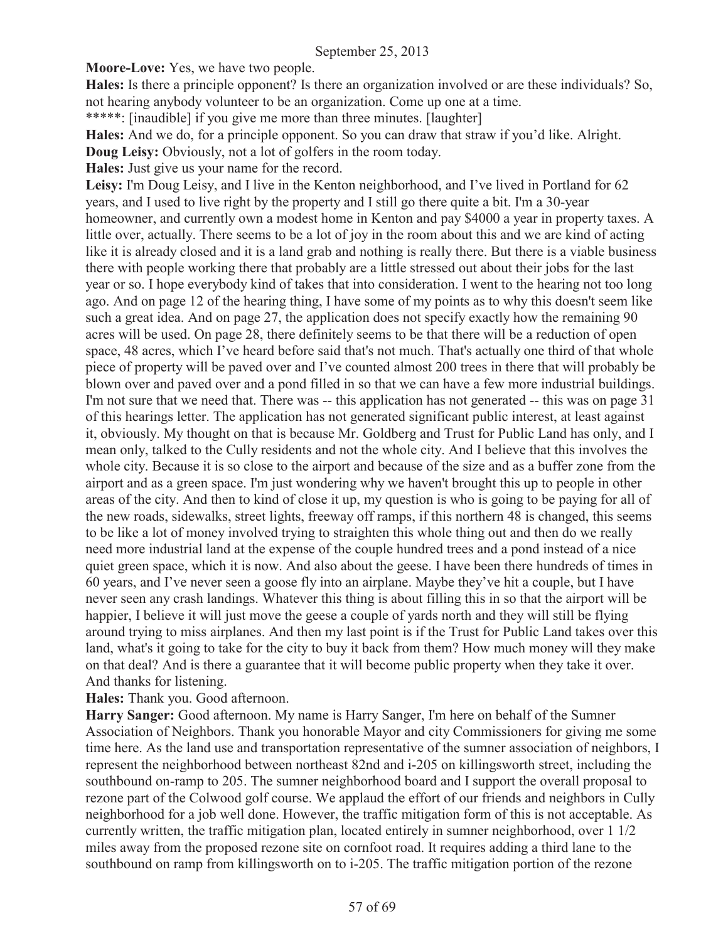**Moore-Love:** Yes, we have two people.

**Hales:** Is there a principle opponent? Is there an organization involved or are these individuals? So, not hearing anybody volunteer to be an organization. Come up one at a time.

\*\*\*\*\*: [inaudible] if you give me more than three minutes. [laughter]

**Hales:** And we do, for a principle opponent. So you can draw that straw if you'd like. Alright.

**Doug Leisy:** Obviously, not a lot of golfers in the room today.

**Hales:** Just give us your name for the record.

**Leisy:** I'm Doug Leisy, and I live in the Kenton neighborhood, and I've lived in Portland for 62 years, and I used to live right by the property and I still go there quite a bit. I'm a 30-year homeowner, and currently own a modest home in Kenton and pay \$4000 a year in property taxes. A little over, actually. There seems to be a lot of joy in the room about this and we are kind of acting like it is already closed and it is a land grab and nothing is really there. But there is a viable business there with people working there that probably are a little stressed out about their jobs for the last year or so. I hope everybody kind of takes that into consideration. I went to the hearing not too long ago. And on page 12 of the hearing thing, I have some of my points as to why this doesn't seem like such a great idea. And on page 27, the application does not specify exactly how the remaining 90 acres will be used. On page 28, there definitely seems to be that there will be a reduction of open space, 48 acres, which I've heard before said that's not much. That's actually one third of that whole piece of property will be paved over and I've counted almost 200 trees in there that will probably be blown over and paved over and a pond filled in so that we can have a few more industrial buildings. I'm not sure that we need that. There was -- this application has not generated -- this was on page 31 of this hearings letter. The application has not generated significant public interest, at least against it, obviously. My thought on that is because Mr. Goldberg and Trust for Public Land has only, and I mean only, talked to the Cully residents and not the whole city. And I believe that this involves the whole city. Because it is so close to the airport and because of the size and as a buffer zone from the airport and as a green space. I'm just wondering why we haven't brought this up to people in other areas of the city. And then to kind of close it up, my question is who is going to be paying for all of the new roads, sidewalks, street lights, freeway off ramps, if this northern 48 is changed, this seems to be like a lot of money involved trying to straighten this whole thing out and then do we really need more industrial land at the expense of the couple hundred trees and a pond instead of a nice quiet green space, which it is now. And also about the geese. I have been there hundreds of times in 60 years, and I've never seen a goose fly into an airplane. Maybe they've hit a couple, but I have never seen any crash landings. Whatever this thing is about filling this in so that the airport will be happier, I believe it will just move the geese a couple of yards north and they will still be flying around trying to miss airplanes. And then my last point is if the Trust for Public Land takes over this land, what's it going to take for the city to buy it back from them? How much money will they make on that deal? And is there a guarantee that it will become public property when they take it over. And thanks for listening.

**Hales:** Thank you. Good afternoon.

**Harry Sanger:** Good afternoon. My name is Harry Sanger, I'm here on behalf of the Sumner Association of Neighbors. Thank you honorable Mayor and city Commissioners for giving me some time here. As the land use and transportation representative of the sumner association of neighbors, I represent the neighborhood between northeast 82nd and i-205 on killingsworth street, including the southbound on-ramp to 205. The sumner neighborhood board and I support the overall proposal to rezone part of the Colwood golf course. We applaud the effort of our friends and neighbors in Cully neighborhood for a job well done. However, the traffic mitigation form of this is not acceptable. As currently written, the traffic mitigation plan, located entirely in sumner neighborhood, over 1 1/2 miles away from the proposed rezone site on cornfoot road. It requires adding a third lane to the southbound on ramp from killingsworth on to i-205. The traffic mitigation portion of the rezone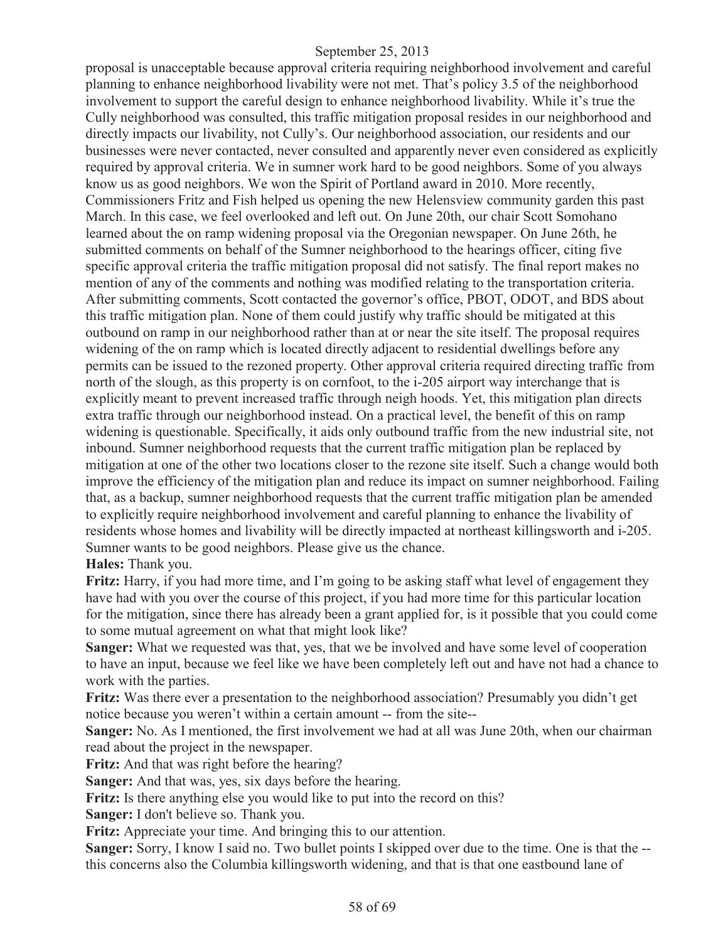proposal is unacceptable because approval criteria requiring neighborhood involvement and careful planning to enhance neighborhood livability were not met. That's policy 3.5 of the neighborhood involvement to support the careful design to enhance neighborhood livability. While it's true the Cully neighborhood was consulted, this traffic mitigation proposal resides in our neighborhood and directly impacts our livability, not Cully's. Our neighborhood association, our residents and our businesses were never contacted, never consulted and apparently never even considered as explicitly required by approval criteria. We in sumner work hard to be good neighbors. Some of you always know us as good neighbors. We won the Spirit of Portland award in 2010. More recently, Commissioners Fritz and Fish helped us opening the new Helensview community garden this past March. In this case, we feel overlooked and left out. On June 20th, our chair Scott Somohano learned about the on ramp widening proposal via the Oregonian newspaper. On June 26th, he submitted comments on behalf of the Sumner neighborhood to the hearings officer, citing five specific approval criteria the traffic mitigation proposal did not satisfy. The final report makes no mention of any of the comments and nothing was modified relating to the transportation criteria. After submitting comments, Scott contacted the governor's office, PBOT, ODOT, and BDS about this traffic mitigation plan. None of them could justify why traffic should be mitigated at this outbound on ramp in our neighborhood rather than at or near the site itself. The proposal requires widening of the on ramp which is located directly adjacent to residential dwellings before any permits can be issued to the rezoned property. Other approval criteria required directing traffic from north of the slough, as this property is on cornfoot, to the i-205 airport way interchange that is explicitly meant to prevent increased traffic through neigh hoods. Yet, this mitigation plan directs extra traffic through our neighborhood instead. On a practical level, the benefit of this on ramp widening is questionable. Specifically, it aids only outbound traffic from the new industrial site, not inbound. Sumner neighborhood requests that the current traffic mitigation plan be replaced by mitigation at one of the other two locations closer to the rezone site itself. Such a change would both improve the efficiency of the mitigation plan and reduce its impact on sumner neighborhood. Failing that, as a backup, sumner neighborhood requests that the current traffic mitigation plan be amended to explicitly require neighborhood involvement and careful planning to enhance the livability of residents whose homes and livability will be directly impacted at northeast killingsworth and i-205. Sumner wants to be good neighbors. Please give us the chance.

#### **Hales:** Thank you.

**Fritz:** Harry, if you had more time, and I'm going to be asking staff what level of engagement they have had with you over the course of this project, if you had more time for this particular location for the mitigation, since there has already been a grant applied for, is it possible that you could come to some mutual agreement on what that might look like?

**Sanger:** What we requested was that, yes, that we be involved and have some level of cooperation to have an input, because we feel like we have been completely left out and have not had a chance to work with the parties.

**Fritz:** Was there ever a presentation to the neighborhood association? Presumably you didn't get notice because you weren't within a certain amount -- from the site--

**Sanger:** No. As I mentioned, the first involvement we had at all was June 20th, when our chairman read about the project in the newspaper.

**Fritz:** And that was right before the hearing?

**Sanger:** And that was, yes, six days before the hearing.

**Fritz:** Is there anything else you would like to put into the record on this?

**Sanger:** I don't believe so. Thank you.

**Fritz:** Appreciate your time. And bringing this to our attention.

**Sanger:** Sorry, I know I said no. Two bullet points I skipped over due to the time. One is that the - this concerns also the Columbia killingsworth widening, and that is that one eastbound lane of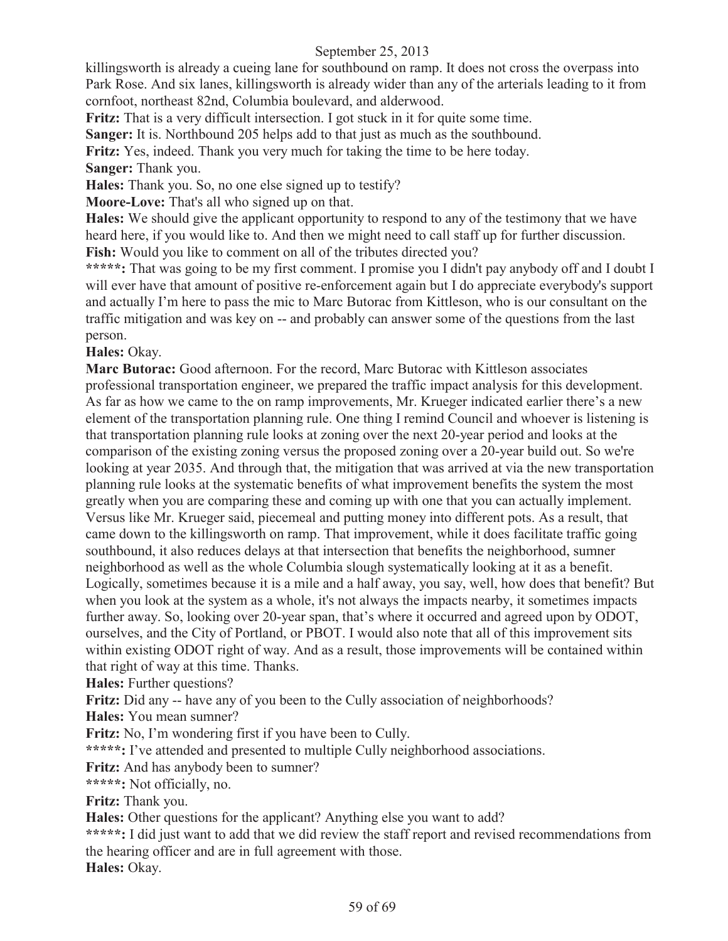killingsworth is already a cueing lane for southbound on ramp. It does not cross the overpass into Park Rose. And six lanes, killingsworth is already wider than any of the arterials leading to it from cornfoot, northeast 82nd, Columbia boulevard, and alderwood.

**Fritz:** That is a very difficult intersection. I got stuck in it for quite some time.

**Sanger:** It is. Northbound 205 helps add to that just as much as the southbound.

**Fritz:** Yes, indeed. Thank you very much for taking the time to be here today.

**Sanger:** Thank you.

**Hales:** Thank you. So, no one else signed up to testify?

**Moore-Love:** That's all who signed up on that.

**Hales:** We should give the applicant opportunity to respond to any of the testimony that we have heard here, if you would like to. And then we might need to call staff up for further discussion. Fish: Would you like to comment on all of the tributes directed you?

**\*\*\*\*\*:** That was going to be my first comment. I promise you I didn't pay anybody off and I doubt I will ever have that amount of positive re-enforcement again but I do appreciate everybody's support and actually I'm here to pass the mic to Marc Butorac from Kittleson, who is our consultant on the traffic mitigation and was key on -- and probably can answer some of the questions from the last person.

## **Hales:** Okay.

**Marc Butorac:** Good afternoon. For the record, Marc Butorac with Kittleson associates professional transportation engineer, we prepared the traffic impact analysis for this development. As far as how we came to the on ramp improvements, Mr. Krueger indicated earlier there's a new element of the transportation planning rule. One thing I remind Council and whoever is listening is that transportation planning rule looks at zoning over the next 20-year period and looks at the comparison of the existing zoning versus the proposed zoning over a 20-year build out. So we're looking at year 2035. And through that, the mitigation that was arrived at via the new transportation planning rule looks at the systematic benefits of what improvement benefits the system the most greatly when you are comparing these and coming up with one that you can actually implement. Versus like Mr. Krueger said, piecemeal and putting money into different pots. As a result, that came down to the killingsworth on ramp. That improvement, while it does facilitate traffic going southbound, it also reduces delays at that intersection that benefits the neighborhood, sumner neighborhood as well as the whole Columbia slough systematically looking at it as a benefit. Logically, sometimes because it is a mile and a half away, you say, well, how does that benefit? But when you look at the system as a whole, it's not always the impacts nearby, it sometimes impacts further away. So, looking over 20-year span, that's where it occurred and agreed upon by ODOT, ourselves, and the City of Portland, or PBOT. I would also note that all of this improvement sits within existing ODOT right of way. And as a result, those improvements will be contained within that right of way at this time. Thanks.

**Hales:** Further questions?

**Fritz:** Did any -- have any of you been to the Cully association of neighborhoods?

**Hales:** You mean sumner?

**Fritz:** No, I'm wondering first if you have been to Cully.

**\*\*\*\*\*:** I've attended and presented to multiple Cully neighborhood associations.

**Fritz:** And has anybody been to sumner?

**\*\*\*\*\*:** Not officially, no.

**Fritz:** Thank you.

**Hales:** Other questions for the applicant? Anything else you want to add?

**\*\*\*\*\*:** I did just want to add that we did review the staff report and revised recommendations from the hearing officer and are in full agreement with those.

**Hales:** Okay.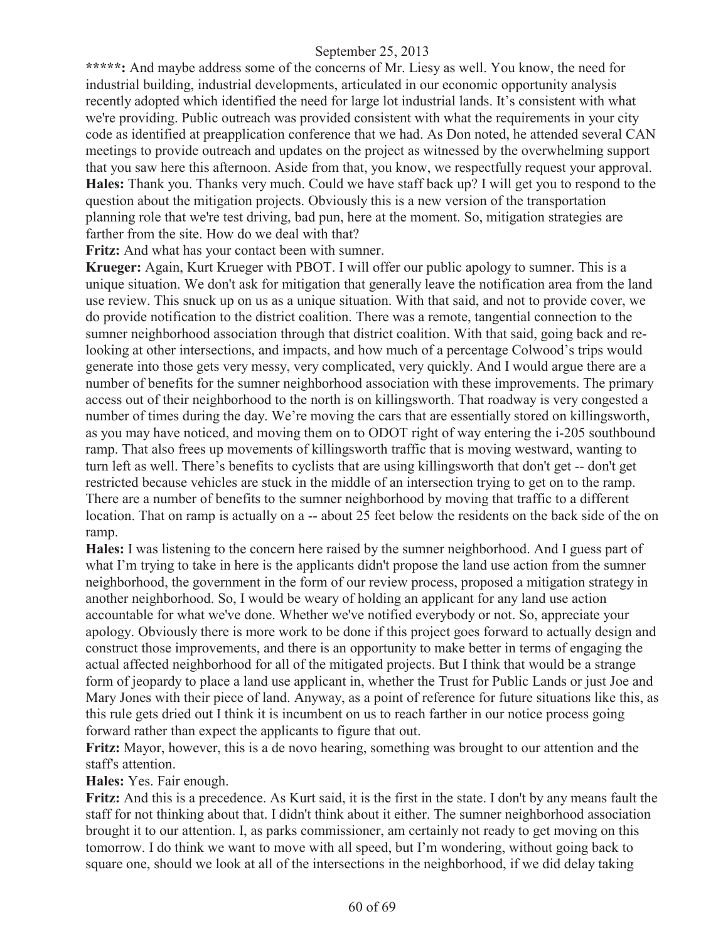\*\*\*\*\*: And maybe address some of the concerns of Mr. Liesy as well. You know, the need for industrial building, industrial developments, articulated in our economic opportunity analysis recently adopted which identified the need for large lot industrial lands. It's consistent with what we're providing. Public outreach was provided consistent with what the requirements in your city code as identified at preapplication conference that we had. As Don noted, he attended several CAN meetings to provide outreach and updates on the project as witnessed by the overwhelming support that you saw here this afternoon. Aside from that, you know, we respectfully request your approval. **Hales:** Thank you. Thanks very much. Could we have staff back up? I will get you to respond to the question about the mitigation projects. Obviously this is a new version of the transportation planning role that we're test driving, bad pun, here at the moment. So, mitigation strategies are farther from the site. How do we deal with that?

**Fritz:** And what has your contact been with sumner.

**Krueger:** Again, Kurt Krueger with PBOT. I will offer our public apology to sumner. This is a unique situation. We don't ask for mitigation that generally leave the notification area from the land use review. This snuck up on us as a unique situation. With that said, and not to provide cover, we do provide notification to the district coalition. There was a remote, tangential connection to the sumner neighborhood association through that district coalition. With that said, going back and relooking at other intersections, and impacts, and how much of a percentage Colwood's trips would generate into those gets very messy, very complicated, very quickly. And I would argue there are a number of benefits for the sumner neighborhood association with these improvements. The primary access out of their neighborhood to the north is on killingsworth. That roadway is very congested a number of times during the day. We're moving the cars that are essentially stored on killingsworth, as you may have noticed, and moving them on to ODOT right of way entering the i-205 southbound ramp. That also frees up movements of killingsworth traffic that is moving westward, wanting to turn left as well. There's benefits to cyclists that are using killingsworth that don't get -- don't get restricted because vehicles are stuck in the middle of an intersection trying to get on to the ramp. There are a number of benefits to the sumner neighborhood by moving that traffic to a different location. That on ramp is actually on a -- about 25 feet below the residents on the back side of the on ramp.

**Hales:** I was listening to the concern here raised by the sumner neighborhood. And I guess part of what I'm trying to take in here is the applicants didn't propose the land use action from the sumner neighborhood, the government in the form of our review process, proposed a mitigation strategy in another neighborhood. So, I would be weary of holding an applicant for any land use action accountable for what we've done. Whether we've notified everybody or not. So, appreciate your apology. Obviously there is more work to be done if this project goes forward to actually design and construct those improvements, and there is an opportunity to make better in terms of engaging the actual affected neighborhood for all of the mitigated projects. But I think that would be a strange form of jeopardy to place a land use applicant in, whether the Trust for Public Lands or just Joe and Mary Jones with their piece of land. Anyway, as a point of reference for future situations like this, as this rule gets dried out I think it is incumbent on us to reach farther in our notice process going forward rather than expect the applicants to figure that out.

**Fritz:** Mayor, however, this is a de novo hearing, something was brought to our attention and the staff's attention.

**Hales:** Yes. Fair enough.

**Fritz:** And this is a precedence. As Kurt said, it is the first in the state. I don't by any means fault the staff for not thinking about that. I didn't think about it either. The sumner neighborhood association brought it to our attention. I, as parks commissioner, am certainly not ready to get moving on this tomorrow. I do think we want to move with all speed, but I'm wondering, without going back to square one, should we look at all of the intersections in the neighborhood, if we did delay taking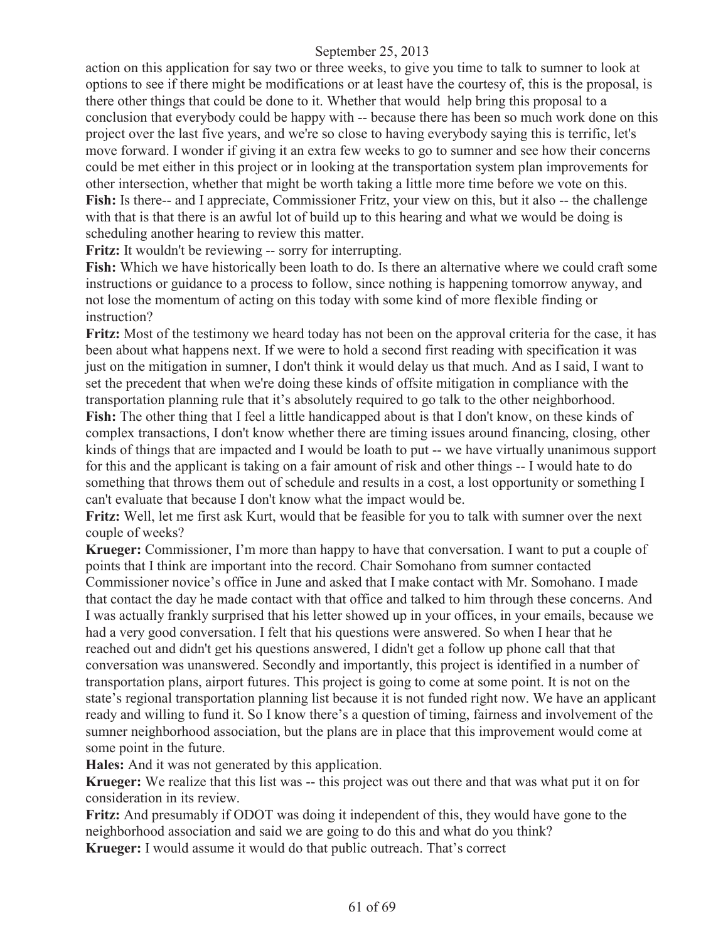action on this application for say two or three weeks, to give you time to talk to sumner to look at options to see if there might be modifications or at least have the courtesy of, this is the proposal, is there other things that could be done to it. Whether that would help bring this proposal to a conclusion that everybody could be happy with -- because there has been so much work done on this project over the last five years, and we're so close to having everybody saying this is terrific, let's move forward. I wonder if giving it an extra few weeks to go to sumner and see how their concerns could be met either in this project or in looking at the transportation system plan improvements for other intersection, whether that might be worth taking a little more time before we vote on this. Fish: Is there-- and I appreciate, Commissioner Fritz, your view on this, but it also -- the challenge with that is that there is an awful lot of build up to this hearing and what we would be doing is scheduling another hearing to review this matter.

**Fritz:** It wouldn't be reviewing -- sorry for interrupting.

**Fish:** Which we have historically been loath to do. Is there an alternative where we could craft some instructions or guidance to a process to follow, since nothing is happening tomorrow anyway, and not lose the momentum of acting on this today with some kind of more flexible finding or instruction?

**Fritz:** Most of the testimony we heard today has not been on the approval criteria for the case, it has been about what happens next. If we were to hold a second first reading with specification it was just on the mitigation in sumner, I don't think it would delay us that much. And as I said, I want to set the precedent that when we're doing these kinds of offsite mitigation in compliance with the transportation planning rule that it's absolutely required to go talk to the other neighborhood. **Fish:** The other thing that I feel a little handicapped about is that I don't know, on these kinds of

complex transactions, I don't know whether there are timing issues around financing, closing, other kinds of things that are impacted and I would be loath to put -- we have virtually unanimous support for this and the applicant is taking on a fair amount of risk and other things -- I would hate to do something that throws them out of schedule and results in a cost, a lost opportunity or something I can't evaluate that because I don't know what the impact would be.

**Fritz:** Well, let me first ask Kurt, would that be feasible for you to talk with sumner over the next couple of weeks?

**Krueger:** Commissioner, I'm more than happy to have that conversation. I want to put a couple of points that I think are important into the record. Chair Somohano from sumner contacted Commissioner novice's office in June and asked that I make contact with Mr. Somohano. I made that contact the day he made contact with that office and talked to him through these concerns. And I was actually frankly surprised that his letter showed up in your offices, in your emails, because we had a very good conversation. I felt that his questions were answered. So when I hear that he reached out and didn't get his questions answered, I didn't get a follow up phone call that that conversation was unanswered. Secondly and importantly, this project is identified in a number of transportation plans, airport futures. This project is going to come at some point. It is not on the state's regional transportation planning list because it is not funded right now. We have an applicant ready and willing to fund it. So I know there's a question of timing, fairness and involvement of the sumner neighborhood association, but the plans are in place that this improvement would come at some point in the future.

**Hales:** And it was not generated by this application.

**Krueger:** We realize that this list was -- this project was out there and that was what put it on for consideration in its review.

**Fritz:** And presumably if ODOT was doing it independent of this, they would have gone to the neighborhood association and said we are going to do this and what do you think?

**Krueger:** I would assume it would do that public outreach. That's correct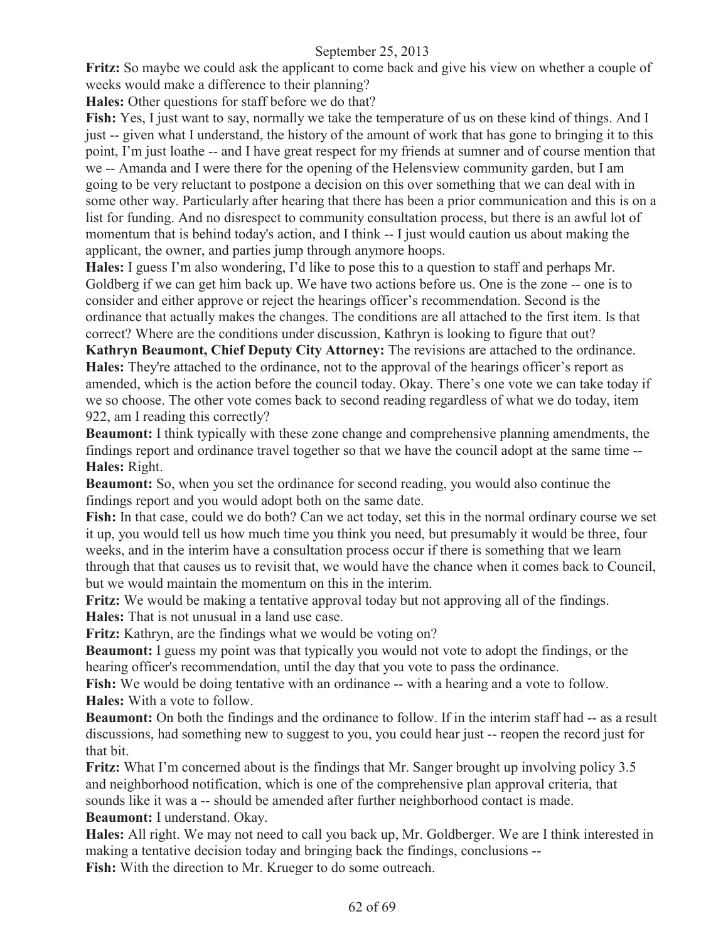**Fritz:** So maybe we could ask the applicant to come back and give his view on whether a couple of weeks would make a difference to their planning?

**Hales:** Other questions for staff before we do that?

**Fish:** Yes, I just want to say, normally we take the temperature of us on these kind of things. And I just -- given what I understand, the history of the amount of work that has gone to bringing it to this point, I'm just loathe -- and I have great respect for my friends at sumner and of course mention that we -- Amanda and I were there for the opening of the Helensview community garden, but I am going to be very reluctant to postpone a decision on this over something that we can deal with in some other way. Particularly after hearing that there has been a prior communication and this is on a list for funding. And no disrespect to community consultation process, but there is an awful lot of momentum that is behind today's action, and I think -- I just would caution us about making the applicant, the owner, and parties jump through anymore hoops.

**Hales:** I guess I'm also wondering, I'd like to pose this to a question to staff and perhaps Mr. Goldberg if we can get him back up. We have two actions before us. One is the zone -- one is to consider and either approve or reject the hearings officer's recommendation. Second is the ordinance that actually makes the changes. The conditions are all attached to the first item. Is that correct? Where are the conditions under discussion, Kathryn is looking to figure that out?

**Kathryn Beaumont, Chief Deputy City Attorney:** The revisions are attached to the ordinance. **Hales:** They're attached to the ordinance, not to the approval of the hearings officer's report as amended, which is the action before the council today. Okay. There's one vote we can take today if we so choose. The other vote comes back to second reading regardless of what we do today, item 922, am I reading this correctly?

**Beaumont:** I think typically with these zone change and comprehensive planning amendments, the findings report and ordinance travel together so that we have the council adopt at the same time -- **Hales:** Right.

**Beaumont:** So, when you set the ordinance for second reading, you would also continue the findings report and you would adopt both on the same date.

**Fish:** In that case, could we do both? Can we act today, set this in the normal ordinary course we set it up, you would tell us how much time you think you need, but presumably it would be three, four weeks, and in the interim have a consultation process occur if there is something that we learn through that that causes us to revisit that, we would have the chance when it comes back to Council, but we would maintain the momentum on this in the interim.

**Fritz:** We would be making a tentative approval today but not approving all of the findings. **Hales:** That is not unusual in a land use case.

**Fritz:** Kathryn, are the findings what we would be voting on?

**Beaumont:** I guess my point was that typically you would not vote to adopt the findings, or the hearing officer's recommendation, until the day that you vote to pass the ordinance.

**Fish:** We would be doing tentative with an ordinance -- with a hearing and a vote to follow. **Hales:** With a vote to follow.

**Beaumont:** On both the findings and the ordinance to follow. If in the interim staff had  $-$  as a result discussions, had something new to suggest to you, you could hear just -- reopen the record just for that bit.

**Fritz:** What I'm concerned about is the findings that Mr. Sanger brought up involving policy 3.5 and neighborhood notification, which is one of the comprehensive plan approval criteria, that sounds like it was a -- should be amended after further neighborhood contact is made. **Beaumont:** I understand. Okay.

**Hales:** All right. We may not need to call you back up, Mr. Goldberger. We are I think interested in making a tentative decision today and bringing back the findings, conclusions --

**Fish:** With the direction to Mr. Krueger to do some outreach.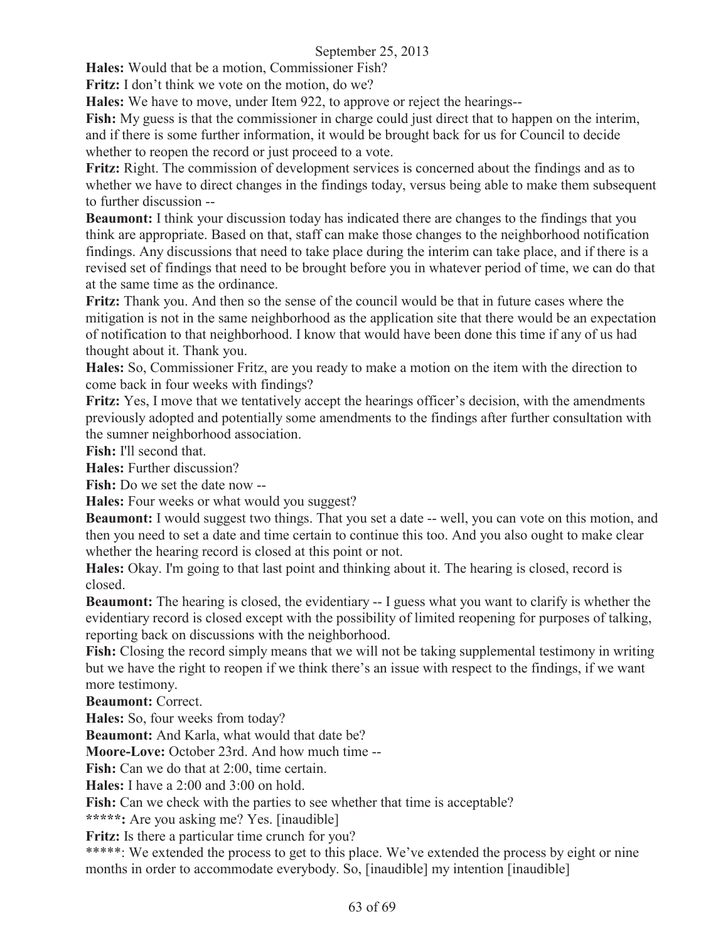**Hales:** Would that be a motion, Commissioner Fish?

**Fritz:** I don't think we vote on the motion, do we?

**Hales:** We have to move, under Item 922, to approve or reject the hearings--

**Fish:** My guess is that the commissioner in charge could just direct that to happen on the interim, and if there is some further information, it would be brought back for us for Council to decide whether to reopen the record or just proceed to a vote.

**Fritz:** Right. The commission of development services is concerned about the findings and as to whether we have to direct changes in the findings today, versus being able to make them subsequent to further discussion --

**Beaumont:** I think your discussion today has indicated there are changes to the findings that you think are appropriate. Based on that, staff can make those changes to the neighborhood notification findings. Any discussions that need to take place during the interim can take place, and if there is a revised set of findings that need to be brought before you in whatever period of time, we can do that at the same time as the ordinance.

**Fritz:** Thank you. And then so the sense of the council would be that in future cases where the mitigation is not in the same neighborhood as the application site that there would be an expectation of notification to that neighborhood. I know that would have been done this time if any of us had thought about it. Thank you.

**Hales:** So, Commissioner Fritz, are you ready to make a motion on the item with the direction to come back in four weeks with findings?

**Fritz:** Yes, I move that we tentatively accept the hearings officer's decision, with the amendments previously adopted and potentially some amendments to the findings after further consultation with the sumner neighborhood association.

**Fish:** I'll second that.

**Hales:** Further discussion?

**Fish:** Do we set the date now --

**Hales:** Four weeks or what would you suggest?

**Beaumont:** I would suggest two things. That you set a date -- well, you can vote on this motion, and then you need to set a date and time certain to continue this too. And you also ought to make clear whether the hearing record is closed at this point or not.

**Hales:** Okay. I'm going to that last point and thinking about it. The hearing is closed, record is closed.

**Beaumont:** The hearing is closed, the evidentiary -- I guess what you want to clarify is whether the evidentiary record is closed except with the possibility of limited reopening for purposes of talking, reporting back on discussions with the neighborhood.

**Fish:** Closing the record simply means that we will not be taking supplemental testimony in writing but we have the right to reopen if we think there's an issue with respect to the findings, if we want more testimony.

**Beaumont:** Correct.

**Hales:** So, four weeks from today?

**Beaumont:** And Karla, what would that date be?

**Moore-Love:** October 23rd. And how much time --

**Fish:** Can we do that at 2:00, time certain.

**Hales:** I have a 2:00 and 3:00 on hold.

**Fish:** Can we check with the parties to see whether that time is acceptable?

**\*\*\*\*\*:** Are you asking me? Yes. [inaudible]

Fritz: Is there a particular time crunch for you?

\*\*\*\*\*: We extended the process to get to this place. We've extended the process by eight or nine months in order to accommodate everybody. So, [inaudible] my intention [inaudible]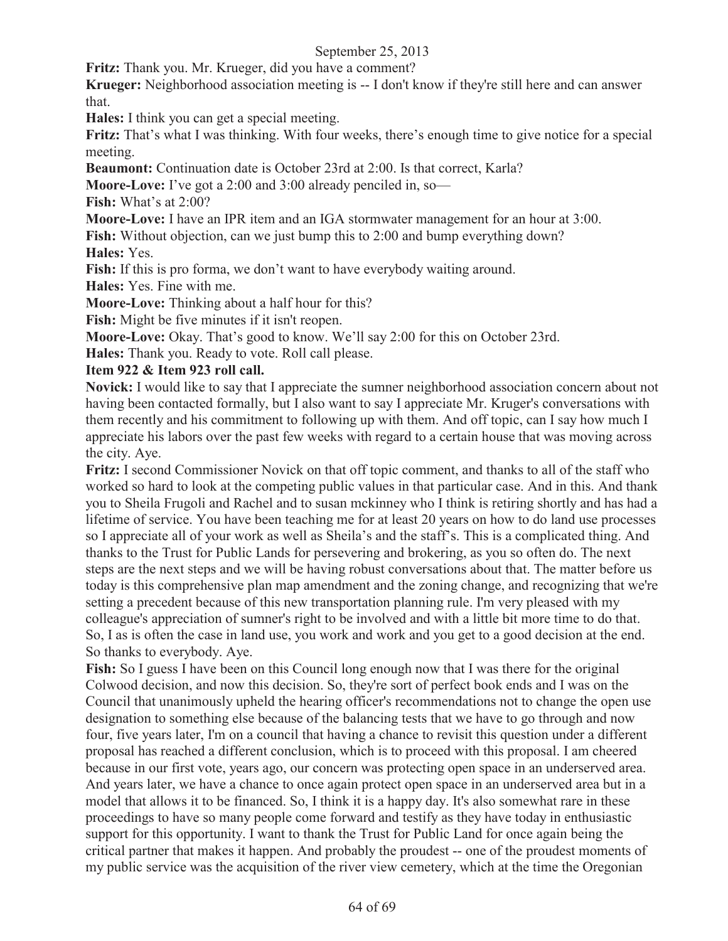**Fritz:** Thank you. Mr. Krueger, did you have a comment?

**Krueger:** Neighborhood association meeting is -- I don't know if they're still here and can answer that.

**Hales:** I think you can get a special meeting.

**Fritz:** That's what I was thinking. With four weeks, there's enough time to give notice for a special meeting.

**Beaumont:** Continuation date is October 23rd at 2:00. Is that correct, Karla?

**Moore-Love:** I've got a 2:00 and 3:00 already penciled in, so—

**Fish:** What's at 2:00?

**Moore-Love:** I have an IPR item and an IGA stormwater management for an hour at 3:00.

**Fish:** Without objection, can we just bump this to 2:00 and bump everything down? **Hales:** Yes.

Fish: If this is pro forma, we don't want to have everybody waiting around.

**Hales:** Yes. Fine with me.

**Moore-Love:** Thinking about a half hour for this?

**Fish:** Might be five minutes if it isn't reopen.

**Moore-Love:** Okay. That's good to know. We'll say 2:00 for this on October 23rd.

**Hales:** Thank you. Ready to vote. Roll call please.

#### **Item 922 & Item 923 roll call.**

**Novick:** I would like to say that I appreciate the sumner neighborhood association concern about not having been contacted formally, but I also want to say I appreciate Mr. Kruger's conversations with them recently and his commitment to following up with them. And off topic, can I say how much I appreciate his labors over the past few weeks with regard to a certain house that was moving across the city. Aye.

**Fritz:** I second Commissioner Novick on that off topic comment, and thanks to all of the staff who worked so hard to look at the competing public values in that particular case. And in this. And thank you to Sheila Frugoli and Rachel and to susan mckinney who I think is retiring shortly and has had a lifetime of service. You have been teaching me for at least 20 years on how to do land use processes so I appreciate all of your work as well as Sheila's and the staff's. This is a complicated thing. And thanks to the Trust for Public Lands for persevering and brokering, as you so often do. The next steps are the next steps and we will be having robust conversations about that. The matter before us today is this comprehensive plan map amendment and the zoning change, and recognizing that we're setting a precedent because of this new transportation planning rule. I'm very pleased with my colleague's appreciation of sumner's right to be involved and with a little bit more time to do that. So, I as is often the case in land use, you work and work and you get to a good decision at the end. So thanks to everybody. Aye.

**Fish:** So I guess I have been on this Council long enough now that I was there for the original Colwood decision, and now this decision. So, they're sort of perfect book ends and I was on the Council that unanimously upheld the hearing officer's recommendations not to change the open use designation to something else because of the balancing tests that we have to go through and now four, five years later, I'm on a council that having a chance to revisit this question under a different proposal has reached a different conclusion, which is to proceed with this proposal. I am cheered because in our first vote, years ago, our concern was protecting open space in an underserved area. And years later, we have a chance to once again protect open space in an underserved area but in a model that allows it to be financed. So, I think it is a happy day. It's also somewhat rare in these proceedings to have so many people come forward and testify as they have today in enthusiastic support for this opportunity. I want to thank the Trust for Public Land for once again being the critical partner that makes it happen. And probably the proudest -- one of the proudest moments of my public service was the acquisition of the river view cemetery, which at the time the Oregonian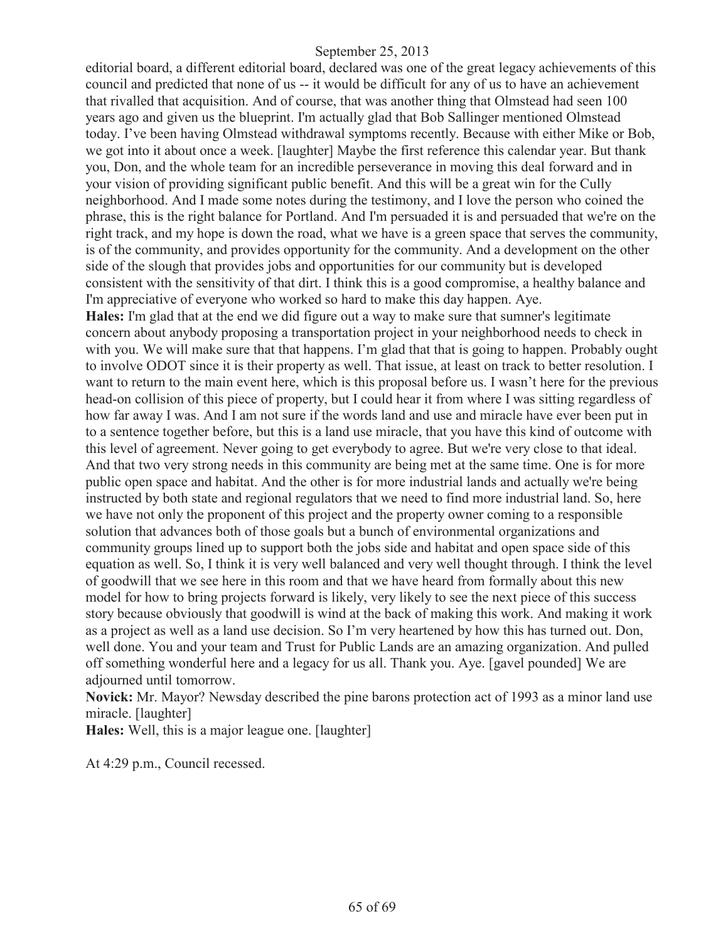editorial board, a different editorial board, declared was one of the great legacy achievements of this council and predicted that none of us -- it would be difficult for any of us to have an achievement that rivalled that acquisition. And of course, that was another thing that Olmstead had seen 100 years ago and given us the blueprint. I'm actually glad that Bob Sallinger mentioned Olmstead today. I've been having Olmstead withdrawal symptoms recently. Because with either Mike or Bob, we got into it about once a week. [laughter] Maybe the first reference this calendar year. But thank you, Don, and the whole team for an incredible perseverance in moving this deal forward and in your vision of providing significant public benefit. And this will be a great win for the Cully neighborhood. And I made some notes during the testimony, and I love the person who coined the phrase, this is the right balance for Portland. And I'm persuaded it is and persuaded that we're on the right track, and my hope is down the road, what we have is a green space that serves the community, is of the community, and provides opportunity for the community. And a development on the other side of the slough that provides jobs and opportunities for our community but is developed consistent with the sensitivity of that dirt. I think this is a good compromise, a healthy balance and I'm appreciative of everyone who worked so hard to make this day happen. Aye.

**Hales:** I'm glad that at the end we did figure out a way to make sure that sumner's legitimate concern about anybody proposing a transportation project in your neighborhood needs to check in with you. We will make sure that that happens. I'm glad that that is going to happen. Probably ought to involve ODOT since it is their property as well. That issue, at least on track to better resolution. I want to return to the main event here, which is this proposal before us. I wasn't here for the previous head-on collision of this piece of property, but I could hear it from where I was sitting regardless of how far away I was. And I am not sure if the words land and use and miracle have ever been put in to a sentence together before, but this is a land use miracle, that you have this kind of outcome with this level of agreement. Never going to get everybody to agree. But we're very close to that ideal. And that two very strong needs in this community are being met at the same time. One is for more public open space and habitat. And the other is for more industrial lands and actually we're being instructed by both state and regional regulators that we need to find more industrial land. So, here we have not only the proponent of this project and the property owner coming to a responsible solution that advances both of those goals but a bunch of environmental organizations and community groups lined up to support both the jobs side and habitat and open space side of this equation as well. So, I think it is very well balanced and very well thought through. I think the level of goodwill that we see here in this room and that we have heard from formally about this new model for how to bring projects forward is likely, very likely to see the next piece of this success story because obviously that goodwill is wind at the back of making this work. And making it work as a project as well as a land use decision. So I'm very heartened by how this has turned out. Don, well done. You and your team and Trust for Public Lands are an amazing organization. And pulled off something wonderful here and a legacy for us all. Thank you. Aye. [gavel pounded] We are adjourned until tomorrow.

**Novick:** Mr. Mayor? Newsday described the pine barons protection act of 1993 as a minor land use miracle. [laughter]

**Hales:** Well, this is a major league one. [laughter]

At 4:29 p.m., Council recessed.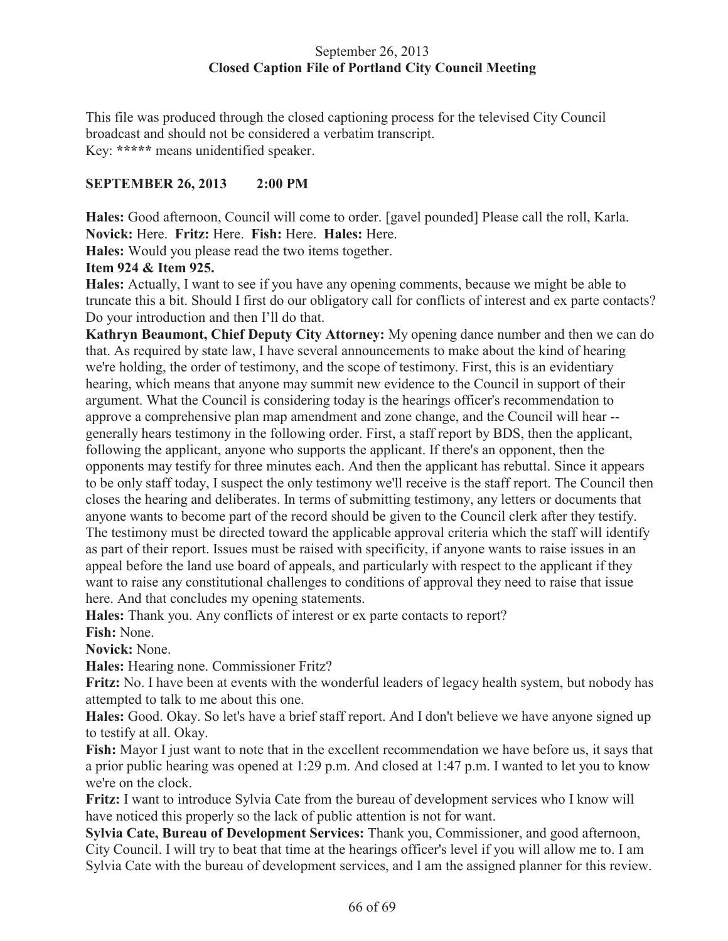## September 26, 2013 **Closed Caption File of Portland City Council Meeting**

This file was produced through the closed captioning process for the televised City Council broadcast and should not be considered a verbatim transcript. Key: **\*\*\*\*\*** means unidentified speaker.

## **SEPTEMBER 26, 2013 2:00 PM**

**Hales:** Good afternoon, Council will come to order. [gavel pounded] Please call the roll, Karla. **Novick:** Here. **Fritz:** Here. **Fish:** Here. **Hales:** Here.

**Hales:** Would you please read the two items together.

#### **Item 924 & Item 925.**

**Hales:** Actually, I want to see if you have any opening comments, because we might be able to truncate this a bit. Should I first do our obligatory call for conflicts of interest and ex parte contacts? Do your introduction and then I'll do that.

**Kathryn Beaumont, Chief Deputy City Attorney:** My opening dance number and then we can do that. As required by state law, I have several announcements to make about the kind of hearing we're holding, the order of testimony, and the scope of testimony. First, this is an evidentiary hearing, which means that anyone may summit new evidence to the Council in support of their argument. What the Council is considering today is the hearings officer's recommendation to approve a comprehensive plan map amendment and zone change, and the Council will hear - generally hears testimony in the following order. First, a staff report by BDS, then the applicant, following the applicant, anyone who supports the applicant. If there's an opponent, then the opponents may testify for three minutes each. And then the applicant has rebuttal. Since it appears to be only staff today, I suspect the only testimony we'll receive is the staff report. The Council then closes the hearing and deliberates. In terms of submitting testimony, any letters or documents that anyone wants to become part of the record should be given to the Council clerk after they testify. The testimony must be directed toward the applicable approval criteria which the staff will identify as part of their report. Issues must be raised with specificity, if anyone wants to raise issues in an appeal before the land use board of appeals, and particularly with respect to the applicant if they want to raise any constitutional challenges to conditions of approval they need to raise that issue here. And that concludes my opening statements.

**Hales:** Thank you. Any conflicts of interest or ex parte contacts to report?

**Fish:** None.

**Novick:** None.

**Hales:** Hearing none. Commissioner Fritz?

**Fritz:** No. I have been at events with the wonderful leaders of legacy health system, but nobody has attempted to talk to me about this one.

**Hales:** Good. Okay. So let's have a brief staff report. And I don't believe we have anyone signed up to testify at all. Okay.

**Fish:** Mayor I just want to note that in the excellent recommendation we have before us, it says that a prior public hearing was opened at 1:29 p.m. And closed at 1:47 p.m. I wanted to let you to know we're on the clock.

**Fritz:** I want to introduce Sylvia Cate from the bureau of development services who I know will have noticed this properly so the lack of public attention is not for want.

**Sylvia Cate, Bureau of Development Services:** Thank you, Commissioner, and good afternoon, City Council. I will try to beat that time at the hearings officer's level if you will allow me to. I am Sylvia Cate with the bureau of development services, and I am the assigned planner for this review.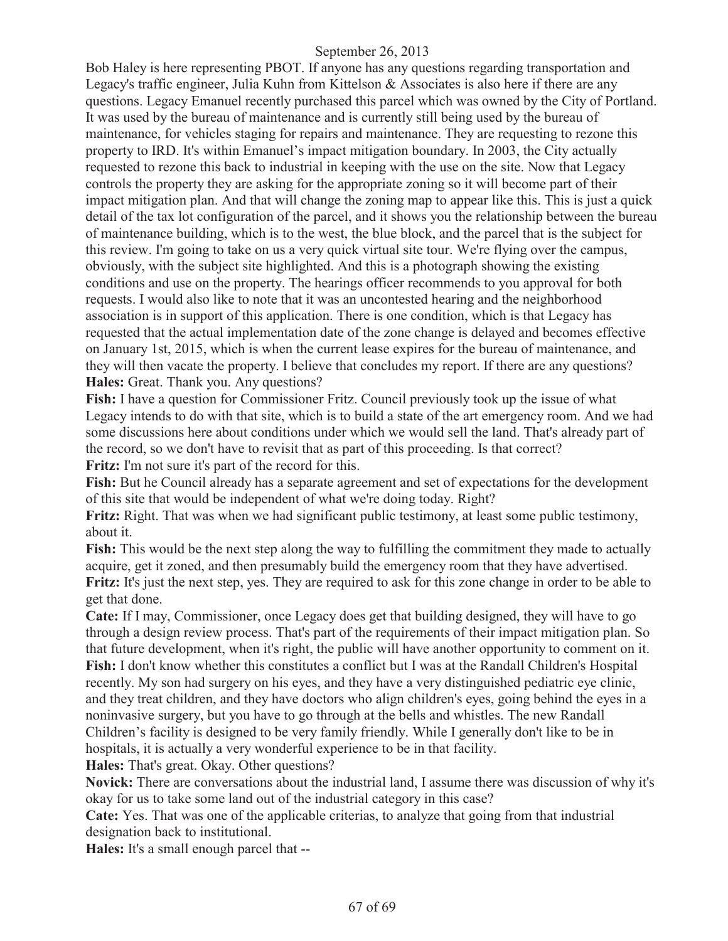Bob Haley is here representing PBOT. If anyone has any questions regarding transportation and Legacy's traffic engineer, Julia Kuhn from Kittelson & Associates is also here if there are any questions. Legacy Emanuel recently purchased this parcel which was owned by the City of Portland. It was used by the bureau of maintenance and is currently still being used by the bureau of maintenance, for vehicles staging for repairs and maintenance. They are requesting to rezone this property to IRD. It's within Emanuel's impact mitigation boundary. In 2003, the City actually requested to rezone this back to industrial in keeping with the use on the site. Now that Legacy controls the property they are asking for the appropriate zoning so it will become part of their impact mitigation plan. And that will change the zoning map to appear like this. This is just a quick detail of the tax lot configuration of the parcel, and it shows you the relationship between the bureau of maintenance building, which is to the west, the blue block, and the parcel that is the subject for this review. I'm going to take on us a very quick virtual site tour. We're flying over the campus, obviously, with the subject site highlighted. And this is a photograph showing the existing conditions and use on the property. The hearings officer recommends to you approval for both requests. I would also like to note that it was an uncontested hearing and the neighborhood association is in support of this application. There is one condition, which is that Legacy has requested that the actual implementation date of the zone change is delayed and becomes effective on January 1st, 2015, which is when the current lease expires for the bureau of maintenance, and they will then vacate the property. I believe that concludes my report. If there are any questions? **Hales:** Great. Thank you. Any questions?

**Fish:** I have a question for Commissioner Fritz. Council previously took up the issue of what Legacy intends to do with that site, which is to build a state of the art emergency room. And we had some discussions here about conditions under which we would sell the land. That's already part of the record, so we don't have to revisit that as part of this proceeding. Is that correct? **Fritz:** I'm not sure it's part of the record for this.

**Fish:** But he Council already has a separate agreement and set of expectations for the development of this site that would be independent of what we're doing today. Right?

**Fritz:** Right. That was when we had significant public testimony, at least some public testimony, about it.

**Fish:** This would be the next step along the way to fulfilling the commitment they made to actually acquire, get it zoned, and then presumably build the emergency room that they have advertised. **Fritz:** It's just the next step, yes. They are required to ask for this zone change in order to be able to get that done.

**Cate:** If I may, Commissioner, once Legacy does get that building designed, they will have to go through a design review process. That's part of the requirements of their impact mitigation plan. So that future development, when it's right, the public will have another opportunity to comment on it. **Fish:** I don't know whether this constitutes a conflict but I was at the Randall Children's Hospital recently. My son had surgery on his eyes, and they have a very distinguished pediatric eye clinic, and they treat children, and they have doctors who align children's eyes, going behind the eyes in a noninvasive surgery, but you have to go through at the bells and whistles. The new Randall Children's facility is designed to be very family friendly. While I generally don't like to be in hospitals, it is actually a very wonderful experience to be in that facility.

**Hales:** That's great. Okay. Other questions?

**Novick:** There are conversations about the industrial land, I assume there was discussion of why it's okay for us to take some land out of the industrial category in this case?

**Cate:** Yes. That was one of the applicable criterias, to analyze that going from that industrial designation back to institutional.

**Hales:** It's a small enough parcel that --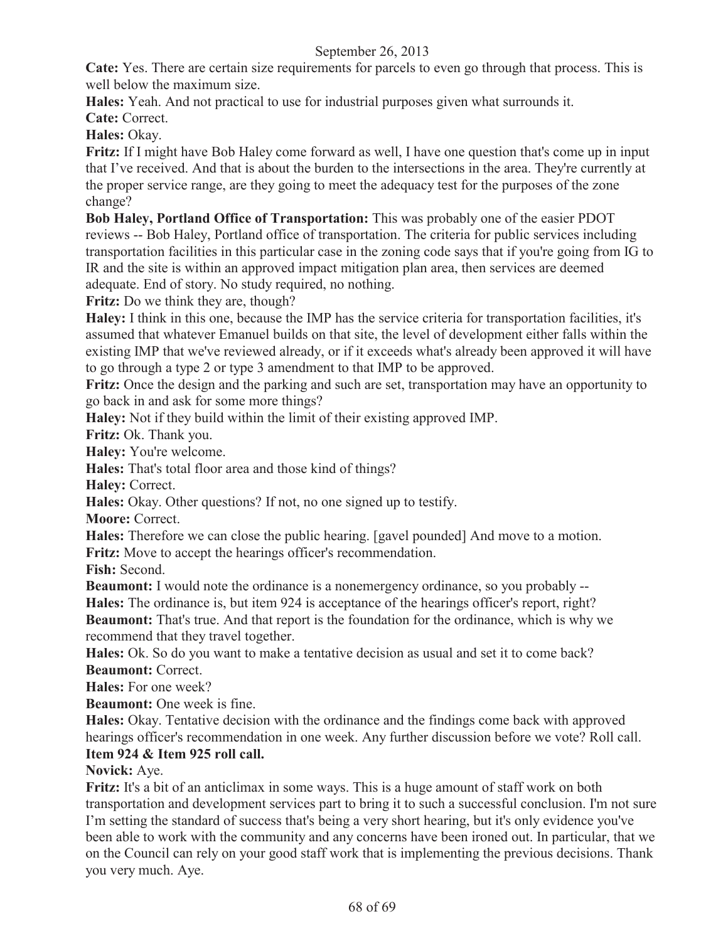**Cate:** Yes. There are certain size requirements for parcels to even go through that process. This is well below the maximum size.

**Hales:** Yeah. And not practical to use for industrial purposes given what surrounds it.

**Cate:** Correct.

**Hales:** Okay.

**Fritz:** If I might have Bob Haley come forward as well, I have one question that's come up in input that I've received. And that is about the burden to the intersections in the area. They're currently at the proper service range, are they going to meet the adequacy test for the purposes of the zone change?

**Bob Haley, Portland Office of Transportation:** This was probably one of the easier PDOT reviews -- Bob Haley, Portland office of transportation. The criteria for public services including transportation facilities in this particular case in the zoning code says that if you're going from IG to IR and the site is within an approved impact mitigation plan area, then services are deemed adequate. End of story. No study required, no nothing.

**Fritz:** Do we think they are, though?

**Haley:** I think in this one, because the IMP has the service criteria for transportation facilities, it's assumed that whatever Emanuel builds on that site, the level of development either falls within the existing IMP that we've reviewed already, or if it exceeds what's already been approved it will have to go through a type 2 or type 3 amendment to that IMP to be approved.

**Fritz:** Once the design and the parking and such are set, transportation may have an opportunity to go back in and ask for some more things?

**Haley:** Not if they build within the limit of their existing approved IMP.

**Fritz:** Ok. Thank you.

**Haley:** You're welcome.

**Hales:** That's total floor area and those kind of things?

**Haley:** Correct.

**Hales:** Okay. Other questions? If not, no one signed up to testify.

**Moore:** Correct.

**Hales:** Therefore we can close the public hearing. [gavel pounded] And move to a motion. **Fritz:** Move to accept the hearings officer's recommendation.

**Fish:** Second.

**Beaumont:** I would note the ordinance is a nonemergency ordinance, so you probably --**Hales:** The ordinance is, but item 924 is acceptance of the hearings officer's report, right? **Beaumont:** That's true. And that report is the foundation for the ordinance, which is why we

recommend that they travel together.

**Hales:** Ok. So do you want to make a tentative decision as usual and set it to come back? **Beaumont:** Correct.

**Hales:** For one week?

**Beaumont:** One week is fine.

**Hales:** Okay. Tentative decision with the ordinance and the findings come back with approved hearings officer's recommendation in one week. Any further discussion before we vote? Roll call.

## **Item 924 & Item 925 roll call.**

## **Novick:** Aye.

**Fritz:** It's a bit of an anticlimax in some ways. This is a huge amount of staff work on both transportation and development services part to bring it to such a successful conclusion. I'm not sure I'm setting the standard of success that's being a very short hearing, but it's only evidence you've been able to work with the community and any concerns have been ironed out. In particular, that we on the Council can rely on your good staff work that is implementing the previous decisions. Thank you very much. Aye.